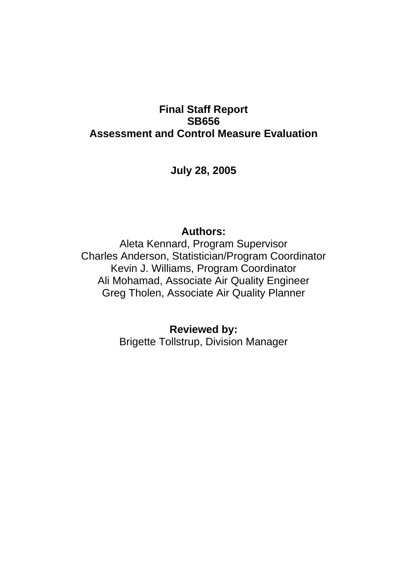# **Final Staff Report SB656 Assessment and Control Measure Evaluation**

**July 28, 2005**

# **Authors:**

Aleta Kennard, Program Supervisor Charles Anderson, Statistician/Program Coordinator Kevin J. Williams, Program Coordinator Ali Mohamad, Associate Air Quality Engineer Greg Tholen, Associate Air Quality Planner

> **Reviewed by:** Brigette Tollstrup, Division Manager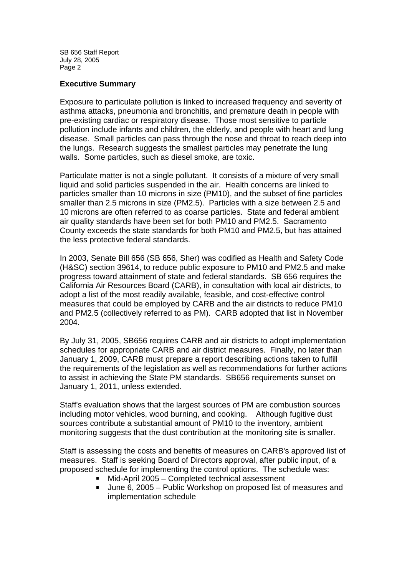# **Executive Summary**

Exposure to particulate pollution is linked to increased frequency and severity of asthma attacks, pneumonia and bronchitis, and premature death in people with pre-existing cardiac or respiratory disease. Those most sensitive to particle pollution include infants and children, the elderly, and people with heart and lung disease. Small particles can pass through the nose and throat to reach deep into the lungs. Research suggests the smallest particles may penetrate the lung walls. Some particles, such as diesel smoke, are toxic.

Particulate matter is not a single pollutant. It consists of a mixture of very small liquid and solid particles suspended in the air. Health concerns are linked to particles smaller than 10 microns in size (PM10), and the subset of fine particles smaller than 2.5 microns in size (PM2.5). Particles with a size between 2.5 and 10 microns are often referred to as coarse particles. State and federal ambient air quality standards have been set for both PM10 and PM2.5. Sacramento County exceeds the state standards for both PM10 and PM2.5, but has attained the less protective federal standards.

In 2003, Senate Bill 656 (SB 656, Sher) was codified as Health and Safety Code (H&SC) section 39614, to reduce public exposure to PM10 and PM2.5 and make progress toward attainment of state and federal standards. SB 656 requires the California Air Resources Board (CARB), in consultation with local air districts, to adopt a list of the most readily available, feasible, and cost-effective control measures that could be employed by CARB and the air districts to reduce PM10 and PM2.5 (collectively referred to as PM). CARB adopted that list in November 2004.

By July 31, 2005, SB656 requires CARB and air districts to adopt implementation schedules for appropriate CARB and air district measures. Finally, no later than January 1, 2009, CARB must prepare a report describing actions taken to fulfill the requirements of the legislation as well as recommendations for further actions to assist in achieving the State PM standards. SB656 requirements sunset on January 1, 2011, unless extended.

Staff's evaluation shows that the largest sources of PM are combustion sources including motor vehicles, wood burning, and cooking. Although fugitive dust sources contribute a substantial amount of PM10 to the inventory, ambient monitoring suggests that the dust contribution at the monitoring site is smaller.

Staff is assessing the costs and benefits of measures on CARB's approved list of measures. Staff is seeking Board of Directors approval, after public input, of a proposed schedule for implementing the control options. The schedule was:

- Mid-April 2005 Completed technical assessment
- June 6, 2005 Public Workshop on proposed list of measures and implementation schedule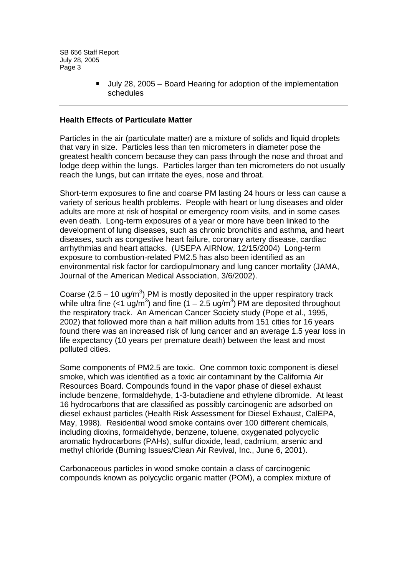> July 28, 2005 – Board Hearing for adoption of the implementation schedules

### **Health Effects of Particulate Matter**

Particles in the air (particulate matter) are a mixture of solids and liquid droplets that vary in size. Particles less than ten micrometers in diameter pose the greatest health concern because they can pass through the nose and throat and lodge deep within the lungs. Particles larger than ten micrometers do not usually reach the lungs, but can irritate the eyes, nose and throat.

Short-term exposures to fine and coarse PM lasting 24 hours or less can cause a variety of serious health problems. People with heart or lung diseases and older adults are more at risk of hospital or emergency room visits, and in some cases even death. Long-term exposures of a year or more have been linked to the development of lung diseases, such as chronic bronchitis and asthma, and heart diseases, such as congestive heart failure, coronary artery disease, cardiac arrhythmias and heart attacks. (USEPA AIRNow, 12/15/2004) Long-term exposure to combustion-related PM2.5 has also been identified as an environmental risk factor for cardiopulmonary and lung cancer mortality (JAMA, Journal of the American Medical Association, 3/6/2002).

Coarse (2.5 – 10 ug/m<sup>3</sup>) PM is mostly deposited in the upper respiratory track while ultra fine (<1 ug/m<sup>3</sup>) and fine (1 – 2.5 ug/m<sup>3</sup>) PM are deposited throughout the respiratory track. An American Cancer Society study (Pope et al., 1995, 2002) that followed more than a half million adults from 151 cities for 16 years found there was an increased risk of lung cancer and an average 1.5 year loss in life expectancy (10 years per premature death) between the least and most polluted cities.

Some components of PM2.5 are toxic. One common toxic component is diesel smoke, which was identified as a toxic air contaminant by the California Air Resources Board. Compounds found in the vapor phase of diesel exhaust include benzene, formaldehyde, 1-3-butadiene and ethylene dibromide. At least 16 hydrocarbons that are classified as possibly carcinogenic are adsorbed on diesel exhaust particles (Health Risk Assessment for Diesel Exhaust, CalEPA, May, 1998). Residential wood smoke contains over 100 different chemicals, including dioxins, formaldehyde, benzene, toluene, oxygenated polycyclic aromatic hydrocarbons (PAHs), sulfur dioxide, lead, cadmium, arsenic and methyl chloride (Burning Issues/Clean Air Revival, Inc., June 6, 2001).

Carbonaceous particles in wood smoke contain a class of carcinogenic compounds known as polycyclic organic matter (POM), a complex mixture of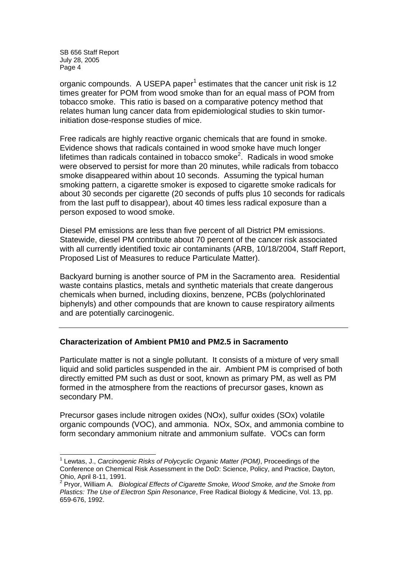organic compounds. A USEPA paper<sup>1</sup> estimates that the cancer unit risk is 12 times greater for POM from wood smoke than for an equal mass of POM from tobacco smoke. This ratio is based on a comparative potency method that relates human lung cancer data from epidemiological studies to skin tumorinitiation dose-response studies of mice.

Free radicals are highly reactive organic chemicals that are found in smoke. Evidence shows that radicals contained in wood smoke have much longer lifetimes than radicals contained in tobacco smoke<sup>2</sup>. Radicals in wood smoke were observed to persist for more than 20 minutes, while radicals from tobacco smoke disappeared within about 10 seconds. Assuming the typical human smoking pattern, a cigarette smoker is exposed to cigarette smoke radicals for about 30 seconds per cigarette (20 seconds of puffs plus 10 seconds for radicals from the last puff to disappear), about 40 times less radical exposure than a person exposed to wood smoke.

Diesel PM emissions are less than five percent of all District PM emissions. Statewide, diesel PM contribute about 70 percent of the cancer risk associated with all currently identified toxic air contaminants (ARB, 10/18/2004, Staff Report, Proposed List of Measures to reduce Particulate Matter).

Backyard burning is another source of PM in the Sacramento area. Residential waste contains plastics, metals and synthetic materials that create dangerous chemicals when burned, including dioxins, benzene, PCBs (polychlorinated biphenyls) and other compounds that are known to cause respiratory ailments and are potentially carcinogenic.

# **Characterization of Ambient PM10 and PM2.5 in Sacramento**

Particulate matter is not a single pollutant. It consists of a mixture of very small liquid and solid particles suspended in the air. Ambient PM is comprised of both directly emitted PM such as dust or soot, known as primary PM, as well as PM formed in the atmosphere from the reactions of precursor gases, known as secondary PM.

Precursor gases include nitrogen oxides (NOx), sulfur oxides (SOx) volatile organic compounds (VOC), and ammonia. NOx, SOx, and ammonia combine to form secondary ammonium nitrate and ammonium sulfate. VOCs can form

<sup>1</sup> Lewtas, J., *Carcinogenic Risks of Polycyclic Organic Matter (POM)*, Proceedings of the Conference on Chemical Risk Assessment in the DoD: Science, Policy, and Practice, Dayton, Ohio, April 8-11, 1991. 2 Pryor, William A. *Biological Effects of Cigarette Smoke, Wood Smoke, and the Smoke from*

*Plastics: The Use of Electron Spin Resonance*, Free Radical Biology & Medicine, Vol. 13, pp. 659-676, 1992.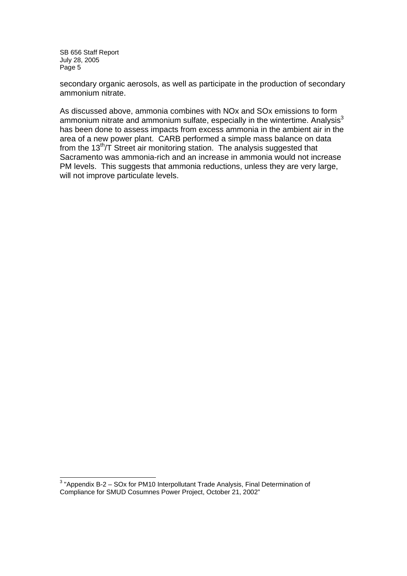secondary organic aerosols, as well as participate in the production of secondary ammonium nitrate.

As discussed above, ammonia combines with NOx and SOx emissions to form ammonium nitrate and ammonium sulfate, especially in the wintertime. Analysis $3$ has been done to assess impacts from excess ammonia in the ambient air in the area of a new power plant. CARB performed a simple mass balance on data from the  $13<sup>th</sup>/T$  Street air monitoring station. The analysis suggested that Sacramento was ammonia-rich and an increase in ammonia would not increase PM levels. This suggests that ammonia reductions, unless they are very large, will not improve particulate levels.

 $3$  "Appendix B-2 – SOx for PM10 Interpollutant Trade Analysis, Final Determination of Compliance for SMUD Cosumnes Power Project, October 21, 2002"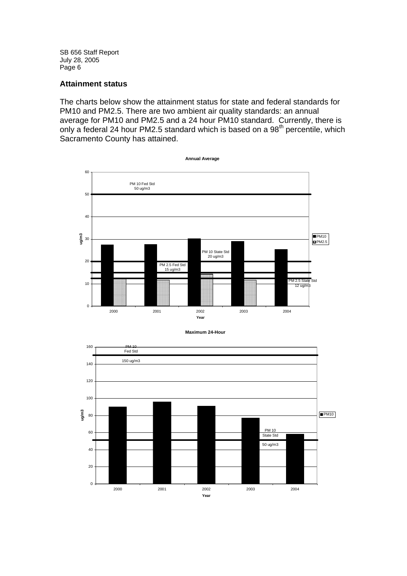### **Attainment status**

The charts below show the attainment status for state and federal standards for PM10 and PM2.5. There are two ambient air quality standards: an annual average for PM10 and PM2.5 and a 24 hour PM10 standard. Currently, there is only a federal 24 hour PM2.5 standard which is based on a  $98<sup>th</sup>$  percentile, which Sacramento County has attained.



**Maximum 24-Hour**

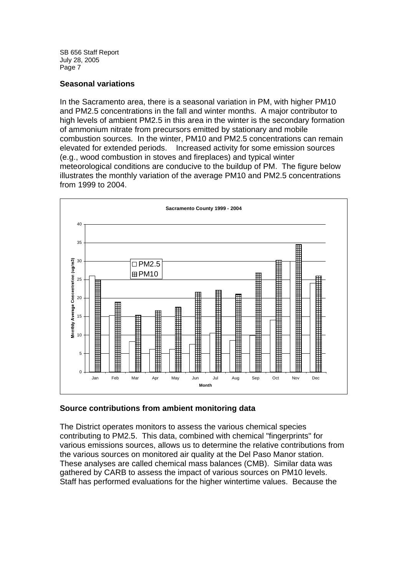# **Seasonal variations**

In the Sacramento area, there is a seasonal variation in PM, with higher PM10 and PM2.5 concentrations in the fall and winter months. A major contributor to high levels of ambient PM2.5 in this area in the winter is the secondary formation of ammonium nitrate from precursors emitted by stationary and mobile combustion sources. In the winter, PM10 and PM2.5 concentrations can remain elevated for extended periods. Increased activity for some emission sources (e.g., wood combustion in stoves and fireplaces) and typical winter meteorological conditions are conducive to the buildup of PM. The figure below illustrates the monthly variation of the average PM10 and PM2.5 concentrations from 1999 to 2004.



# **Source contributions from ambient monitoring data**

The District operates monitors to assess the various chemical species contributing to PM2.5. This data, combined with chemical "fingerprints" for various emissions sources, allows us to determine the relative contributions from the various sources on monitored air quality at the Del Paso Manor station. These analyses are called chemical mass balances (CMB). Similar data was gathered by CARB to assess the impact of various sources on PM10 levels. Staff has performed evaluations for the higher wintertime values. Because the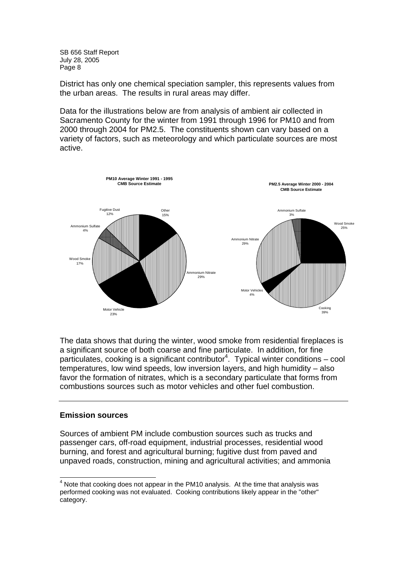District has only one chemical speciation sampler, this represents values from the urban areas. The results in rural areas may differ.

Data for the illustrations below are from analysis of ambient air collected in Sacramento County for the winter from 1991 through 1996 for PM10 and from 2000 through 2004 for PM2.5. The constituents shown can vary based on a variety of factors, such as meteorology and which particulate sources are most active.



The data shows that during the winter, wood smoke from residential fireplaces is a significant source of both coarse and fine particulate. In addition, for fine particulates, cooking is a significant contributor<sup>4</sup>. Typical winter conditions  $-$  cool temperatures, low wind speeds, low inversion layers, and high humidity – also favor the formation of nitrates, which is a secondary particulate that forms from combustions sources such as motor vehicles and other fuel combustion.

### **Emission sources**

Sources of ambient PM include combustion sources such as trucks and passenger cars, off-road equipment, industrial processes, residential wood burning, and forest and agricultural burning; fugitive dust from paved and unpaved roads, construction, mining and agricultural activities; and ammonia

 $4$  Note that cooking does not appear in the PM10 analysis. At the time that analysis was performed cooking was not evaluated. Cooking contributions likely appear in the "other" category.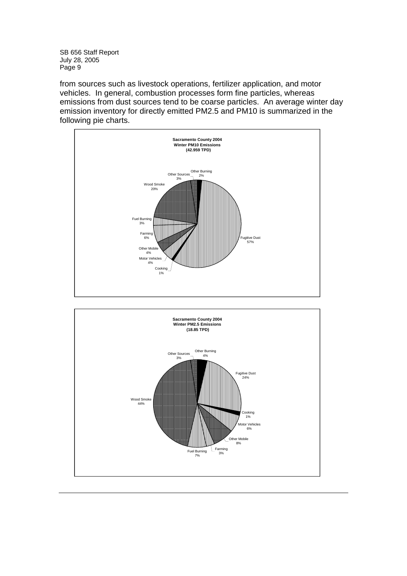from sources such as livestock operations, fertilizer application, and motor vehicles. In general, combustion processes form fine particles, whereas emissions from dust sources tend to be coarse particles. An average winter day emission inventory for directly emitted PM2.5 and PM10 is summarized in the following pie charts.



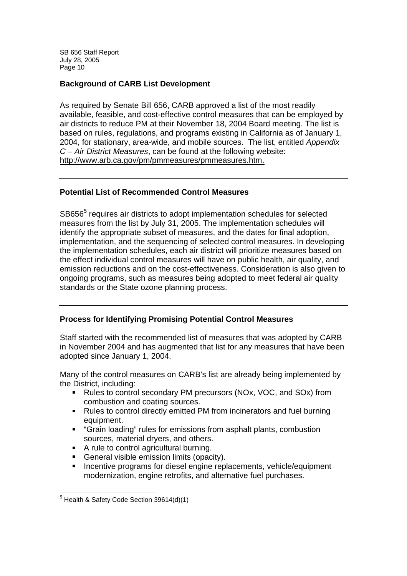# **Background of CARB List Development**

As required by Senate Bill 656, CARB approved a list of the most readily available, feasible, and cost-effective control measures that can be employed by air districts to reduce PM at their November 18, 2004 Board meeting. The list is based on rules, regulations, and programs existing in California as of January 1, 2004, for stationary, area-wide, and mobile sources. The list, entitled *Appendix C – Air District Measures*, can be found at the following website: http://www.arb.ca.gov/pm/pmmeasures/pmmeasures.htm.

# **Potential List of Recommended Control Measures**

SB656<sup>5</sup> requires air districts to adopt implementation schedules for selected measures from the list by July 31, 2005. The implementation schedules will identify the appropriate subset of measures, and the dates for final adoption, implementation, and the sequencing of selected control measures. In developing the implementation schedules, each air district will prioritize measures based on the effect individual control measures will have on public health, air quality, and emission reductions and on the cost-effectiveness. Consideration is also given to ongoing programs, such as measures being adopted to meet federal air quality standards or the State ozone planning process.

# **Process for Identifying Promising Potential Control Measures**

Staff started with the recommended list of measures that was adopted by CARB in November 2004 and has augmented that list for any measures that have been adopted since January 1, 2004.

Many of the control measures on CARB's list are already being implemented by the District, including:

- Rules to control secondary PM precursors (NOx, VOC, and SOx) from combustion and coating sources.
- Rules to control directly emitted PM from incinerators and fuel burning equipment.
- **EXT** "Grain loading" rules for emissions from asphalt plants, combustion sources, material dryers, and others.
- A rule to control agricultural burning.
- General visible emission limits (opacity).
- **Incentive programs for diesel engine replacements, vehicle/equipment** modernization, engine retrofits, and alternative fuel purchases.

<sup>5</sup> Health & Safety Code Section 39614(d)(1)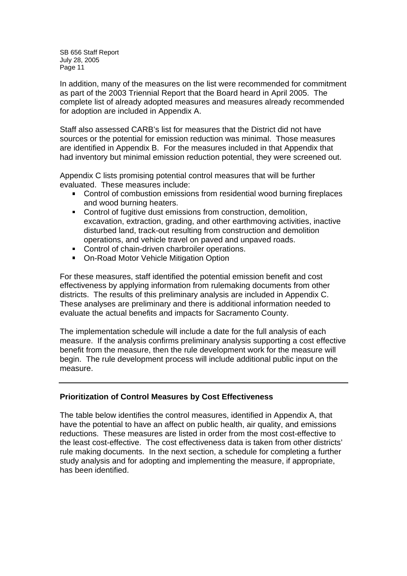In addition, many of the measures on the list were recommended for commitment as part of the 2003 Triennial Report that the Board heard in April 2005. The complete list of already adopted measures and measures already recommended for adoption are included in Appendix A.

Staff also assessed CARB's list for measures that the District did not have sources or the potential for emission reduction was minimal. Those measures are identified in Appendix B. For the measures included in that Appendix that had inventory but minimal emission reduction potential, they were screened out.

Appendix C lists promising potential control measures that will be further evaluated. These measures include:

- Control of combustion emissions from residential wood burning fireplaces and wood burning heaters.
- **Control of fugitive dust emissions from construction, demolition,** excavation, extraction, grading, and other earthmoving activities, inactive disturbed land, track-out resulting from construction and demolition operations, and vehicle travel on paved and unpaved roads.
- **Control of chain-driven charbroiler operations.**
- **On-Road Motor Vehicle Mitigation Option**

For these measures, staff identified the potential emission benefit and cost effectiveness by applying information from rulemaking documents from other districts. The results of this preliminary analysis are included in Appendix C. These analyses are preliminary and there is additional information needed to evaluate the actual benefits and impacts for Sacramento County.

The implementation schedule will include a date for the full analysis of each measure. If the analysis confirms preliminary analysis supporting a cost effective benefit from the measure, then the rule development work for the measure will begin. The rule development process will include additional public input on the measure.

# **Prioritization of Control Measures by Cost Effectiveness**

The table below identifies the control measures, identified in Appendix A, that have the potential to have an affect on public health, air quality, and emissions reductions. These measures are listed in order from the most cost-effective to the least cost-effective. The cost effectiveness data is taken from other districts' rule making documents. In the next section, a schedule for completing a further study analysis and for adopting and implementing the measure, if appropriate, has been identified.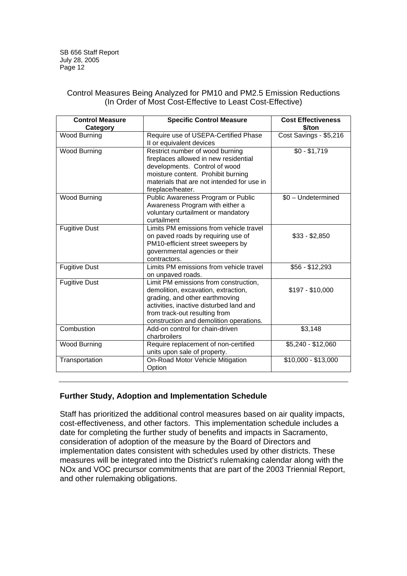> Control Measures Being Analyzed for PM10 and PM2.5 Emission Reductions (In Order of Most Cost-Effective to Least Cost-Effective)

| <b>Control Measure</b><br>Category | <b>Specific Control Measure</b>                                                                                                                                                                                                       | <b>Cost Effectiveness</b><br>$$$ /ton |
|------------------------------------|---------------------------------------------------------------------------------------------------------------------------------------------------------------------------------------------------------------------------------------|---------------------------------------|
| <b>Wood Burning</b>                | Require use of USEPA-Certified Phase<br>II or equivalent devices                                                                                                                                                                      | Cost Savings - \$5,216                |
| <b>Wood Burning</b>                | Restrict number of wood burning<br>fireplaces allowed in new residential<br>developments. Control of wood<br>moisture content. Prohibit burning<br>materials that are not intended for use in<br>fireplace/heater.                    | $$0 - $1,719$                         |
| Wood Burning                       | Public Awareness Program or Public<br>Awareness Program with either a<br>voluntary curtailment or mandatory<br>curtailment                                                                                                            | \$0 - Undetermined                    |
| <b>Fugitive Dust</b>               | Limits PM emissions from vehicle travel<br>on paved roads by requiring use of<br>PM10-efficient street sweepers by<br>governmental agencies or their<br>contractors.                                                                  | $$33 - $2,850$                        |
| <b>Fugitive Dust</b>               | Limits PM emissions from vehicle travel<br>on unpaved roads.                                                                                                                                                                          | $$56 - $12,293$                       |
| <b>Fugitive Dust</b>               | Limit PM emissions from construction,<br>demolition, excavation, extraction,<br>grading, and other earthmoving<br>activities, inactive disturbed land and<br>from track-out resulting from<br>construction and demolition operations. | $$197 - $10,000$                      |
| Combustion                         | Add-on control for chain-driven<br>charbroilers                                                                                                                                                                                       | \$3,148                               |
| <b>Wood Burning</b>                | Require replacement of non-certified<br>units upon sale of property.                                                                                                                                                                  | $$5,240 - $12,060$                    |
| Transportation                     | On-Road Motor Vehicle Mitigation<br>Option                                                                                                                                                                                            | \$10,000 - \$13,000                   |

# **Further Study, Adoption and Implementation Schedule**

Staff has prioritized the additional control measures based on air quality impacts, cost-effectiveness, and other factors. This implementation schedule includes a date for completing the further study of benefits and impacts in Sacramento, consideration of adoption of the measure by the Board of Directors and implementation dates consistent with schedules used by other districts. These measures will be integrated into the District's rulemaking calendar along with the NOx and VOC precursor commitments that are part of the 2003 Triennial Report, and other rulemaking obligations.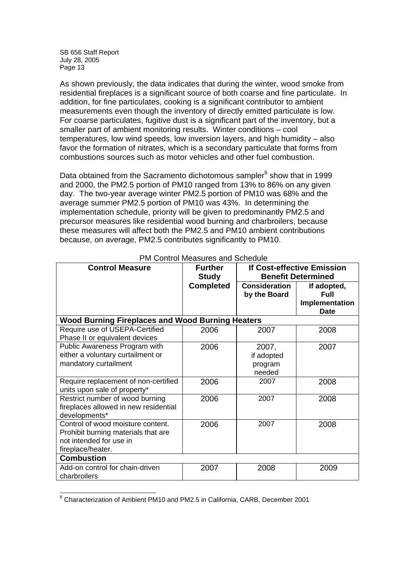As shown previously, the data indicates that during the winter, wood smoke from residential fireplaces is a significant source of both coarse and fine particulate. In addition, for fine particulates, cooking is a significant contributor to ambient measurements even though the inventory of directly emitted particulate is low. For coarse particulates, fugitive dust is a significant part of the inventory, but a smaller part of ambient monitoring results. Winter conditions – cool temperatures, low wind speeds, low inversion layers, and high humidity – also favor the formation of nitrates, which is a secondary particulate that forms from combustions sources such as motor vehicles and other fuel combustion.

Data obtained from the Sacramento dichotomous sampler<sup>6</sup> show that in 1999 and 2000, the PM2.5 portion of PM10 ranged from 13% to 86% on any given day. The two-year average winter PM2.5 portion of PM10 was 68% and the average summer PM2.5 portion of PM10 was 43%. In determining the implementation schedule, priority will be given to predominantly PM2.5 and precursor measures like residential wood burning and charbroilers, because these measures will affect both the PM2.5 and PM10 ambient contributions because, on average, PM2.5 contributes significantly to PM10.

| <b>Control Measure</b>                                  | <b>Further</b>   | <b>If Cost-effective Emission</b> |                |  |
|---------------------------------------------------------|------------------|-----------------------------------|----------------|--|
|                                                         | <b>Study</b>     | <b>Benefit Determined</b>         |                |  |
|                                                         | <b>Completed</b> | <b>Consideration</b>              | If adopted,    |  |
|                                                         |                  | by the Board                      | <b>Full</b>    |  |
|                                                         |                  |                                   | Implementation |  |
|                                                         |                  |                                   | <b>Date</b>    |  |
| <b>Wood Burning Fireplaces and Wood Burning Heaters</b> |                  |                                   |                |  |
| Require use of USEPA-Certified                          | 2006             | 2007                              | 2008           |  |
| Phase II or equivalent devices                          |                  |                                   |                |  |
| Public Awareness Program with                           | 2006             | 2007,                             | 2007           |  |
| either a voluntary curtailment or                       |                  | if adopted                        |                |  |
| mandatory curtailment                                   |                  | program                           |                |  |
|                                                         |                  | needed                            |                |  |
| Require replacement of non-certified                    | 2006             | 2007                              | 2008           |  |
| units upon sale of property*                            |                  |                                   |                |  |
| Restrict number of wood burning                         | 2006             | 2007                              | 2008           |  |
| fireplaces allowed in new residential                   |                  |                                   |                |  |
| developments*                                           |                  |                                   |                |  |
| Control of wood moisture content.                       | 2006             | 2007                              | 2008           |  |
| Prohibit burning materials that are                     |                  |                                   |                |  |
| not intended for use in                                 |                  |                                   |                |  |
| fireplace/heater.                                       |                  |                                   |                |  |
| <b>Combustion</b>                                       |                  |                                   |                |  |
| Add-on control for chain-driven                         | 2007             | 2008                              | 2009           |  |
| charbroilers                                            |                  |                                   |                |  |

PM Control Measures and Schedule

<sup>6</sup> Characterization of Ambient PM10 and PM2.5 in California, CARB, December 2001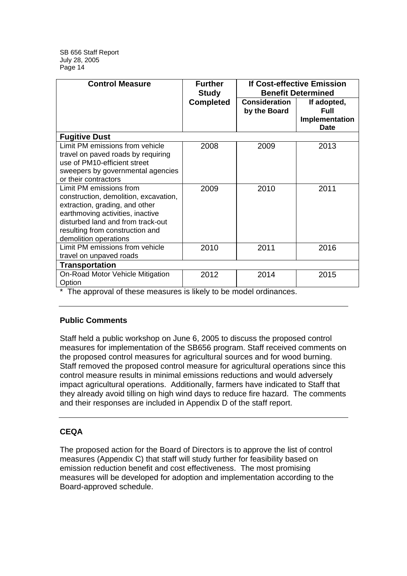| <b>Control Measure</b>                                                                                                                                                                                                                  | <b>Further</b><br><b>Study</b> | <b>If Cost-effective Emission</b><br><b>Benefit Determined</b> |                                                             |  |  |
|-----------------------------------------------------------------------------------------------------------------------------------------------------------------------------------------------------------------------------------------|--------------------------------|----------------------------------------------------------------|-------------------------------------------------------------|--|--|
|                                                                                                                                                                                                                                         | <b>Completed</b>               | <b>Consideration</b><br>by the Board                           | If adopted,<br><b>Full</b><br>Implementation<br><b>Date</b> |  |  |
| <b>Fugitive Dust</b>                                                                                                                                                                                                                    |                                |                                                                |                                                             |  |  |
| Limit PM emissions from vehicle<br>travel on paved roads by requiring<br>use of PM10-efficient street<br>sweepers by governmental agencies<br>or their contractors                                                                      | 2008                           | 2009                                                           | 2013                                                        |  |  |
| Limit PM emissions from<br>construction, demolition, excavation,<br>extraction, grading, and other<br>earthmoving activities, inactive<br>disturbed land and from track-out<br>resulting from construction and<br>demolition operations | 2009                           | 2010                                                           | 2011                                                        |  |  |
| Limit PM emissions from vehicle<br>travel on unpaved roads                                                                                                                                                                              | 2010                           | 2011                                                           | 2016                                                        |  |  |
| <b>Transportation</b>                                                                                                                                                                                                                   |                                |                                                                |                                                             |  |  |
| On-Road Motor Vehicle Mitigation<br>Option<br>* The ennrough of these messoures is likely to be model erdinances                                                                                                                        | 2012                           | 2014                                                           | 2015                                                        |  |  |

The approval of these measures is likely to be model ordinances.

# **Public Comments**

Staff held a public workshop on June 6, 2005 to discuss the proposed control measures for implementation of the SB656 program. Staff received comments on the proposed control measures for agricultural sources and for wood burning. Staff removed the proposed control measure for agricultural operations since this control measure results in minimal emissions reductions and would adversely impact agricultural operations. Additionally, farmers have indicated to Staff that they already avoid tilling on high wind days to reduce fire hazard. The comments and their responses are included in Appendix D of the staff report.

# **CEQA**

The proposed action for the Board of Directors is to approve the list of control measures (Appendix C) that staff will study further for feasibility based on emission reduction benefit and cost effectiveness. The most promising measures will be developed for adoption and implementation according to the Board-approved schedule.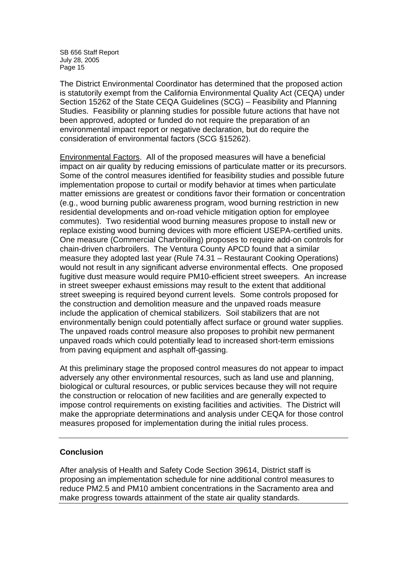The District Environmental Coordinator has determined that the proposed action is statutorily exempt from the California Environmental Quality Act (CEQA) under Section 15262 of the State CEQA Guidelines (SCG) – Feasibility and Planning Studies. Feasibility or planning studies for possible future actions that have not been approved, adopted or funded do not require the preparation of an environmental impact report or negative declaration, but do require the consideration of environmental factors (SCG §15262).

Environmental Factors. All of the proposed measures will have a beneficial impact on air quality by reducing emissions of particulate matter or its precursors. Some of the control measures identified for feasibility studies and possible future implementation propose to curtail or modify behavior at times when particulate matter emissions are greatest or conditions favor their formation or concentration (e.g., wood burning public awareness program, wood burning restriction in new residential developments and on-road vehicle mitigation option for employee commutes). Two residential wood burning measures propose to install new or replace existing wood burning devices with more efficient USEPA-certified units. One measure (Commercial Charbroiling) proposes to require add-on controls for chain-driven charbroilers. The Ventura County APCD found that a similar measure they adopted last year (Rule 74.31 – Restaurant Cooking Operations) would not result in any significant adverse environmental effects. One proposed fugitive dust measure would require PM10-efficient street sweepers. An increase in street sweeper exhaust emissions may result to the extent that additional street sweeping is required beyond current levels. Some controls proposed for the construction and demolition measure and the unpaved roads measure include the application of chemical stabilizers. Soil stabilizers that are not environmentally benign could potentially affect surface or ground water supplies. The unpaved roads control measure also proposes to prohibit new permanent unpaved roads which could potentially lead to increased short-term emissions from paving equipment and asphalt off-gassing.

At this preliminary stage the proposed control measures do not appear to impact adversely any other environmental resources, such as land use and planning, biological or cultural resources, or public services because they will not require the construction or relocation of new facilities and are generally expected to impose control requirements on existing facilities and activities. The District will make the appropriate determinations and analysis under CEQA for those control measures proposed for implementation during the initial rules process.

# **Conclusion**

After analysis of Health and Safety Code Section 39614, District staff is proposing an implementation schedule for nine additional control measures to reduce PM2.5 and PM10 ambient concentrations in the Sacramento area and make progress towards attainment of the state air quality standards.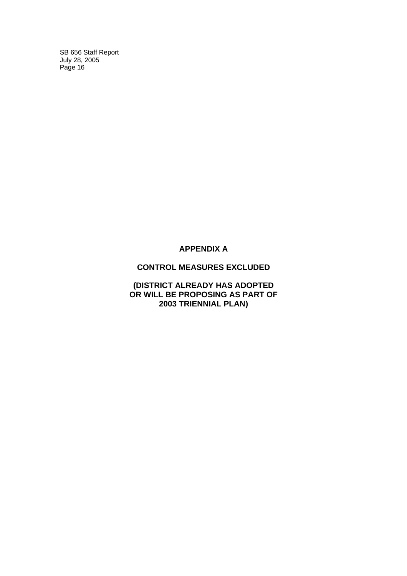# **APPENDIX A**

# **CONTROL MEASURES EXCLUDED**

# **(DISTRICT ALREADY HAS ADOPTED OR WILL BE PROPOSING AS PART OF 2003 TRIENNIAL PLAN)**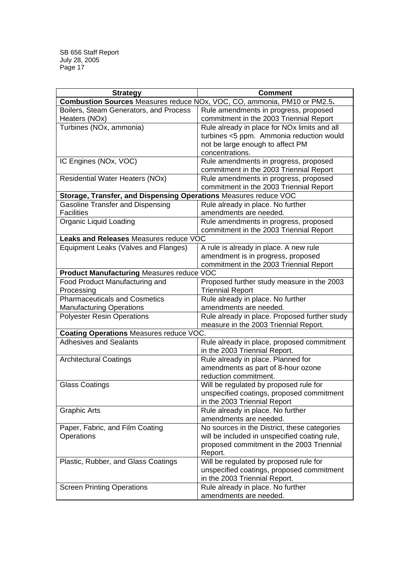| <b>Strategy</b>                                                          | <b>Comment</b>                                           |  |  |  |
|--------------------------------------------------------------------------|----------------------------------------------------------|--|--|--|
| Combustion Sources Measures reduce NOx, VOC, CO, ammonia, PM10 or PM2.5. |                                                          |  |  |  |
| Boilers, Steam Generators, and Process                                   | Rule amendments in progress, proposed                    |  |  |  |
| Heaters (NOx)                                                            | commitment in the 2003 Triennial Report                  |  |  |  |
| Turbines (NOx, ammonia)                                                  | Rule already in place for NO <sub>x</sub> limits and all |  |  |  |
|                                                                          | turbines <5 ppm. Ammonia reduction would                 |  |  |  |
|                                                                          | not be large enough to affect PM                         |  |  |  |
|                                                                          | concentrations.                                          |  |  |  |
| IC Engines (NOx, VOC)                                                    | Rule amendments in progress, proposed                    |  |  |  |
|                                                                          | commitment in the 2003 Triennial Report                  |  |  |  |
| <b>Residential Water Heaters (NOx)</b>                                   | Rule amendments in progress, proposed                    |  |  |  |
|                                                                          | commitment in the 2003 Triennial Report                  |  |  |  |
| Storage, Transfer, and Dispensing Operations Measures reduce VOC         |                                                          |  |  |  |
| <b>Gasoline Transfer and Dispensing</b>                                  | Rule already in place. No further                        |  |  |  |
| <b>Facilities</b>                                                        | amendments are needed.                                   |  |  |  |
| Organic Liquid Loading                                                   | Rule amendments in progress, proposed                    |  |  |  |
|                                                                          | commitment in the 2003 Triennial Report                  |  |  |  |
| Leaks and Releases Measures reduce VOC                                   |                                                          |  |  |  |
| Equipment Leaks (Valves and Flanges)                                     | A rule is already in place. A new rule                   |  |  |  |
|                                                                          | amendment is in progress, proposed                       |  |  |  |
|                                                                          | commitment in the 2003 Triennial Report                  |  |  |  |
| Product Manufacturing Measures reduce VOC                                |                                                          |  |  |  |
| Food Product Manufacturing and                                           | Proposed further study measure in the 2003               |  |  |  |
| Processing                                                               | <b>Triennial Report</b>                                  |  |  |  |
| <b>Pharmaceuticals and Cosmetics</b>                                     | Rule already in place. No further                        |  |  |  |
| <b>Manufacturing Operations</b>                                          | amendments are needed.                                   |  |  |  |
| <b>Polyester Resin Operations</b>                                        | Rule already in place. Proposed further study            |  |  |  |
|                                                                          | measure in the 2003 Triennial Report.                    |  |  |  |
| <b>Coating Operations Measures reduce VOC.</b>                           |                                                          |  |  |  |
| <b>Adhesives and Sealants</b>                                            | Rule already in place, proposed commitment               |  |  |  |
|                                                                          | in the 2003 Triennial Report.                            |  |  |  |
| <b>Architectural Coatings</b>                                            | Rule already in place. Planned for                       |  |  |  |
|                                                                          | amendments as part of 8-hour ozone                       |  |  |  |
|                                                                          | reduction commitment.                                    |  |  |  |
| <b>Glass Coatings</b>                                                    | Will be regulated by proposed rule for                   |  |  |  |
|                                                                          | unspecified coatings, proposed commitment                |  |  |  |
|                                                                          | in the 2003 Triennial Report                             |  |  |  |
| <b>Graphic Arts</b>                                                      | Rule already in place. No further                        |  |  |  |
|                                                                          | amendments are needed.                                   |  |  |  |
| Paper, Fabric, and Film Coating                                          | No sources in the District, these categories             |  |  |  |
| Operations                                                               | will be included in unspecified coating rule,            |  |  |  |
|                                                                          | proposed commitment in the 2003 Triennial                |  |  |  |
|                                                                          | Report.                                                  |  |  |  |
| Plastic, Rubber, and Glass Coatings                                      | Will be regulated by proposed rule for                   |  |  |  |
|                                                                          | unspecified coatings, proposed commitment                |  |  |  |
|                                                                          | in the 2003 Triennial Report.                            |  |  |  |
| <b>Screen Printing Operations</b>                                        | Rule already in place. No further                        |  |  |  |
|                                                                          | amendments are needed.                                   |  |  |  |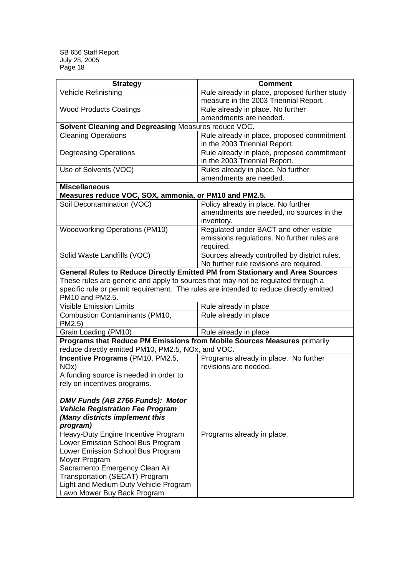| <b>Strategy</b>                                                                  | <b>Comment</b>                                                                         |  |  |
|----------------------------------------------------------------------------------|----------------------------------------------------------------------------------------|--|--|
| Vehicle Refinishing                                                              | Rule already in place, proposed further study                                          |  |  |
|                                                                                  | measure in the 2003 Triennial Report.                                                  |  |  |
| <b>Wood Products Coatings</b>                                                    | Rule already in place. No further                                                      |  |  |
|                                                                                  | amendments are needed.                                                                 |  |  |
| Solvent Cleaning and Degreasing Measures reduce VOC.                             |                                                                                        |  |  |
| <b>Cleaning Operations</b>                                                       | Rule already in place, proposed commitment                                             |  |  |
|                                                                                  | in the 2003 Triennial Report.                                                          |  |  |
| <b>Degreasing Operations</b>                                                     | Rule already in place, proposed commitment                                             |  |  |
|                                                                                  | in the 2003 Triennial Report.                                                          |  |  |
| Use of Solvents (VOC)                                                            | Rules already in place. No further                                                     |  |  |
|                                                                                  | amendments are needed.                                                                 |  |  |
| <b>Miscellaneous</b>                                                             |                                                                                        |  |  |
| Measures reduce VOC, SOX, ammonia, or PM10 and PM2.5.                            |                                                                                        |  |  |
| Soil Decontamination (VOC)                                                       | Policy already in place. No further                                                    |  |  |
|                                                                                  | amendments are needed, no sources in the                                               |  |  |
|                                                                                  | inventory.                                                                             |  |  |
| <b>Woodworking Operations (PM10)</b>                                             | Regulated under BACT and other visible                                                 |  |  |
|                                                                                  | emissions regulations. No further rules are                                            |  |  |
|                                                                                  | required.                                                                              |  |  |
| Solid Waste Landfills (VOC)                                                      | Sources already controlled by district rules.                                          |  |  |
|                                                                                  | No further rule revisions are required.                                                |  |  |
|                                                                                  | General Rules to Reduce Directly Emitted PM from Stationary and Area Sources           |  |  |
| These rules are generic and apply to sources that may not be regulated through a |                                                                                        |  |  |
|                                                                                  | specific rule or permit requirement. The rules are intended to reduce directly emitted |  |  |
| PM10 and PM2.5.                                                                  |                                                                                        |  |  |
| <b>Visible Emission Limits</b>                                                   | Rule already in place                                                                  |  |  |
| Combustion Contaminants (PM10,<br>PM2.5)                                         | Rule already in place                                                                  |  |  |
| Grain Loading (PM10)                                                             | Rule already in place                                                                  |  |  |
| Programs that Reduce PM Emissions from Mobile Sources Measures primarily         |                                                                                        |  |  |
| reduce directly emitted PM10, PM2.5, NOx, and VOC.                               |                                                                                        |  |  |
| Incentive Programs (PM10, PM2.5,                                                 | Programs already in place. No further                                                  |  |  |
| NO <sub>x</sub> )                                                                | revisions are needed.                                                                  |  |  |
| A funding source is needed in order to                                           |                                                                                        |  |  |
| rely on incentives programs.                                                     |                                                                                        |  |  |
|                                                                                  |                                                                                        |  |  |
| <b>DMV Funds (AB 2766 Funds): Motor</b>                                          |                                                                                        |  |  |
| <b>Vehicle Registration Fee Program</b>                                          |                                                                                        |  |  |
| (Many districts implement this                                                   |                                                                                        |  |  |
| program)                                                                         |                                                                                        |  |  |
| Heavy-Duty Engine Incentive Program                                              | Programs already in place.                                                             |  |  |
| Lower Emission School Bus Program                                                |                                                                                        |  |  |
| Lower Emission School Bus Program                                                |                                                                                        |  |  |
| Moyer Program                                                                    |                                                                                        |  |  |
| Sacramento Emergency Clean Air                                                   |                                                                                        |  |  |
| Transportation (SECAT) Program                                                   |                                                                                        |  |  |
| Light and Medium Duty Vehicle Program                                            |                                                                                        |  |  |
| Lawn Mower Buy Back Program                                                      |                                                                                        |  |  |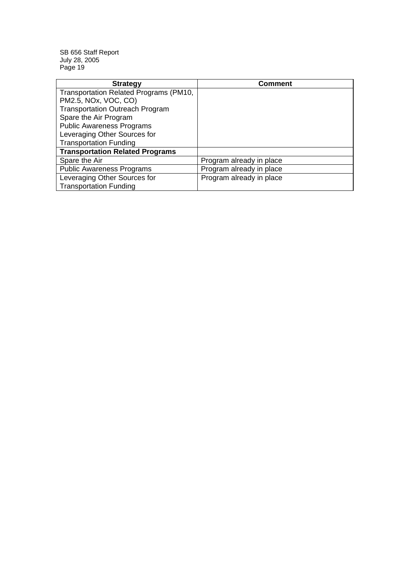| <b>Strategy</b>                        | <b>Comment</b>           |
|----------------------------------------|--------------------------|
| Transportation Related Programs (PM10, |                          |
| PM2.5, NOx, VOC, CO)                   |                          |
| <b>Transportation Outreach Program</b> |                          |
| Spare the Air Program                  |                          |
| <b>Public Awareness Programs</b>       |                          |
| Leveraging Other Sources for           |                          |
| <b>Transportation Funding</b>          |                          |
| <b>Transportation Related Programs</b> |                          |
| Spare the Air                          | Program already in place |
| <b>Public Awareness Programs</b>       | Program already in place |
| Leveraging Other Sources for           | Program already in place |
| <b>Transportation Funding</b>          |                          |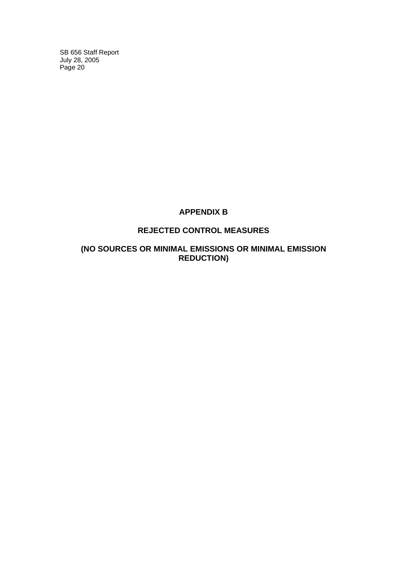# **APPENDIX B**

# **REJECTED CONTROL MEASURES**

# **(NO SOURCES OR MINIMAL EMISSIONS OR MINIMAL EMISSION REDUCTION)**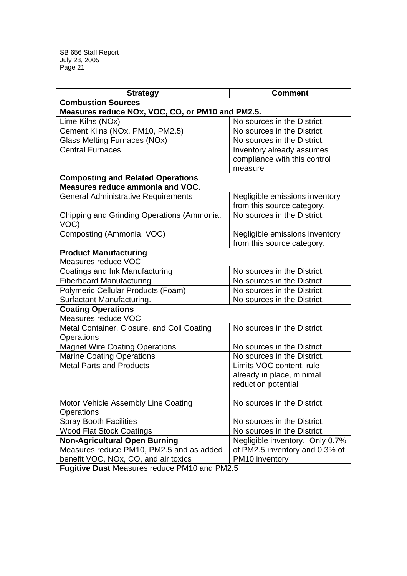| <b>Strategy</b>                                    | <b>Comment</b>                  |  |  |  |  |
|----------------------------------------------------|---------------------------------|--|--|--|--|
| <b>Combustion Sources</b>                          |                                 |  |  |  |  |
| Measures reduce NOx, VOC, CO, or PM10 and PM2.5.   |                                 |  |  |  |  |
| Lime Kilns (NOx)                                   | No sources in the District.     |  |  |  |  |
| Cement Kilns (NOx, PM10, PM2.5)                    | No sources in the District.     |  |  |  |  |
| <b>Glass Melting Furnaces (NOx)</b>                | No sources in the District.     |  |  |  |  |
| <b>Central Furnaces</b>                            | Inventory already assumes       |  |  |  |  |
|                                                    | compliance with this control    |  |  |  |  |
|                                                    | measure                         |  |  |  |  |
| <b>Composting and Related Operations</b>           |                                 |  |  |  |  |
| <b>Measures reduce ammonia and VOC.</b>            |                                 |  |  |  |  |
| <b>General Administrative Requirements</b>         | Negligible emissions inventory  |  |  |  |  |
|                                                    | from this source category.      |  |  |  |  |
| Chipping and Grinding Operations (Ammonia,<br>VOC) | No sources in the District.     |  |  |  |  |
| Composting (Ammonia, VOC)                          | Negligible emissions inventory  |  |  |  |  |
|                                                    | from this source category.      |  |  |  |  |
| <b>Product Manufacturing</b>                       |                                 |  |  |  |  |
| Measures reduce VOC                                |                                 |  |  |  |  |
| Coatings and Ink Manufacturing                     | No sources in the District.     |  |  |  |  |
| <b>Fiberboard Manufacturing</b>                    | No sources in the District.     |  |  |  |  |
| Polymeric Cellular Products (Foam)                 | No sources in the District.     |  |  |  |  |
| Surfactant Manufacturing.                          | No sources in the District.     |  |  |  |  |
| <b>Coating Operations</b>                          |                                 |  |  |  |  |
| Measures reduce VOC                                |                                 |  |  |  |  |
| Metal Container, Closure, and Coil Coating         | No sources in the District.     |  |  |  |  |
| Operations                                         |                                 |  |  |  |  |
| <b>Magnet Wire Coating Operations</b>              | No sources in the District.     |  |  |  |  |
| <b>Marine Coating Operations</b>                   | No sources in the District.     |  |  |  |  |
| <b>Metal Parts and Products</b>                    | Limits VOC content, rule        |  |  |  |  |
|                                                    | already in place, minimal       |  |  |  |  |
|                                                    | reduction potential             |  |  |  |  |
|                                                    |                                 |  |  |  |  |
| Motor Vehicle Assembly Line Coating                | No sources in the District.     |  |  |  |  |
| Operations                                         |                                 |  |  |  |  |
| <b>Spray Booth Facilities</b>                      | No sources in the District.     |  |  |  |  |
| <b>Wood Flat Stock Coatings</b>                    | No sources in the District.     |  |  |  |  |
| <b>Non-Agricultural Open Burning</b>               | Negligible inventory. Only 0.7% |  |  |  |  |
| Measures reduce PM10, PM2.5 and as added           | of PM2.5 inventory and 0.3% of  |  |  |  |  |
| benefit VOC, NOx, CO, and air toxics               | PM10 inventory                  |  |  |  |  |
| Fugitive Dust Measures reduce PM10 and PM2.5       |                                 |  |  |  |  |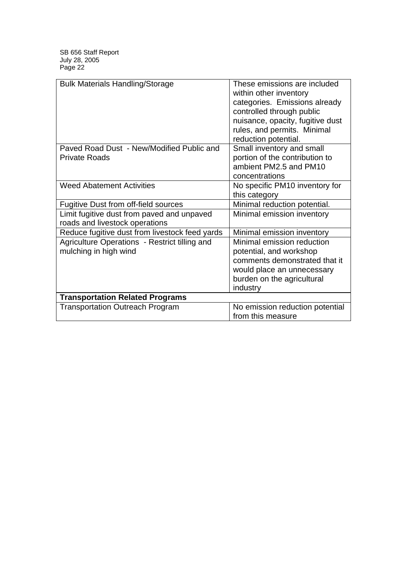| <b>Bulk Materials Handling/Storage</b>                                       | These emissions are included<br>within other inventory<br>categories. Emissions already<br>controlled through public<br>nuisance, opacity, fugitive dust<br>rules, and permits. Minimal<br>reduction potential. |
|------------------------------------------------------------------------------|-----------------------------------------------------------------------------------------------------------------------------------------------------------------------------------------------------------------|
| Paved Road Dust - New/Modified Public and<br><b>Private Roads</b>            | Small inventory and small<br>portion of the contribution to<br>ambient PM2.5 and PM10<br>concentrations                                                                                                         |
| <b>Weed Abatement Activities</b>                                             | No specific PM10 inventory for<br>this category                                                                                                                                                                 |
| Fugitive Dust from off-field sources                                         | Minimal reduction potential.                                                                                                                                                                                    |
| Limit fugitive dust from paved and unpaved<br>roads and livestock operations | Minimal emission inventory                                                                                                                                                                                      |
| Reduce fugitive dust from livestock feed yards                               | Minimal emission inventory                                                                                                                                                                                      |
| Agriculture Operations - Restrict tilling and<br>mulching in high wind       | Minimal emission reduction<br>potential, and workshop<br>comments demonstrated that it<br>would place an unnecessary<br>burden on the agricultural<br>industry                                                  |
| <b>Transportation Related Programs</b>                                       |                                                                                                                                                                                                                 |
| <b>Transportation Outreach Program</b>                                       | No emission reduction potential<br>from this measure                                                                                                                                                            |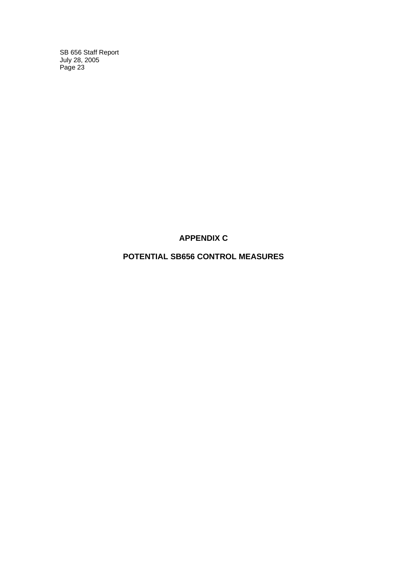**APPENDIX C**

**POTENTIAL SB656 CONTROL MEASURES**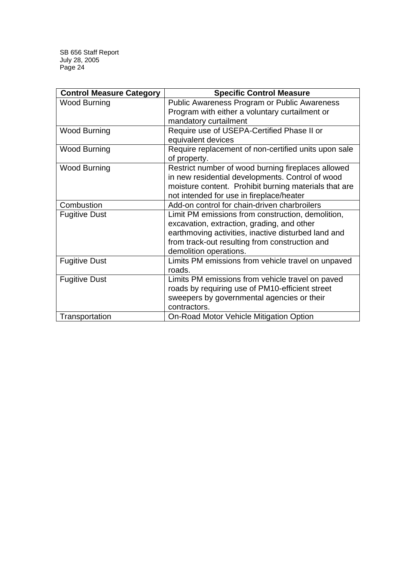| <b>Control Measure Category</b> | <b>Specific Control Measure</b>                       |  |  |
|---------------------------------|-------------------------------------------------------|--|--|
| <b>Wood Burning</b>             | <b>Public Awareness Program or Public Awareness</b>   |  |  |
|                                 | Program with either a voluntary curtailment or        |  |  |
|                                 | mandatory curtailment                                 |  |  |
| <b>Wood Burning</b>             | Require use of USEPA-Certified Phase II or            |  |  |
|                                 | equivalent devices                                    |  |  |
| <b>Wood Burning</b>             | Require replacement of non-certified units upon sale  |  |  |
|                                 | of property.                                          |  |  |
| <b>Wood Burning</b>             | Restrict number of wood burning fireplaces allowed    |  |  |
|                                 | in new residential developments. Control of wood      |  |  |
|                                 | moisture content. Prohibit burning materials that are |  |  |
|                                 | not intended for use in fireplace/heater              |  |  |
| Combustion                      | Add-on control for chain-driven charbroilers          |  |  |
| <b>Fugitive Dust</b>            | Limit PM emissions from construction, demolition,     |  |  |
|                                 | excavation, extraction, grading, and other            |  |  |
|                                 | earthmoving activities, inactive disturbed land and   |  |  |
|                                 | from track-out resulting from construction and        |  |  |
|                                 | demolition operations.                                |  |  |
| <b>Fugitive Dust</b>            | Limits PM emissions from vehicle travel on unpaved    |  |  |
|                                 | roads.                                                |  |  |
| <b>Fugitive Dust</b>            | Limits PM emissions from vehicle travel on paved      |  |  |
|                                 | roads by requiring use of PM10-efficient street       |  |  |
|                                 | sweepers by governmental agencies or their            |  |  |
|                                 | contractors.                                          |  |  |
| Transportation                  | <b>On-Road Motor Vehicle Mitigation Option</b>        |  |  |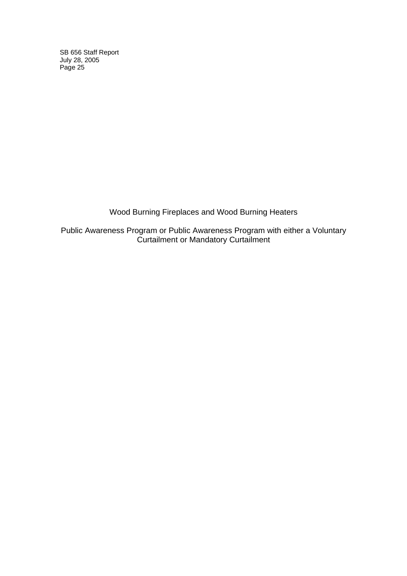Wood Burning Fireplaces and Wood Burning Heaters

Public Awareness Program or Public Awareness Program with either a Voluntary Curtailment or Mandatory Curtailment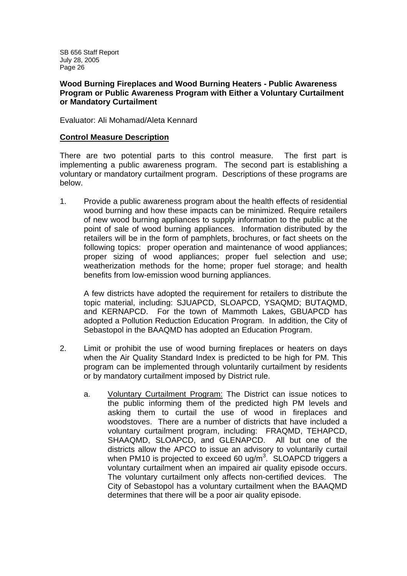### **Wood Burning Fireplaces and Wood Burning Heaters - Public Awareness Program or Public Awareness Program with Either a Voluntary Curtailment or Mandatory Curtailment**

Evaluator: Ali Mohamad/Aleta Kennard

# **Control Measure Description**

There are two potential parts to this control measure. The first part is implementing a public awareness program. The second part is establishing a voluntary or mandatory curtailment program. Descriptions of these programs are below.

1. Provide a public awareness program about the health effects of residential wood burning and how these impacts can be minimized. Require retailers of new wood burning appliances to supply information to the public at the point of sale of wood burning appliances. Information distributed by the retailers will be in the form of pamphlets, brochures, or fact sheets on the following topics: proper operation and maintenance of wood appliances; proper sizing of wood appliances; proper fuel selection and use; weatherization methods for the home; proper fuel storage; and health benefits from low-emission wood burning appliances.

A few districts have adopted the requirement for retailers to distribute the topic material, including: SJUAPCD, SLOAPCD, YSAQMD; BUTAQMD, and KERNAPCD. For the town of Mammoth Lakes, GBUAPCD has adopted a Pollution Reduction Education Program. In addition, the City of Sebastopol in the BAAQMD has adopted an Education Program.

- 2. Limit or prohibit the use of wood burning fireplaces or heaters on days when the Air Quality Standard Index is predicted to be high for PM. This program can be implemented through voluntarily curtailment by residents or by mandatory curtailment imposed by District rule.
	- a. Voluntary Curtailment Program: The District can issue notices to the public informing them of the predicted high PM levels and asking them to curtail the use of wood in fireplaces and woodstoves. There are a number of districts that have included a voluntary curtailment program, including: FRAQMD, TEHAPCD, SHAAQMD, SLOAPCD, and GLENAPCD. All but one of the districts allow the APCO to issue an advisory to voluntarily curtail when PM10 is projected to exceed 60 ug/m $^3$ . SLOAPCD triggers a voluntary curtailment when an impaired air quality episode occurs. The voluntary curtailment only affects non-certified devices. The City of Sebastopol has a voluntary curtailment when the BAAQMD determines that there will be a poor air quality episode.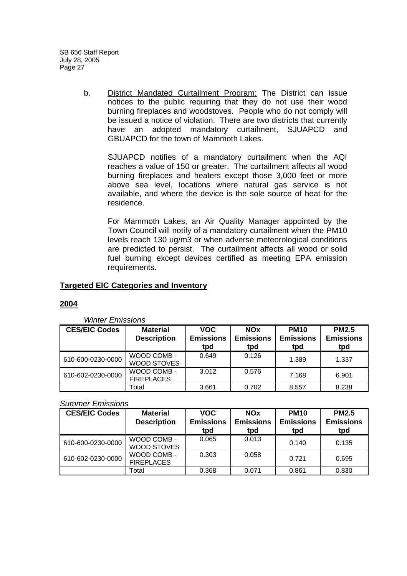> b. District Mandated Curtailment Program: The District can issue notices to the public requiring that they do not use their wood burning fireplaces and woodstoves. People who do not comply will be issued a notice of violation. There are two districts that currently have an adopted mandatory curtailment, SJUAPCD and GBUAPCD for the town of Mammoth Lakes.

SJUAPCD notifies of a mandatory curtailment when the AQI reaches a value of 150 or greater. The curtailment affects all wood burning fireplaces and heaters except those 3,000 feet or more above sea level, locations where natural gas service is not available, and where the device is the sole source of heat for the residence.

For Mammoth Lakes, an Air Quality Manager appointed by the Town Council will notify of a mandatory curtailment when the PM10 levels reach 130 ug/m3 or when adverse meteorological conditions are predicted to persist. The curtailment affects all wood or solid fuel burning except devices certified as meeting EPA emission requirements.

# **Targeted EIC Categories and Inventory**

### **2004**

| <b>CES/EIC Codes</b> | <b>Material</b><br><b>Description</b> | <b>VOC</b><br><b>Emissions</b><br>tpd | <b>NOx</b><br><b>Emissions</b><br>tpd | <b>PM10</b><br><b>Emissions</b><br>tpd | <b>PM2.5</b><br><b>Emissions</b><br>tpd |
|----------------------|---------------------------------------|---------------------------------------|---------------------------------------|----------------------------------------|-----------------------------------------|
| 610-600-0230-0000    | WOOD COMB-<br>WOOD STOVES             | 0.649                                 | 0.126                                 | 1.389                                  | 1.337                                   |
| 610-602-0230-0000    | WOOD COMB-<br><b>FIREPLACES</b>       | 3.012                                 | 0.576                                 | 7.168                                  | 6.901                                   |
|                      | Total                                 | 3.661                                 | 0.702                                 | 8.557                                  | 8.238                                   |

#### *Winter Emissions*

#### *Summer Emissions*

| <b>CES/EIC Codes</b> | <b>Material</b>    | <b>VOC</b>       | <b>NOx</b>       | <b>PM10</b>      | <b>PM2.5</b>     |
|----------------------|--------------------|------------------|------------------|------------------|------------------|
|                      | <b>Description</b> | <b>Emissions</b> | <b>Emissions</b> | <b>Emissions</b> | <b>Emissions</b> |
|                      |                    | tpd              | tpd              | tpd              | tpd              |
| 610-600-0230-0000    | WOOD COMB-         | 0.065            | 0.013            | 0.140            | 0.135            |
|                      | <b>WOOD STOVES</b> |                  |                  |                  |                  |
| 610-602-0230-0000    | WOOD COMB-         | 0.303            | 0.058            | 0.721            | 0.695            |
|                      | <b>FIREPLACES</b>  |                  |                  |                  |                  |
|                      | Total              | 0.368            | 0.071            | 0.861            | 0.830            |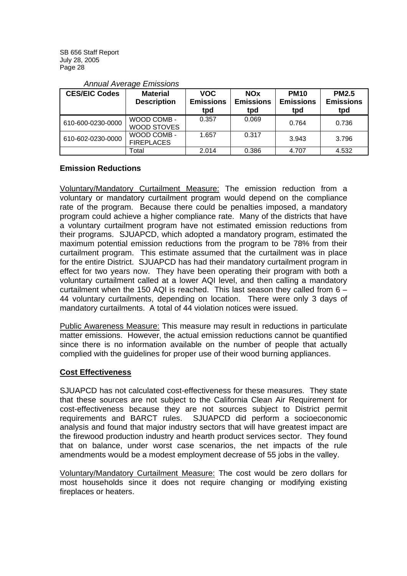| <b>CES/EIC Codes</b> | <b>Material</b><br><b>Description</b> | VOC.<br><b>Emissions</b><br>tpd | <b>NOx</b><br><b>Emissions</b><br>tpd | <b>PM10</b><br><b>Emissions</b><br>tpd | <b>PM2.5</b><br><b>Emissions</b><br>tpd |
|----------------------|---------------------------------------|---------------------------------|---------------------------------------|----------------------------------------|-----------------------------------------|
| 610-600-0230-0000    | WOOD COMB-<br><b>WOOD STOVES</b>      | 0.357                           | 0.069                                 | 0.764                                  | 0.736                                   |
| 610-602-0230-0000    | WOOD COMB-<br><b>FIREPLACES</b>       | 1.657                           | 0.317                                 | 3.943                                  | 3.796                                   |
|                      | Total                                 | 2.014                           | 0.386                                 | 4.707                                  | 4.532                                   |

### *Annual Average Emissions*

# **Emission Reductions**

Voluntary/Mandatory Curtailment Measure: The emission reduction from a voluntary or mandatory curtailment program would depend on the compliance rate of the program. Because there could be penalties imposed, a mandatory program could achieve a higher compliance rate. Many of the districts that have a voluntary curtailment program have not estimated emission reductions from their programs. SJUAPCD, which adopted a mandatory program, estimated the maximum potential emission reductions from the program to be 78% from their curtailment program. This estimate assumed that the curtailment was in place for the entire District. SJUAPCD has had their mandatory curtailment program in effect for two years now. They have been operating their program with both a voluntary curtailment called at a lower AQI level, and then calling a mandatory curtailment when the 150 AQI is reached. This last season they called from 6 – 44 voluntary curtailments, depending on location. There were only 3 days of mandatory curtailments. A total of 44 violation notices were issued.

Public Awareness Measure: This measure may result in reductions in particulate matter emissions. However, the actual emission reductions cannot be quantified since there is no information available on the number of people that actually complied with the guidelines for proper use of their wood burning appliances.

### **Cost Effectiveness**

SJUAPCD has not calculated cost-effectiveness for these measures. They state that these sources are not subject to the California Clean Air Requirement for cost-effectiveness because they are not sources subject to District permit requirements and BARCT rules. SJUAPCD did perform a socioeconomic analysis and found that major industry sectors that will have greatest impact are the firewood production industry and hearth product services sector. They found that on balance, under worst case scenarios, the net impacts of the rule amendments would be a modest employment decrease of 55 jobs in the valley.

Voluntary/Mandatory Curtailment Measure: The cost would be zero dollars for most households since it does not require changing or modifying existing fireplaces or heaters.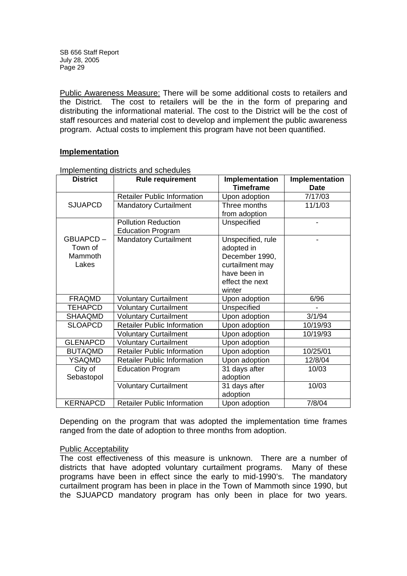Public Awareness Measure: There will be some additional costs to retailers and the District. The cost to retailers will be the in the form of preparing and distributing the informational material. The cost to the District will be the cost of staff resources and material cost to develop and implement the public awareness program. Actual costs to implement this program have not been quantified.

# **Implementation**

| <b>District</b> | <b>Rule requirement</b>                                | Implementation<br><b>Timeframe</b> | Implementation<br><b>Date</b> |
|-----------------|--------------------------------------------------------|------------------------------------|-------------------------------|
|                 | <b>Retailer Public Information</b>                     | Upon adoption                      | 7/17/03                       |
| <b>SJUAPCD</b>  | <b>Mandatory Curtailment</b>                           | Three months                       | 11/1/03                       |
|                 |                                                        | from adoption                      |                               |
|                 | <b>Pollution Reduction</b><br><b>Education Program</b> | Unspecified                        |                               |
| GBUAPCD-        | <b>Mandatory Curtailment</b>                           | Unspecified, rule                  |                               |
| Town of         |                                                        | adopted in                         |                               |
| Mammoth         |                                                        | December 1990,                     |                               |
| Lakes           |                                                        | curtailment may                    |                               |
|                 |                                                        | have been in                       |                               |
|                 |                                                        | effect the next                    |                               |
|                 |                                                        | winter                             |                               |
| <b>FRAQMD</b>   | <b>Voluntary Curtailment</b>                           | Upon adoption                      | 6/96                          |
| <b>TEHAPCD</b>  | <b>Voluntary Curtailment</b>                           | Unspecified                        |                               |
| <b>SHAAQMD</b>  | <b>Voluntary Curtailment</b>                           | Upon adoption                      | 3/1/94                        |
| <b>SLOAPCD</b>  | <b>Retailer Public Information</b>                     | Upon adoption                      | 10/19/93                      |
|                 | <b>Voluntary Curtailment</b>                           | Upon adoption                      | 10/19/93                      |
| <b>GLENAPCD</b> | <b>Voluntary Curtailment</b>                           | Upon adoption                      |                               |
| <b>BUTAQMD</b>  | <b>Retailer Public Information</b>                     | Upon adoption                      | 10/25/01                      |
| <b>YSAQMD</b>   | <b>Retailer Public Information</b>                     | Upon adoption                      | 12/8/04                       |
| City of         | <b>Education Program</b>                               | 31 days after                      | 10/03                         |
| Sebastopol      |                                                        | adoption                           |                               |
|                 | <b>Voluntary Curtailment</b>                           | 31 days after                      | 10/03                         |
|                 |                                                        | adoption                           |                               |
| <b>KERNAPCD</b> | <b>Retailer Public Information</b>                     | Upon adoption                      | 7/8/04                        |

Implementing districts and schedules

Depending on the program that was adopted the implementation time frames ranged from the date of adoption to three months from adoption.

### Public Acceptability

The cost effectiveness of this measure is unknown. There are a number of districts that have adopted voluntary curtailment programs. Many of these programs have been in effect since the early to mid-1990's. The mandatory curtailment program has been in place in the Town of Mammoth since 1990, but the SJUAPCD mandatory program has only been in place for two years.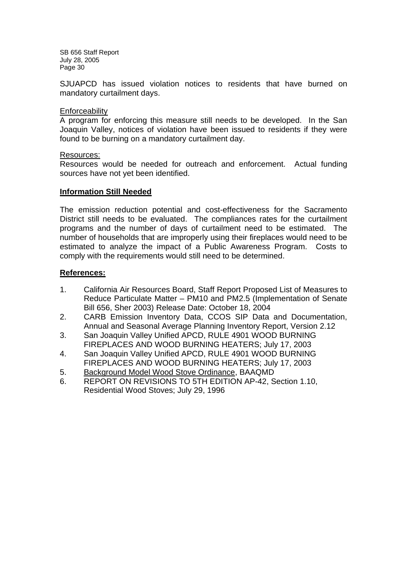SJUAPCD has issued violation notices to residents that have burned on mandatory curtailment days.

### **Enforceability**

A program for enforcing this measure still needs to be developed. In the San Joaquin Valley, notices of violation have been issued to residents if they were found to be burning on a mandatory curtailment day.

#### Resources:

Resources would be needed for outreach and enforcement. Actual funding sources have not yet been identified.

#### **Information Still Needed**

The emission reduction potential and cost-effectiveness for the Sacramento District still needs to be evaluated. The compliances rates for the curtailment programs and the number of days of curtailment need to be estimated. The number of households that are improperly using their fireplaces would need to be estimated to analyze the impact of a Public Awareness Program. Costs to comply with the requirements would still need to be determined.

#### **References:**

- 1. California Air Resources Board, Staff Report Proposed List of Measures to Reduce Particulate Matter – PM10 and PM2.5 (Implementation of Senate Bill 656, Sher 2003) Release Date: October 18, 2004
- 2. CARB Emission Inventory Data, CCOS SIP Data and Documentation, Annual and Seasonal Average Planning Inventory Report, Version 2.12
- 3. San Joaquin Valley Unified APCD, RULE 4901 WOOD BURNING FIREPLACES AND WOOD BURNING HEATERS; July 17, 2003
- 4. San Joaquin Valley Unified APCD, RULE 4901 WOOD BURNING FIREPLACES AND WOOD BURNING HEATERS; July 17, 2003
- 5. Background Model Wood Stove Ordinance, BAAQMD
- 6. REPORT ON REVISIONS TO 5TH EDITION AP-42, Section 1.10, Residential Wood Stoves; July 29, 1996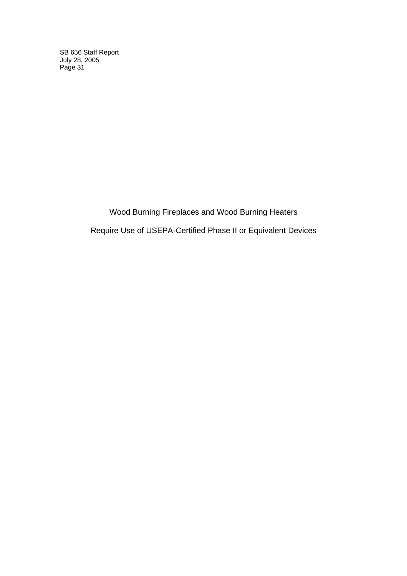Wood Burning Fireplaces and Wood Burning Heaters

Require Use of USEPA-Certified Phase II or Equivalent Devices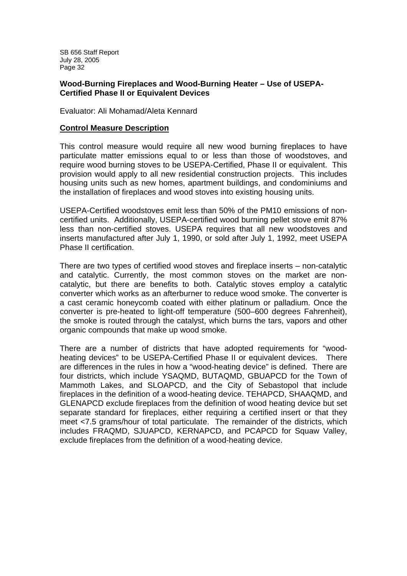### **Wood-Burning Fireplaces and Wood-Burning Heater – Use of USEPA-Certified Phase II or Equivalent Devices**

Evaluator: Ali Mohamad/Aleta Kennard

#### **Control Measure Description**

This control measure would require all new wood burning fireplaces to have particulate matter emissions equal to or less than those of woodstoves, and require wood burning stoves to be USEPA-Certified, Phase II or equivalent. This provision would apply to all new residential construction projects. This includes housing units such as new homes, apartment buildings, and condominiums and the installation of fireplaces and wood stoves into existing housing units.

USEPA-Certified woodstoves emit less than 50% of the PM10 emissions of noncertified units. Additionally, USEPA-certified wood burning pellet stove emit 87% less than non-certified stoves. USEPA requires that all new woodstoves and inserts manufactured after July 1, 1990, or sold after July 1, 1992, meet USEPA Phase II certification.

There are two types of certified wood stoves and fireplace inserts – non-catalytic and catalytic. Currently, the most common stoves on the market are noncatalytic, but there are benefits to both. Catalytic stoves employ a catalytic converter which works as an afterburner to reduce wood smoke. The converter is a cast ceramic honeycomb coated with either platinum or palladium. Once the converter is pre-heated to light-off temperature (500–600 degrees Fahrenheit), the smoke is routed through the catalyst, which burns the tars, vapors and other organic compounds that make up wood smoke.

There are a number of districts that have adopted requirements for "woodheating devices" to be USEPA-Certified Phase II or equivalent devices. There are differences in the rules in how a "wood-heating device" is defined. There are four districts, which include YSAQMD, BUTAQMD, GBUAPCD for the Town of Mammoth Lakes, and SLOAPCD, and the City of Sebastopol that include fireplaces in the definition of a wood-heating device. TEHAPCD, SHAAQMD, and GLENAPCD exclude fireplaces from the definition of wood heating device but set separate standard for fireplaces, either requiring a certified insert or that they meet <7.5 grams/hour of total particulate. The remainder of the districts, which includes FRAQMD, SJUAPCD, KERNAPCD, and PCAPCD for Squaw Valley, exclude fireplaces from the definition of a wood-heating device.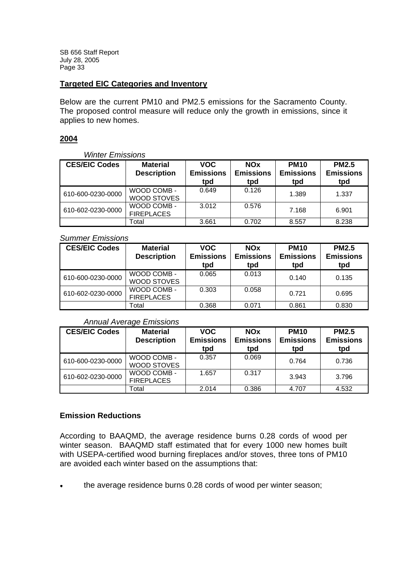# **Targeted EIC Categories and Inventory**

Below are the current PM10 and PM2.5 emissions for the Sacramento County. The proposed control measure will reduce only the growth in emissions, since it applies to new homes.

### **2004**

*Winter Emissions*

| <b>CES/EIC Codes</b> | <b>Material</b><br><b>Description</b> | <b>VOC</b><br><b>Emissions</b> | <b>NOx</b><br><b>Emissions</b> | <b>PM10</b><br><b>Emissions</b> | <b>PM2.5</b><br><b>Emissions</b> |
|----------------------|---------------------------------------|--------------------------------|--------------------------------|---------------------------------|----------------------------------|
|                      |                                       | tpd                            | tpd                            | tpd                             | tpd                              |
| 610-600-0230-0000    | WOOD COMB-<br><b>WOOD STOVES</b>      | 0.649                          | 0.126                          | 1.389                           | 1.337                            |
| 610-602-0230-0000    | WOOD COMB-<br><b>FIREPLACES</b>       | 3.012                          | 0.576                          | 7.168                           | 6.901                            |
|                      | Total                                 | 3.661                          | 0.702                          | 8.557                           | 8.238                            |

#### *Summer Emissions*

| <b>CES/EIC Codes</b> | <b>Material</b>                 | <b>VOC</b>              | <b>NOx</b>              | <b>PM10</b>             | <b>PM2.5</b>            |
|----------------------|---------------------------------|-------------------------|-------------------------|-------------------------|-------------------------|
|                      | <b>Description</b>              | <b>Emissions</b><br>tpd | <b>Emissions</b><br>tpd | <b>Emissions</b><br>tpd | <b>Emissions</b><br>tpd |
| 610-600-0230-0000    | WOOD COMB-<br>WOOD STOVES       | 0.065                   | 0.013                   | 0.140                   | 0.135                   |
| 610-602-0230-0000    | WOOD COMB-<br><b>FIREPLACES</b> | 0.303                   | 0.058                   | 0.721                   | 0.695                   |
|                      | Total                           | 0.368                   | 0.071                   | 0.861                   | 0.830                   |

### *Annual Average Emissions*

| <b>CES/EIC Codes</b> | <b>Material</b>    | <b>VOC</b>       | <b>NOx</b>       | <b>PM10</b>      | <b>PM2.5</b>     |
|----------------------|--------------------|------------------|------------------|------------------|------------------|
|                      | <b>Description</b> | <b>Emissions</b> | <b>Emissions</b> | <b>Emissions</b> | <b>Emissions</b> |
|                      |                    | tpd              | tpd              | tpd              | tpd              |
| 610-600-0230-0000    | WOOD COMB-         | 0.357            | 0.069            | 0.764            | 0.736            |
|                      | WOOD STOVES        |                  |                  |                  |                  |
| 610-602-0230-0000    | WOOD COMB-         | 1.657            | 0.317            | 3.943            | 3.796            |
|                      | <b>FIREPLACES</b>  |                  |                  |                  |                  |
|                      | Total              | 2.014            | 0.386            | 4.707            | 4.532            |

# **Emission Reductions**

According to BAAQMD, the average residence burns 0.28 cords of wood per winter season. BAAQMD staff estimated that for every 1000 new homes built with USEPA-certified wood burning fireplaces and/or stoves, three tons of PM10 are avoided each winter based on the assumptions that:

the average residence burns 0.28 cords of wood per winter season;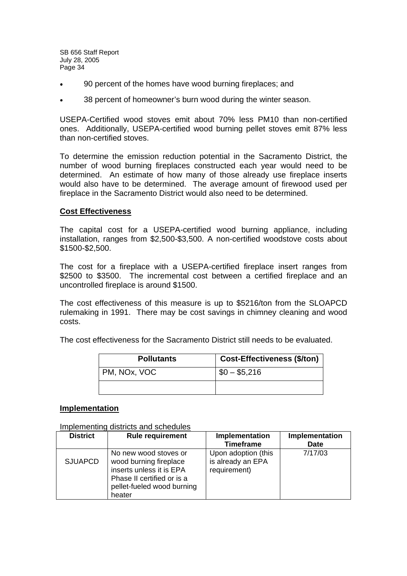- 90 percent of the homes have wood burning fireplaces; and
- 38 percent of homeowner's burn wood during the winter season.

USEPA-Certified wood stoves emit about 70% less PM10 than non-certified ones. Additionally, USEPA-certified wood burning pellet stoves emit 87% less than non-certified stoves.

To determine the emission reduction potential in the Sacramento District, the number of wood burning fireplaces constructed each year would need to be determined. An estimate of how many of those already use fireplace inserts would also have to be determined. The average amount of firewood used per fireplace in the Sacramento District would also need to be determined.

# **Cost Effectiveness**

The capital cost for a USEPA-certified wood burning appliance, including installation, ranges from \$2,500-\$3,500. A non-certified woodstove costs about \$1500-\$2,500.

The cost for a fireplace with a USEPA-certified fireplace insert ranges from \$2500 to \$3500. The incremental cost between a certified fireplace and an uncontrolled fireplace is around \$1500.

The cost effectiveness of this measure is up to \$5216/ton from the SLOAPCD rulemaking in 1991. There may be cost savings in chimney cleaning and wood costs.

The cost effectiveness for the Sacramento District still needs to be evaluated.

| <b>Pollutants</b> | <b>Cost-Effectiveness (\$/ton)</b> |  |
|-------------------|------------------------------------|--|
| PM, NOx, VOC      | $$0 - $5,216$                      |  |
|                   |                                    |  |

#### **Implementation**

Implementing districts and schedules

| <b>District</b> | <b>Rule requirement</b>                                                                                                                           | Implementation<br><b>Timeframe</b>                       | Implementation<br><b>Date</b> |
|-----------------|---------------------------------------------------------------------------------------------------------------------------------------------------|----------------------------------------------------------|-------------------------------|
| <b>SJUAPCD</b>  | No new wood stoves or<br>wood burning fireplace<br>inserts unless it is EPA<br>Phase II certified or is a<br>pellet-fueled wood burning<br>heater | Upon adoption (this<br>is already an EPA<br>requirement) | 7/17/03                       |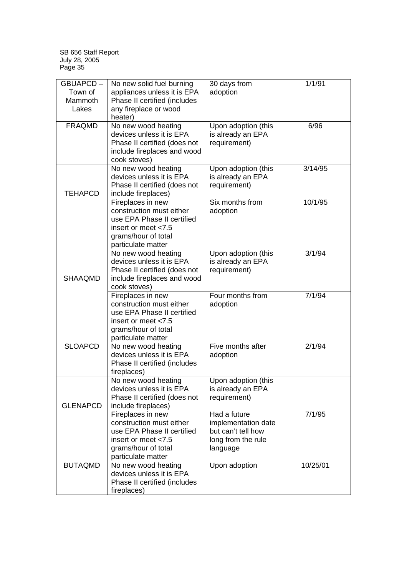| GBUAPCD-<br>Town of<br>Mammoth<br>Lakes | No new solid fuel burning<br>appliances unless it is EPA<br>Phase II certified (includes<br>any fireplace or wood<br>heater)                    | 30 days from<br>adoption                                                                    | 1/1/91   |
|-----------------------------------------|-------------------------------------------------------------------------------------------------------------------------------------------------|---------------------------------------------------------------------------------------------|----------|
| <b>FRAQMD</b>                           | No new wood heating<br>devices unless it is EPA<br>Phase II certified (does not<br>include fireplaces and wood<br>cook stoves)                  | Upon adoption (this<br>is already an EPA<br>requirement)                                    | 6/96     |
| <b>TEHAPCD</b>                          | No new wood heating<br>devices unless it is EPA<br>Phase II certified (does not<br>include fireplaces)                                          | Upon adoption (this<br>is already an EPA<br>requirement)                                    | 3/14/95  |
|                                         | Fireplaces in new<br>construction must either<br>use EPA Phase II certified<br>insert or meet <7.5<br>grams/hour of total<br>particulate matter | Six months from<br>adoption                                                                 | 10/1/95  |
| <b>SHAAQMD</b>                          | No new wood heating<br>devices unless it is EPA<br>Phase II certified (does not<br>include fireplaces and wood<br>cook stoves)                  | Upon adoption (this<br>is already an EPA<br>requirement)                                    | 3/1/94   |
|                                         | Fireplaces in new<br>construction must either<br>use EPA Phase II certified<br>insert or meet <7.5<br>grams/hour of total<br>particulate matter | Four months from<br>adoption                                                                | 7/1/94   |
| <b>SLOAPCD</b>                          | No new wood heating<br>devices unless it is EPA<br>Phase II certified (includes<br>fireplaces)                                                  | Five months after<br>adoption                                                               | 2/1/94   |
| <b>GLENAPCD</b>                         | No new wood heating<br>devices unless it is EPA<br>Phase II certified (does not<br>include fireplaces)                                          | Upon adoption (this<br>is already an EPA<br>requirement)                                    |          |
|                                         | Fireplaces in new<br>construction must either<br>use EPA Phase II certified<br>insert or meet <7.5<br>grams/hour of total<br>particulate matter | Had a future<br>implementation date<br>but can't tell how<br>long from the rule<br>language | 7/1/95   |
| <b>BUTAQMD</b>                          | No new wood heating<br>devices unless it is EPA<br>Phase II certified (includes<br>fireplaces)                                                  | Upon adoption                                                                               | 10/25/01 |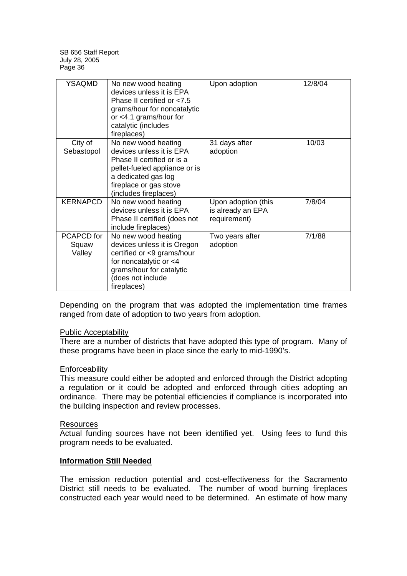| <b>YSAQMD</b>                 | No new wood heating<br>devices unless it is EPA<br>Phase II certified or <7.5<br>grams/hour for noncatalytic<br>or $<$ 4.1 grams/hour for<br>catalytic (includes<br>fireplaces)          | Upon adoption                                            | 12/8/04 |
|-------------------------------|------------------------------------------------------------------------------------------------------------------------------------------------------------------------------------------|----------------------------------------------------------|---------|
| City of<br>Sebastopol         | No new wood heating<br>devices unless it is EPA<br>Phase II certified or is a<br>pellet-fueled appliance or is<br>a dedicated gas log<br>fireplace or gas stove<br>(includes fireplaces) | 31 days after<br>adoption                                | 10/03   |
| <b>KERNAPCD</b>               | No new wood heating<br>devices unless it is EPA<br>Phase II certified (does not<br>include fireplaces)                                                                                   | Upon adoption (this<br>is already an EPA<br>requirement) | 7/8/04  |
| PCAPCD for<br>Squaw<br>Valley | No new wood heating<br>devices unless it is Oregon<br>certified or <9 grams/hour<br>for noncatalytic or <4<br>grams/hour for catalytic<br>(does not include<br>fireplaces)               | Two years after<br>adoption                              | 7/1/88  |

Depending on the program that was adopted the implementation time frames ranged from date of adoption to two years from adoption.

#### Public Acceptability

There are a number of districts that have adopted this type of program. Many of these programs have been in place since the early to mid-1990's.

### **Enforceability**

This measure could either be adopted and enforced through the District adopting a regulation or it could be adopted and enforced through cities adopting an ordinance. There may be potential efficiencies if compliance is incorporated into the building inspection and review processes.

#### **Resources**

Actual funding sources have not been identified yet. Using fees to fund this program needs to be evaluated.

#### **Information Still Needed**

The emission reduction potential and cost-effectiveness for the Sacramento District still needs to be evaluated. The number of wood burning fireplaces constructed each year would need to be determined. An estimate of how many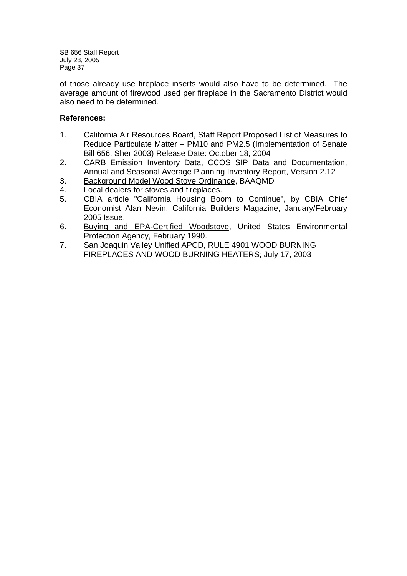of those already use fireplace inserts would also have to be determined. The average amount of firewood used per fireplace in the Sacramento District would also need to be determined.

# **References:**

- 1. California Air Resources Board, Staff Report Proposed List of Measures to Reduce Particulate Matter – PM10 and PM2.5 (Implementation of Senate Bill 656, Sher 2003) Release Date: October 18, 2004
- 2. CARB Emission Inventory Data, CCOS SIP Data and Documentation, Annual and Seasonal Average Planning Inventory Report, Version 2.12
- 3. Background Model Wood Stove Ordinance, BAAQMD
- 4. Local dealers for stoves and fireplaces.
- 5. CBIA article "California Housing Boom to Continue", by CBIA Chief Economist Alan Nevin, California Builders Magazine, January/February 2005 Issue.
- 6. Buying and EPA-Certified Woodstove, United States Environmental Protection Agency, February 1990.
- 7. San Joaquin Valley Unified APCD, RULE 4901 WOOD BURNING FIREPLACES AND WOOD BURNING HEATERS; July 17, 2003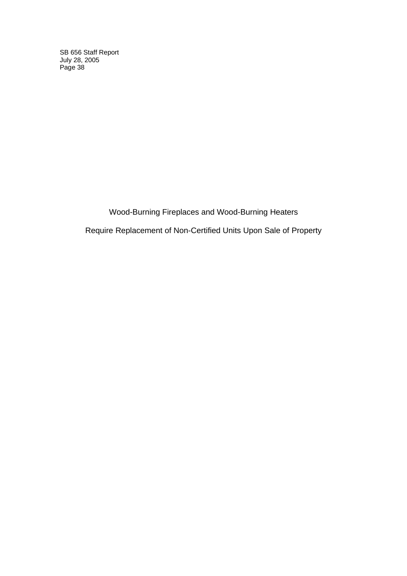Wood-Burning Fireplaces and Wood-Burning Heaters

Require Replacement of Non-Certified Units Upon Sale of Property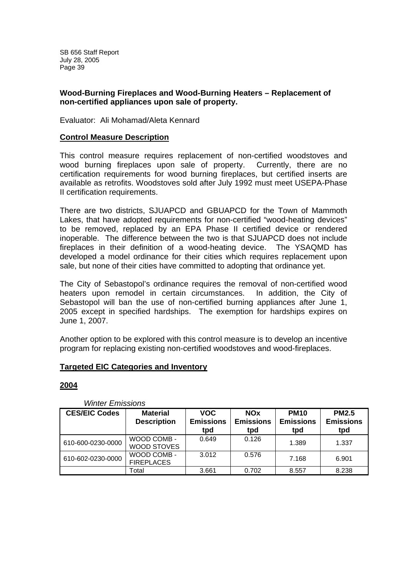## **Wood-Burning Fireplaces and Wood-Burning Heaters – Replacement of non-certified appliances upon sale of property.**

Evaluator: Ali Mohamad/Aleta Kennard

### **Control Measure Description**

This control measure requires replacement of non-certified woodstoves and wood burning fireplaces upon sale of property. Currently, there are no certification requirements for wood burning fireplaces, but certified inserts are available as retrofits. Woodstoves sold after July 1992 must meet USEPA-Phase II certification requirements.

There are two districts, SJUAPCD and GBUAPCD for the Town of Mammoth Lakes, that have adopted requirements for non-certified "wood-heating devices" to be removed, replaced by an EPA Phase II certified device or rendered inoperable. The difference between the two is that SJUAPCD does not include fireplaces in their definition of a wood-heating device. The YSAQMD has developed a model ordinance for their cities which requires replacement upon sale, but none of their cities have committed to adopting that ordinance yet.

The City of Sebastopol's ordinance requires the removal of non-certified wood heaters upon remodel in certain circumstances. In addition, the City of Sebastopol will ban the use of non-certified burning appliances after June 1, 2005 except in specified hardships. The exemption for hardships expires on June 1, 2007.

Another option to be explored with this control measure is to develop an incentive program for replacing existing non-certified woodstoves and wood-fireplaces.

### **Targeted EIC Categories and Inventory**

**2004**

| <b>CES/EIC Codes</b> | <b>Material</b><br><b>Description</b> | <b>VOC</b><br><b>Emissions</b><br>tpd | <b>NOx</b><br><b>Emissions</b><br>tpd | <b>PM10</b><br><b>Emissions</b><br>tpd | <b>PM2.5</b><br><b>Emissions</b><br>tpd |
|----------------------|---------------------------------------|---------------------------------------|---------------------------------------|----------------------------------------|-----------------------------------------|
| 610-600-0230-0000    | WOOD COMB-<br><b>WOOD STOVES</b>      | 0.649                                 | 0.126                                 | 1.389                                  | 1.337                                   |
| 610-602-0230-0000    | WOOD COMB-<br><b>FIREPLACES</b>       | 3.012                                 | 0.576                                 | 7.168                                  | 6.901                                   |
|                      | Total                                 | 3.661                                 | 0.702                                 | 8.557                                  | 8.238                                   |

*Winter Emissions*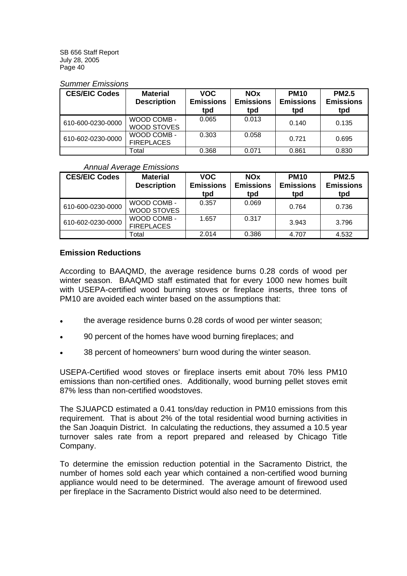#### *Summer Emissions*

| <b>CES/EIC Codes</b> | <b>Material</b><br><b>Description</b> | <b>VOC</b><br><b>Emissions</b><br>tpd | <b>NOx</b><br><b>Emissions</b><br>tpd | <b>PM10</b><br><b>Emissions</b><br>tpd | <b>PM2.5</b><br><b>Emissions</b><br>tpd |
|----------------------|---------------------------------------|---------------------------------------|---------------------------------------|----------------------------------------|-----------------------------------------|
| 610-600-0230-0000    | WOOD COMB -<br>WOOD STOVES            | 0.065                                 | 0.013                                 | 0.140                                  | 0.135                                   |
| 610-602-0230-0000    | WOOD COMB-<br><b>FIREPLACES</b>       | 0.303                                 | 0.058                                 | 0.721                                  | 0.695                                   |
|                      | Total                                 | 0.368                                 | 0.071                                 | 0.861                                  | 0.830                                   |

## *Annual Average Emissions*

| <b>CES/EIC Codes</b> | <b>Material</b><br><b>Description</b> | <b>VOC</b><br><b>Emissions</b><br>tpd | <b>NOx</b><br><b>Emissions</b><br>tpd | <b>PM10</b><br><b>Emissions</b><br>tpd | <b>PM2.5</b><br><b>Emissions</b><br>tpd |
|----------------------|---------------------------------------|---------------------------------------|---------------------------------------|----------------------------------------|-----------------------------------------|
| 610-600-0230-0000    | WOOD COMB-<br><b>WOOD STOVES</b>      | 0.357                                 | 0.069                                 | 0.764                                  | 0.736                                   |
| 610-602-0230-0000    | WOOD COMB-<br><b>FIREPLACES</b>       | 1.657                                 | 0.317                                 | 3.943                                  | 3.796                                   |
|                      | Total                                 | 2.014                                 | 0.386                                 | 4.707                                  | 4.532                                   |

## **Emission Reductions**

According to BAAQMD, the average residence burns 0.28 cords of wood per winter season. BAAQMD staff estimated that for every 1000 new homes built with USEPA-certified wood burning stoves or fireplace inserts, three tons of PM10 are avoided each winter based on the assumptions that:

- the average residence burns 0.28 cords of wood per winter season;
- 90 percent of the homes have wood burning fireplaces; and
- 38 percent of homeowners' burn wood during the winter season.

USEPA-Certified wood stoves or fireplace inserts emit about 70% less PM10 emissions than non-certified ones. Additionally, wood burning pellet stoves emit 87% less than non-certified woodstoves.

The SJUAPCD estimated a 0.41 tons/day reduction in PM10 emissions from this requirement. That is about 2% of the total residential wood burning activities in the San Joaquin District. In calculating the reductions, they assumed a 10.5 year turnover sales rate from a report prepared and released by Chicago Title Company.

To determine the emission reduction potential in the Sacramento District, the number of homes sold each year which contained a non-certified wood burning appliance would need to be determined. The average amount of firewood used per fireplace in the Sacramento District would also need to be determined.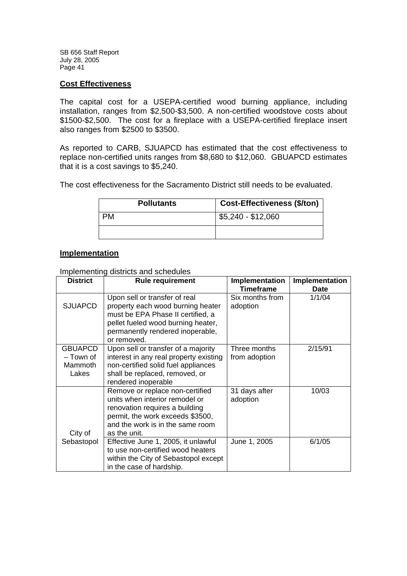### **Cost Effectiveness**

The capital cost for a USEPA-certified wood burning appliance, including installation, ranges from \$2,500-\$3,500. A non-certified woodstove costs about \$1500-\$2,500. The cost for a fireplace with a USEPA-certified fireplace insert also ranges from \$2500 to \$3500.

As reported to CARB, SJUAPCD has estimated that the cost effectiveness to replace non-certified units ranges from \$8,680 to \$12,060. GBUAPCD estimates that it is a cost savings to \$5,240.

The cost effectiveness for the Sacramento District still needs to be evaluated.

| <b>Pollutants</b> | <b>Cost-Effectiveness (\$/ton)</b> |  |
|-------------------|------------------------------------|--|
|                   | \$5,240 - \$12,060                 |  |
|                   |                                    |  |

#### **Implementation**

Implementing districts and schedules

| <b>District</b> | <b>Rule requirement</b>                                              | Implementation  | Implementation |
|-----------------|----------------------------------------------------------------------|-----------------|----------------|
|                 |                                                                      | Timeframe       | <b>Date</b>    |
|                 | Upon sell or transfer of real                                        | Six months from | 1/1/04         |
| <b>SJUAPCD</b>  | property each wood burning heater                                    | adoption        |                |
|                 | must be EPA Phase II certified, a                                    |                 |                |
|                 | pellet fueled wood burning heater,                                   |                 |                |
|                 | permanently rendered inoperable,<br>or removed.                      |                 |                |
| <b>GBUAPCD</b>  | Upon sell or transfer of a majority                                  | Three months    | 2/15/91        |
| - Town of       | interest in any real property existing                               | from adoption   |                |
| Mammoth         | non-certified solid fuel appliances                                  |                 |                |
| Lakes           | shall be replaced, removed, or                                       |                 |                |
|                 | rendered inoperable                                                  |                 |                |
|                 | Remove or replace non-certified                                      | 31 days after   | 10/03          |
|                 | units when interior remodel or                                       | adoption        |                |
|                 | renovation requires a building                                       |                 |                |
|                 | permit, the work exceeds \$3500,<br>and the work is in the same room |                 |                |
| City of         | as the unit.                                                         |                 |                |
| Sebastopol      | Effective June 1, 2005, it unlawful                                  | June 1, 2005    | 6/1/05         |
|                 | to use non-certified wood heaters                                    |                 |                |
|                 | within the City of Sebastopol except                                 |                 |                |
|                 | in the case of hardship.                                             |                 |                |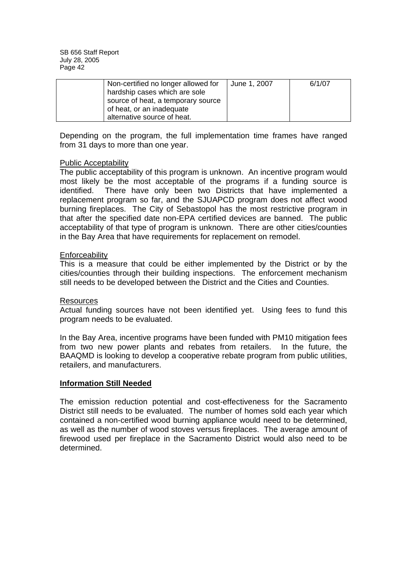| Non-certified no longer allowed for<br>hardship cases which are sole<br>source of heat, a temporary source<br>of heat, or an inadequate | June 1, 2007 | 6/1/07 |
|-----------------------------------------------------------------------------------------------------------------------------------------|--------------|--------|
| alternative source of heat.                                                                                                             |              |        |

Depending on the program, the full implementation time frames have ranged from 31 days to more than one year.

#### Public Acceptability

The public acceptability of this program is unknown. An incentive program would most likely be the most acceptable of the programs if a funding source is identified. There have only been two Districts that have implemented a replacement program so far, and the SJUAPCD program does not affect wood burning fireplaces. The City of Sebastopol has the most restrictive program in that after the specified date non-EPA certified devices are banned. The public acceptability of that type of program is unknown. There are other cities/counties in the Bay Area that have requirements for replacement on remodel.

#### **Enforceability**

This is a measure that could be either implemented by the District or by the cities/counties through their building inspections. The enforcement mechanism still needs to be developed between the District and the Cities and Counties.

#### Resources

Actual funding sources have not been identified yet. Using fees to fund this program needs to be evaluated.

In the Bay Area, incentive programs have been funded with PM10 mitigation fees from two new power plants and rebates from retailers. In the future, the BAAQMD is looking to develop a cooperative rebate program from public utilities, retailers, and manufacturers.

#### **Information Still Needed**

The emission reduction potential and cost-effectiveness for the Sacramento District still needs to be evaluated. The number of homes sold each year which contained a non-certified wood burning appliance would need to be determined, as well as the number of wood stoves versus fireplaces. The average amount of firewood used per fireplace in the Sacramento District would also need to be determined.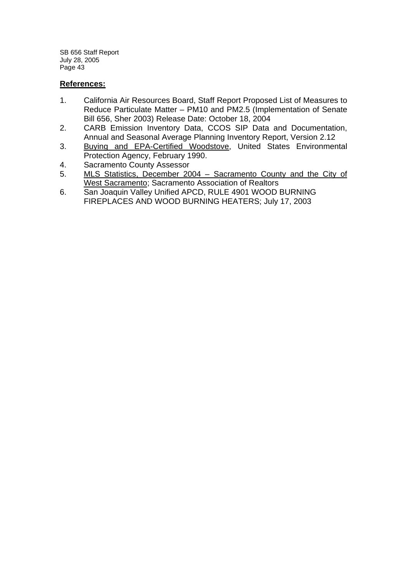## **References:**

- 1. California Air Resources Board, Staff Report Proposed List of Measures to Reduce Particulate Matter – PM10 and PM2.5 (Implementation of Senate Bill 656, Sher 2003) Release Date: October 18, 2004
- 2. CARB Emission Inventory Data, CCOS SIP Data and Documentation, Annual and Seasonal Average Planning Inventory Report, Version 2.12
- 3. Buying and EPA-Certified Woodstove, United States Environmental Protection Agency, February 1990.
- 4. Sacramento County Assessor
- 5. MLS Statistics, December 2004 Sacramento County and the City of West Sacramento; Sacramento Association of Realtors
- 6. San Joaquin Valley Unified APCD, RULE 4901 WOOD BURNING FIREPLACES AND WOOD BURNING HEATERS; July 17, 2003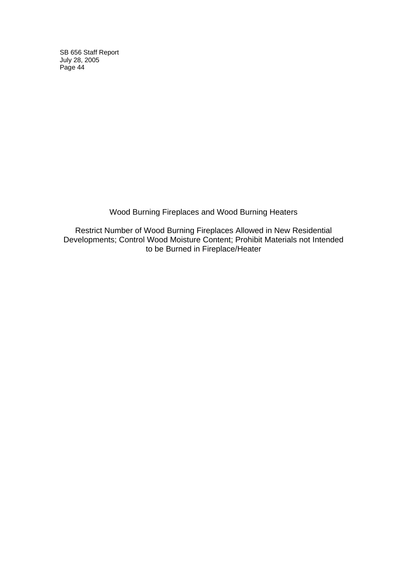Wood Burning Fireplaces and Wood Burning Heaters

Restrict Number of Wood Burning Fireplaces Allowed in New Residential Developments; Control Wood Moisture Content; Prohibit Materials not Intended to be Burned in Fireplace/Heater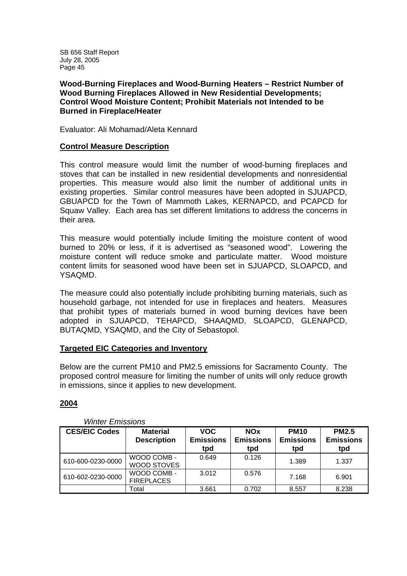**Wood-Burning Fireplaces and Wood-Burning Heaters – Restrict Number of Wood Burning Fireplaces Allowed in New Residential Developments; Control Wood Moisture Content; Prohibit Materials not Intended to be Burned in Fireplace/Heater**

Evaluator: Ali Mohamad/Aleta Kennard

## **Control Measure Description**

This control measure would limit the number of wood-burning fireplaces and stoves that can be installed in new residential developments and nonresidential properties. This measure would also limit the number of additional units in existing properties. Similar control measures have been adopted in SJUAPCD, GBUAPCD for the Town of Mammoth Lakes, KERNAPCD, and PCAPCD for Squaw Valley. Each area has set different limitations to address the concerns in their area.

This measure would potentially include limiting the moisture content of wood burned to 20% or less, if it is advertised as "seasoned wood". Lowering the moisture content will reduce smoke and particulate matter. Wood moisture content limits for seasoned wood have been set in SJUAPCD, SLOAPCD, and YSAQMD.

The measure could also potentially include prohibiting burning materials, such as household garbage, not intended for use in fireplaces and heaters. Measures that prohibit types of materials burned in wood burning devices have been adopted in SJUAPCD, TEHAPCD, SHAAQMD, SLOAPCD, GLENAPCD, BUTAQMD, YSAQMD, and the City of Sebastopol.

### **Targeted EIC Categories and Inventory**

Below are the current PM10 and PM2.5 emissions for Sacramento County. The proposed control measure for limiting the number of units will only reduce growth in emissions, since it applies to new development.

### **2004**

| <b>CES/EIC Codes</b> | <b>Material</b><br><b>Description</b> | VOC<br><b>Emissions</b><br>tpd | <b>NOx</b><br><b>Emissions</b><br>tpd | <b>PM10</b><br><b>Emissions</b><br>tpd | <b>PM2.5</b><br><b>Emissions</b><br>tpd |
|----------------------|---------------------------------------|--------------------------------|---------------------------------------|----------------------------------------|-----------------------------------------|
| 610-600-0230-0000    | WOOD COMB-<br><b>WOOD STOVES</b>      | 0.649                          | 0.126                                 | 1.389                                  | 1.337                                   |
| 610-602-0230-0000    | WOOD COMB-<br><b>FIREPLACES</b>       | 3.012                          | 0.576                                 | 7.168                                  | 6.901                                   |
|                      | Total                                 | 3.661                          | 0.702                                 | 8.557                                  | 8.238                                   |

#### *Winter Emissions*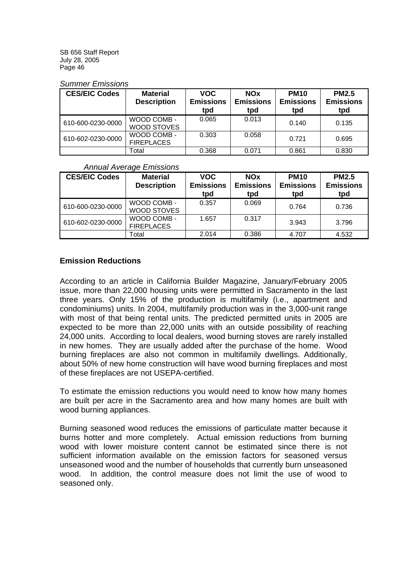#### *Summer Emissions*

| <b>CES/EIC Codes</b> | <b>Material</b><br><b>Description</b> | <b>VOC</b><br><b>Emissions</b><br>tpd | <b>NOx</b><br><b>Emissions</b><br>tpd | <b>PM10</b><br><b>Emissions</b><br>tpd | <b>PM2.5</b><br><b>Emissions</b><br>tpd |
|----------------------|---------------------------------------|---------------------------------------|---------------------------------------|----------------------------------------|-----------------------------------------|
| 610-600-0230-0000    | WOOD COMB-<br><b>WOOD STOVES</b>      | 0.065                                 | 0.013                                 | 0.140                                  | 0.135                                   |
| 610-602-0230-0000    | WOOD COMB-<br><b>FIREPLACES</b>       | 0.303                                 | 0.058                                 | 0.721                                  | 0.695                                   |
|                      | Total                                 | 0.368                                 | 0.071                                 | 0.861                                  | 0.830                                   |

### *Annual Average Emissions*

| <b>CES/EIC Codes</b> | <b>Material</b><br><b>Description</b> | <b>VOC</b><br><b>Emissions</b><br>tpd | <b>NOx</b><br><b>Emissions</b><br>tpd | <b>PM10</b><br><b>Emissions</b><br>tpd | <b>PM2.5</b><br><b>Emissions</b><br>tpd |
|----------------------|---------------------------------------|---------------------------------------|---------------------------------------|----------------------------------------|-----------------------------------------|
| 610-600-0230-0000    | WOOD COMB-<br><b>WOOD STOVES</b>      | 0.357                                 | 0.069                                 | 0.764                                  | 0.736                                   |
| 610-602-0230-0000    | WOOD COMB-<br><b>FIREPLACES</b>       | 1.657                                 | 0.317                                 | 3.943                                  | 3.796                                   |
|                      | Total                                 | 2.014                                 | 0.386                                 | 4.707                                  | 4.532                                   |

## **Emission Reductions**

According to an article in California Builder Magazine, January/February 2005 issue, more than 22,000 housing units were permitted in Sacramento in the last three years. Only 15% of the production is multifamily (i.e., apartment and condominiums) units. In 2004, multifamily production was in the 3,000-unit range with most of that being rental units. The predicted permitted units in 2005 are expected to be more than 22,000 units with an outside possibility of reaching 24,000 units. According to local dealers, wood burning stoves are rarely installed in new homes. They are usually added after the purchase of the home. Wood burning fireplaces are also not common in multifamily dwellings. Additionally, about 50% of new home construction will have wood burning fireplaces and most of these fireplaces are not USEPA-certified.

To estimate the emission reductions you would need to know how many homes are built per acre in the Sacramento area and how many homes are built with wood burning appliances.

Burning seasoned wood reduces the emissions of particulate matter because it burns hotter and more completely. Actual emission reductions from burning wood with lower moisture content cannot be estimated since there is not sufficient information available on the emission factors for seasoned versus unseasoned wood and the number of households that currently burn unseasoned wood. In addition, the control measure does not limit the use of wood to seasoned only.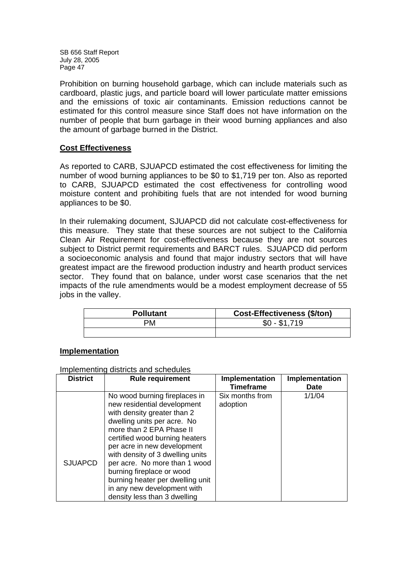Prohibition on burning household garbage, which can include materials such as cardboard, plastic jugs, and particle board will lower particulate matter emissions and the emissions of toxic air contaminants. Emission reductions cannot be estimated for this control measure since Staff does not have information on the number of people that burn garbage in their wood burning appliances and also the amount of garbage burned in the District.

# **Cost Effectiveness**

As reported to CARB, SJUAPCD estimated the cost effectiveness for limiting the number of wood burning appliances to be \$0 to \$1,719 per ton. Also as reported to CARB, SJUAPCD estimated the cost effectiveness for controlling wood moisture content and prohibiting fuels that are not intended for wood burning appliances to be \$0.

In their rulemaking document, SJUAPCD did not calculate cost-effectiveness for this measure. They state that these sources are not subject to the California Clean Air Requirement for cost-effectiveness because they are not sources subject to District permit requirements and BARCT rules. SJUAPCD did perform a socioeconomic analysis and found that major industry sectors that will have greatest impact are the firewood production industry and hearth product services sector. They found that on balance, under worst case scenarios that the net impacts of the rule amendments would be a modest employment decrease of 55 jobs in the valley.

| <b>Pollutant</b> | <b>Cost-Effectiveness (\$/ton)</b> |
|------------------|------------------------------------|
| ⊃M               | $$0 - $1,719$                      |
|                  |                                    |

### **Implementation**

Implementing districts and schedules

| <b>District</b> | <b>Rule requirement</b>                                                                                                                                                                                                                                                                                                                                                                                                      | Implementation<br><b>Timeframe</b> | <b>Implementation</b><br><b>Date</b> |
|-----------------|------------------------------------------------------------------------------------------------------------------------------------------------------------------------------------------------------------------------------------------------------------------------------------------------------------------------------------------------------------------------------------------------------------------------------|------------------------------------|--------------------------------------|
| <b>SJUAPCD</b>  | No wood burning fireplaces in<br>new residential development<br>with density greater than 2<br>dwelling units per acre. No<br>more than 2 EPA Phase II<br>certified wood burning heaters<br>per acre in new development<br>with density of 3 dwelling units<br>per acre. No more than 1 wood<br>burning fireplace or wood<br>burning heater per dwelling unit<br>in any new development with<br>density less than 3 dwelling | Six months from<br>adoption        | 1/1/04                               |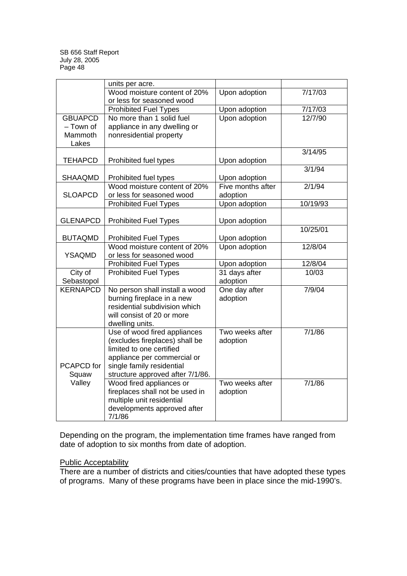|                 | units per acre.                  |                   |          |
|-----------------|----------------------------------|-------------------|----------|
|                 | Wood moisture content of 20%     | Upon adoption     | 7/17/03  |
|                 | or less for seasoned wood        |                   |          |
|                 | Prohibited Fuel Types            | Upon adoption     | 7/17/03  |
| <b>GBUAPCD</b>  | No more than 1 solid fuel        | Upon adoption     | 12/7/90  |
| - Town of       | appliance in any dwelling or     |                   |          |
| Mammoth         | nonresidential property          |                   |          |
| Lakes           |                                  |                   |          |
|                 |                                  |                   | 3/14/95  |
| <b>TEHAPCD</b>  | Prohibited fuel types            | Upon adoption     |          |
|                 |                                  |                   | 3/1/94   |
| <b>SHAAQMD</b>  | Prohibited fuel types            | Upon adoption     |          |
|                 | Wood moisture content of 20%     | Five months after | 2/1/94   |
| <b>SLOAPCD</b>  | or less for seasoned wood        | adoption          |          |
|                 | <b>Prohibited Fuel Types</b>     | Upon adoption     | 10/19/93 |
|                 |                                  |                   |          |
| <b>GLENAPCD</b> | <b>Prohibited Fuel Types</b>     | Upon adoption     |          |
|                 |                                  |                   | 10/25/01 |
| <b>BUTAQMD</b>  | <b>Prohibited Fuel Types</b>     | Upon adoption     |          |
|                 | Wood moisture content of 20%     | Upon adoption     | 12/8/04  |
| <b>YSAQMD</b>   | or less for seasoned wood        |                   |          |
|                 | Prohibited Fuel Types            | Upon adoption     | 12/8/04  |
| City of         | <b>Prohibited Fuel Types</b>     | 31 days after     | 10/03    |
| Sebastopol      |                                  | adoption          |          |
| <b>KERNAPCD</b> | No person shall install a wood   | One day after     | 7/9/04   |
|                 | burning fireplace in a new       | adoption          |          |
|                 | residential subdivision which    |                   |          |
|                 | will consist of 20 or more       |                   |          |
|                 | dwelling units.                  |                   |          |
|                 | Use of wood fired appliances     | Two weeks after   | 7/1/86   |
|                 | (excludes fireplaces) shall be   | adoption          |          |
|                 | limited to one certified         |                   |          |
|                 | appliance per commercial or      |                   |          |
| PCAPCD for      | single family residential        |                   |          |
| Squaw           | structure approved after 7/1/86. |                   |          |
| Valley          | Wood fired appliances or         | Two weeks after   | 7/1/86   |
|                 | fireplaces shall not be used in  | adoption          |          |
|                 | multiple unit residential        |                   |          |
|                 | developments approved after      |                   |          |
|                 | 7/1/86                           |                   |          |

Depending on the program, the implementation time frames have ranged from date of adoption to six months from date of adoption.

### Public Acceptability

There are a number of districts and cities/counties that have adopted these types of programs. Many of these programs have been in place since the mid-1990's.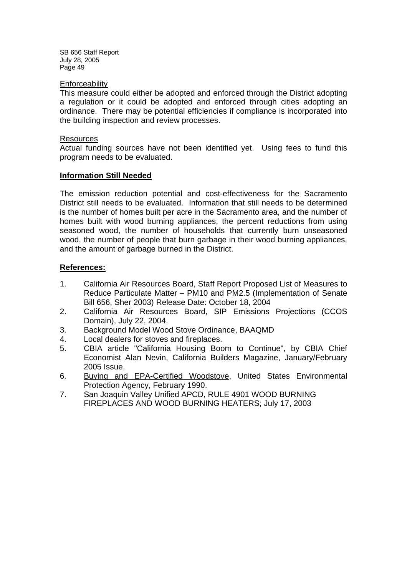#### **Enforceability**

This measure could either be adopted and enforced through the District adopting a regulation or it could be adopted and enforced through cities adopting an ordinance. There may be potential efficiencies if compliance is incorporated into the building inspection and review processes.

#### Resources

Actual funding sources have not been identified yet. Using fees to fund this program needs to be evaluated.

#### **Information Still Needed**

The emission reduction potential and cost-effectiveness for the Sacramento District still needs to be evaluated. Information that still needs to be determined is the number of homes built per acre in the Sacramento area, and the number of homes built with wood burning appliances, the percent reductions from using seasoned wood, the number of households that currently burn unseasoned wood, the number of people that burn garbage in their wood burning appliances, and the amount of garbage burned in the District.

### **References:**

- 1. California Air Resources Board, Staff Report Proposed List of Measures to Reduce Particulate Matter – PM10 and PM2.5 (Implementation of Senate Bill 656, Sher 2003) Release Date: October 18, 2004
- 2. California Air Resources Board, SIP Emissions Projections (CCOS Domain), July 22, 2004.
- 3. Background Model Wood Stove Ordinance, BAAQMD
- 4. Local dealers for stoves and fireplaces.
- 5. CBIA article "California Housing Boom to Continue", by CBIA Chief Economist Alan Nevin, California Builders Magazine, January/February 2005 Issue.
- 6. Buying and EPA-Certified Woodstove, United States Environmental Protection Agency, February 1990.
- 7. San Joaquin Valley Unified APCD, RULE 4901 WOOD BURNING FIREPLACES AND WOOD BURNING HEATERS; July 17, 2003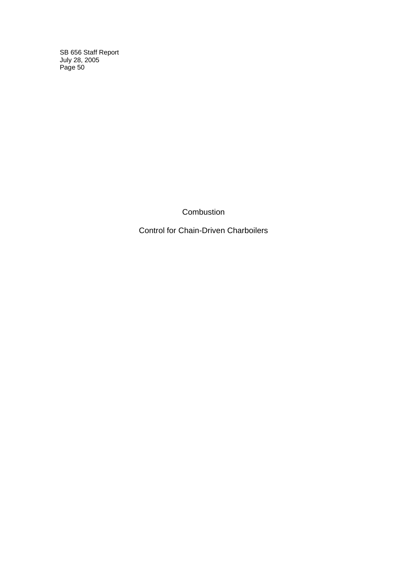**Combustion** 

Control for Chain-Driven Charboilers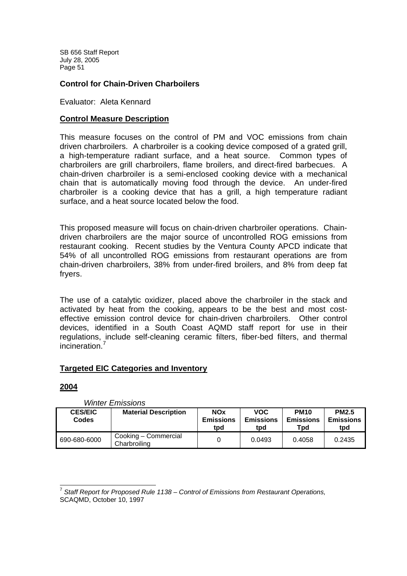### **Control for Chain-Driven Charboilers**

Evaluator: Aleta Kennard

### **Control Measure Description**

This measure focuses on the control of PM and VOC emissions from chain driven charbroilers. A charbroiler is a cooking device composed of a grated grill, a high-temperature radiant surface, and a heat source. Common types of charbroilers are grill charbroilers, flame broilers, and direct-fired barbecues. A chain-driven charbroiler is a semi-enclosed cooking device with a mechanical chain that is automatically moving food through the device. An under-fired charbroiler is a cooking device that has a grill, a high temperature radiant surface, and a heat source located below the food.

This proposed measure will focus on chain-driven charbroiler operations. Chaindriven charbroilers are the major source of uncontrolled ROG emissions from restaurant cooking. Recent studies by the Ventura County APCD indicate that 54% of all uncontrolled ROG emissions from restaurant operations are from chain-driven charbroilers, 38% from under-fired broilers, and 8% from deep fat fryers.

The use of a catalytic oxidizer, placed above the charbroiler in the stack and activated by heat from the cooking, appears to be the best and most costeffective emission control device for chain-driven charbroilers. Other control devices, identified in a South Coast AQMD staff report for use in their regulations, include self-cleaning ceramic filters, fiber-bed filters, and thermal incineration.<sup>7</sup>

### **Targeted EIC Categories and Inventory**

### **2004**

|                         | טווטסטווום וסאוווט                   |                                       |                                       |                                        |                                         |
|-------------------------|--------------------------------------|---------------------------------------|---------------------------------------|----------------------------------------|-----------------------------------------|
| <b>CES/EIC</b><br>Codes | <b>Material Description</b>          | <b>NOx</b><br><b>Emissions</b><br>tpd | <b>VOC</b><br><b>Emissions</b><br>tpd | <b>PM10</b><br><b>Emissions</b><br>Tpd | <b>PM2.5</b><br><b>Emissions</b><br>tpd |
| 690-680-6000            | Cooking – Commercial<br>Charbroiling |                                       | 0.0493                                | 0.4058                                 | 0.2435                                  |

#### *Winter Emissions*

<sup>7</sup> *Staff Report for Proposed Rule 1138 – Control of Emissions from Restaurant Operations,* SCAQMD, October 10, 1997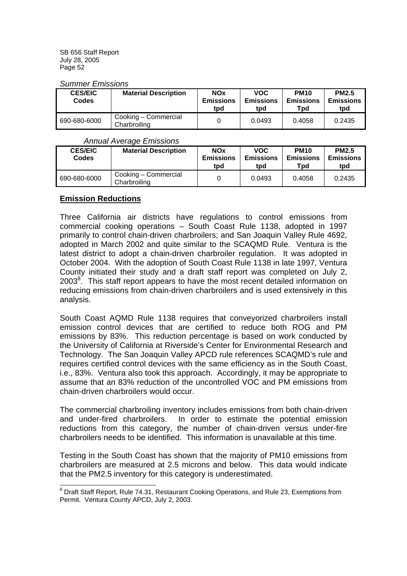#### *Summer Emissions*

| <b>CES/EIC</b><br><b>Codes</b> | <b>Material Description</b>          | <b>NOx</b><br><b>Emissions</b><br>tpd | <b>VOC</b><br><b>Emissions</b><br>tpd | <b>PM10</b><br><b>Emissions</b><br>Tpd | <b>PM2.5</b><br><b>Emissions</b><br>tpd |
|--------------------------------|--------------------------------------|---------------------------------------|---------------------------------------|----------------------------------------|-----------------------------------------|
| 690-680-6000                   | Cooking – Commercial<br>Charbroiling |                                       | 0.0493                                | 0.4058                                 | 0.2435                                  |

#### *Annual Average Emissions*

| <b>CES/EIC</b><br>Codes | <b>Material Description</b>          | <b>NOx</b><br><b>Emissions</b><br>tpd | <b>VOC</b><br><b>Emissions</b><br>tpd | <b>PM10</b><br><b>Emissions</b><br>Tpd | <b>PM2.5</b><br><b>Emissions</b><br>tpd |
|-------------------------|--------------------------------------|---------------------------------------|---------------------------------------|----------------------------------------|-----------------------------------------|
| 690-680-6000            | Cooking – Commercial<br>Charbroiling |                                       | 0.0493                                | 0.4058                                 | 0.2435                                  |

## **Emission Reductions**

Three California air districts have regulations to control emissions from commercial cooking operations – South Coast Rule 1138, adopted in 1997 primarily to control chain-driven charbroilers; and San Joaquin Valley Rule 4692, adopted in March 2002 and quite similar to the SCAQMD Rule. Ventura is the latest district to adopt a chain-driven charbroiler regulation. It was adopted in October 2004. With the adoption of South Coast Rule 1138 in late 1997, Ventura County initiated their study and a draft staff report was completed on July 2,  $2003<sup>8</sup>$ . This staff report appears to have the most recent detailed information on reducing emissions from chain-driven charbroilers and is used extensively in this analysis.

South Coast AQMD Rule 1138 requires that conveyorized charbroilers install emission control devices that are certified to reduce both ROG and PM emissions by 83%. This reduction percentage is based on work conducted by the University of California at Riverside's Center for Environmental Research and Technology. The San Joaquin Valley APCD rule references SCAQMD's rule and requires certified control devices with the same efficiency as in the South Coast, i.e., 83%. Ventura also took this approach. Accordingly, it may be appropriate to assume that an 83% reduction of the uncontrolled VOC and PM emissions from chain-driven charbroilers would occur.

The commercial charbroiling inventory includes emissions from both chain-driven and under-fired charbroilers. In order to estimate the potential emission reductions from this category, the number of chain-driven versus under-fire charbroilers needs to be identified. This information is unavailable at this time.

Testing in the South Coast has shown that the majority of PM10 emissions from charbroilers are measured at 2.5 microns and below. This data would indicate that the PM2.5 inventory for this category is underestimated.

<sup>&</sup>lt;sup>8</sup> Draft Staff Report, Rule 74.31, Restaurant Cooking Operations, and Rule 23, Exemptions from Permit. Ventura County APCD, July 2, 2003.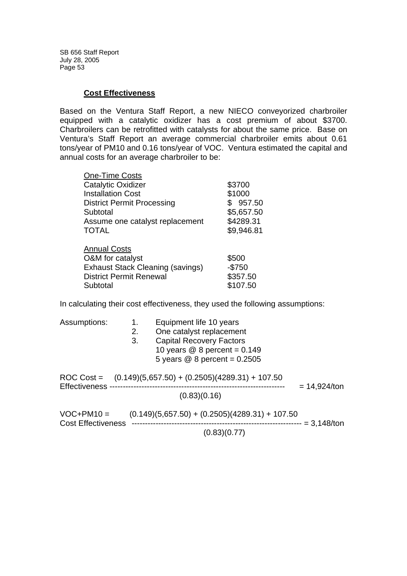### **Cost Effectiveness**

Based on the Ventura Staff Report, a new NIECO conveyorized charbroiler equipped with a catalytic oxidizer has a cost premium of about \$3700. Charbroilers can be retrofitted with catalysts for about the same price. Base on Ventura's Staff Report an average commercial charbroiler emits about 0.61 tons/year of PM10 and 0.16 tons/year of VOC. Ventura estimated the capital and annual costs for an average charbroiler to be:

| <b>One-Time Costs</b><br>Catalytic Oxidizer<br><b>Installation Cost</b> | \$3700<br>\$1000 |
|-------------------------------------------------------------------------|------------------|
| <b>District Permit Processing</b>                                       | \$957.50         |
| Subtotal                                                                | \$5,657.50       |
| Assume one catalyst replacement                                         | \$4289.31        |
| <b>TOTAL</b>                                                            | \$9,946.81       |
| <b>Annual Costs</b><br>O&M for catalyst                                 | \$500            |
| <b>Exhaust Stack Cleaning (savings)</b>                                 | $-$750$          |
| <b>District Permit Renewal</b>                                          | \$357.50         |
| Subtotal                                                                | \$107.50         |

In calculating their cost effectiveness, they used the following assumptions:

| Assumptions:                         | 1.<br>2.<br>3. | Equipment life 10 years<br>One catalyst replacement<br><b>Capital Recovery Factors</b><br>10 years $@$ 8 percent = 0.149<br>5 years $@$ 8 percent = 0.2505 |                |
|--------------------------------------|----------------|------------------------------------------------------------------------------------------------------------------------------------------------------------|----------------|
| $ROC Cost =$<br><b>Effectiveness</b> |                | $(0.149)(5,657.50) + (0.2505)(4289.31) + 107.50$<br>(0.83)(0.16)                                                                                           | $= 14,924/ton$ |
| $VOC+PM10 =$                         |                | $(0.149)(5,657.50) + (0.2505)(4289.31) + 107.50$                                                                                                           |                |
| <b>Cost Effectiveness</b>            |                | (0.83)(0.77)                                                                                                                                               | $= 3,148/ton$  |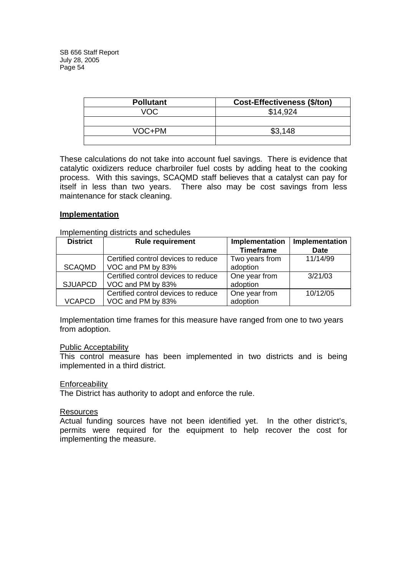| <b>Pollutant</b> | <b>Cost-Effectiveness (\$/ton)</b> |
|------------------|------------------------------------|
| $\overline{C}$   | \$14.924                           |
|                  |                                    |
| VOC+PM           | \$3,148                            |
|                  |                                    |

These calculations do not take into account fuel savings. There is evidence that catalytic oxidizers reduce charbroiler fuel costs by adding heat to the cooking process. With this savings, SCAQMD staff believes that a catalyst can pay for itself in less than two years. There also may be cost savings from less maintenance for stack cleaning.

### **Implementation**

#### Implementing districts and schedules

| <b>District</b> | <b>Rule requirement</b>             | Implementation   | Implementation |
|-----------------|-------------------------------------|------------------|----------------|
|                 |                                     | <b>Timeframe</b> | <b>Date</b>    |
|                 | Certified control devices to reduce | Two years from   | 11/14/99       |
| <b>SCAQMD</b>   | VOC and PM by 83%                   | adoption         |                |
|                 | Certified control devices to reduce | One year from    | 3/21/03        |
| <b>SJUAPCD</b>  | VOC and PM by 83%                   | adoption         |                |
|                 | Certified control devices to reduce | One year from    | 10/12/05       |
| <b>VCAPCD</b>   | VOC and PM by 83%                   | adoption         |                |

Implementation time frames for this measure have ranged from one to two years from adoption.

#### Public Acceptability

This control measure has been implemented in two districts and is being implemented in a third district.

#### **Enforceability**

The District has authority to adopt and enforce the rule.

#### Resources

Actual funding sources have not been identified yet. In the other district's, permits were required for the equipment to help recover the cost for implementing the measure.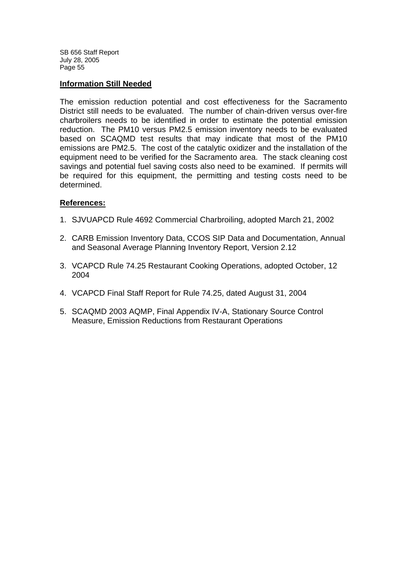## **Information Still Needed**

The emission reduction potential and cost effectiveness for the Sacramento District still needs to be evaluated. The number of chain-driven versus over-fire charbroilers needs to be identified in order to estimate the potential emission reduction. The PM10 versus PM2.5 emission inventory needs to be evaluated based on SCAQMD test results that may indicate that most of the PM10 emissions are PM2.5. The cost of the catalytic oxidizer and the installation of the equipment need to be verified for the Sacramento area. The stack cleaning cost savings and potential fuel saving costs also need to be examined. If permits will be required for this equipment, the permitting and testing costs need to be determined.

## **References:**

- 1. SJVUAPCD Rule 4692 Commercial Charbroiling, adopted March 21, 2002
- 2. CARB Emission Inventory Data, CCOS SIP Data and Documentation, Annual and Seasonal Average Planning Inventory Report, Version 2.12
- 3. VCAPCD Rule 74.25 Restaurant Cooking Operations, adopted October, 12 2004
- 4. VCAPCD Final Staff Report for Rule 74.25, dated August 31, 2004
- 5. SCAQMD 2003 AQMP, Final Appendix IV-A, Stationary Source Control Measure, Emission Reductions from Restaurant Operations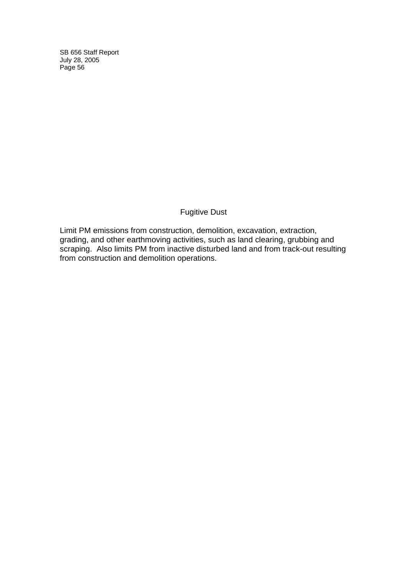# Fugitive Dust

Limit PM emissions from construction, demolition, excavation, extraction, grading, and other earthmoving activities, such as land clearing, grubbing and scraping. Also limits PM from inactive disturbed land and from track-out resulting from construction and demolition operations.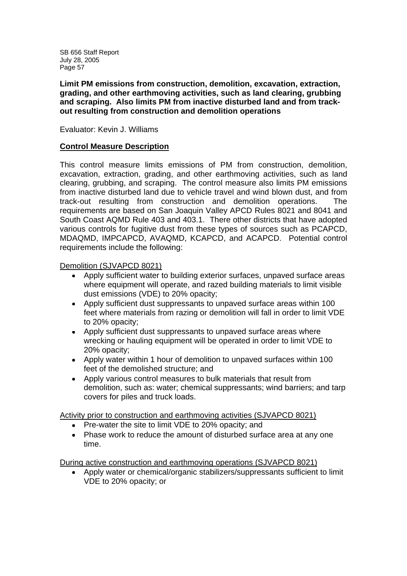**Limit PM emissions from construction, demolition, excavation, extraction, grading, and other earthmoving activities, such as land clearing, grubbing and scraping. Also limits PM from inactive disturbed land and from trackout resulting from construction and demolition operations**

Evaluator: Kevin J. Williams

## **Control Measure Description**

This control measure limits emissions of PM from construction, demolition, excavation, extraction, grading, and other earthmoving activities, such as land clearing, grubbing, and scraping. The control measure also limits PM emissions from inactive disturbed land due to vehicle travel and wind blown dust, and from track-out resulting from construction and demolition operations. The requirements are based on San Joaquin Valley APCD Rules 8021 and 8041 and South Coast AQMD Rule 403 and 403.1. There other districts that have adopted various controls for fugitive dust from these types of sources such as PCAPCD, MDAQMD, IMPCAPCD, AVAQMD, KCAPCD, and ACAPCD. Potential control requirements include the following:

Demolition (SJVAPCD 8021)

- Apply sufficient water to building exterior surfaces, unpaved surface areas where equipment will operate, and razed building materials to limit visible dust emissions (VDE) to 20% opacity;
- Apply sufficient dust suppressants to unpaved surface areas within 100 feet where materials from razing or demolition will fall in order to limit VDE to 20% opacity;
- Apply sufficient dust suppressants to unpaved surface areas where wrecking or hauling equipment will be operated in order to limit VDE to 20% opacity;
- Apply water within 1 hour of demolition to unpaved surfaces within 100 feet of the demolished structure; and
- Apply various control measures to bulk materials that result from demolition, such as: water; chemical suppressants; wind barriers; and tarp covers for piles and truck loads.

Activity prior to construction and earthmoving activities (SJVAPCD 8021)

- Pre-water the site to limit VDE to 20% opacity; and
- Phase work to reduce the amount of disturbed surface area at any one time.

During active construction and earthmoving operations (SJVAPCD 8021)

Apply water or chemical/organic stabilizers/suppressants sufficient to limit  $\bullet$ VDE to 20% opacity; or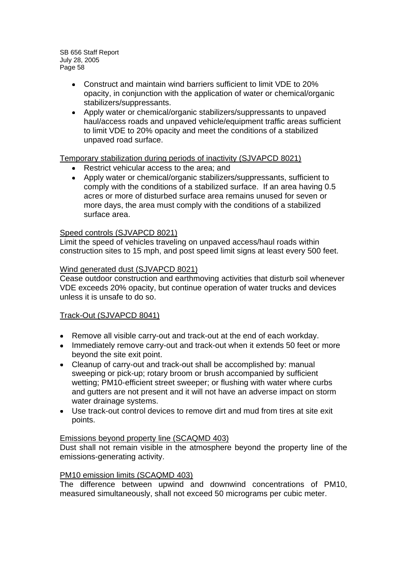- Construct and maintain wind barriers sufficient to limit VDE to 20% opacity, in conjunction with the application of water or chemical/organic stabilizers/suppressants.
- Apply water or chemical/organic stabilizers/suppressants to unpaved haul/access roads and unpaved vehicle/equipment traffic areas sufficient to limit VDE to 20% opacity and meet the conditions of a stabilized unpaved road surface.

# Temporary stabilization during periods of inactivity (SJVAPCD 8021)

- Restrict vehicular access to the area; and
- Apply water or chemical/organic stabilizers/suppressants, sufficient to comply with the conditions of a stabilized surface. If an area having 0.5 acres or more of disturbed surface area remains unused for seven or more days, the area must comply with the conditions of a stabilized surface area.

### Speed controls (SJVAPCD 8021)

Limit the speed of vehicles traveling on unpaved access/haul roads within construction sites to 15 mph, and post speed limit signs at least every 500 feet.

### Wind generated dust (SJVAPCD 8021)

Cease outdoor construction and earthmoving activities that disturb soil whenever VDE exceeds 20% opacity, but continue operation of water trucks and devices unless it is unsafe to do so.

### Track-Out (SJVAPCD 8041)

- Remove all visible carry-out and track-out at the end of each workday.
- Immediately remove carry-out and track-out when it extends 50 feet or more beyond the site exit point.
- Cleanup of carry-out and track-out shall be accomplished by: manual sweeping or pick-up; rotary broom or brush accompanied by sufficient wetting; PM10-efficient street sweeper; or flushing with water where curbs and gutters are not present and it will not have an adverse impact on storm water drainage systems.
- Use track-out control devices to remove dirt and mud from tires at site exit points.

### Emissions beyond property line (SCAQMD 403)

Dust shall not remain visible in the atmosphere beyond the property line of the emissions-generating activity.

### PM10 emission limits (SCAQMD 403)

The difference between upwind and downwind concentrations of PM10, measured simultaneously, shall not exceed 50 micrograms per cubic meter.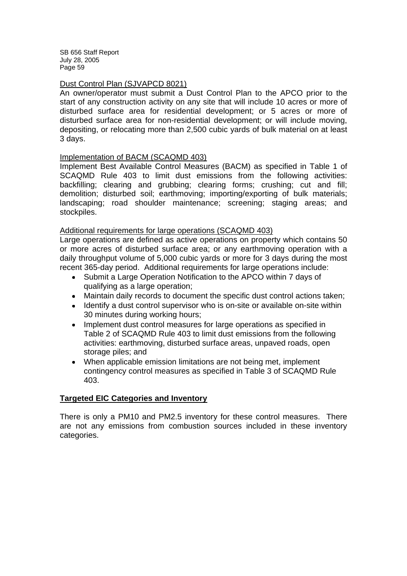### Dust Control Plan (SJVAPCD 8021)

An owner/operator must submit a Dust Control Plan to the APCO prior to the start of any construction activity on any site that will include 10 acres or more of disturbed surface area for residential development; or 5 acres or more of disturbed surface area for non-residential development; or will include moving, depositing, or relocating more than 2,500 cubic yards of bulk material on at least 3 days.

## Implementation of BACM (SCAQMD 403)

Implement Best Available Control Measures (BACM) as specified in Table 1 of SCAQMD Rule 403 to limit dust emissions from the following activities: backfilling; clearing and grubbing; clearing forms; crushing; cut and fill; demolition; disturbed soil; earthmoving; importing/exporting of bulk materials; landscaping; road shoulder maintenance; screening; staging areas; and stockpiles.

### Additional requirements for large operations (SCAQMD 403)

Large operations are defined as active operations on property which contains 50 or more acres of disturbed surface area; or any earthmoving operation with a daily throughput volume of 5,000 cubic yards or more for 3 days during the most recent 365-day period. Additional requirements for large operations include:

- Submit a Large Operation Notification to the APCO within 7 days of qualifying as a large operation;
- Maintain daily records to document the specific dust control actions taken;
- Identify a dust control supervisor who is on-site or available on-site within 30 minutes during working hours;
- Implement dust control measures for large operations as specified in Table 2 of SCAQMD Rule 403 to limit dust emissions from the following activities: earthmoving, disturbed surface areas, unpaved roads, open storage piles; and
- When applicable emission limitations are not being met, implement contingency control measures as specified in Table 3 of SCAQMD Rule 403.

# **Targeted EIC Categories and Inventory**

There is only a PM10 and PM2.5 inventory for these control measures. There are not any emissions from combustion sources included in these inventory categories.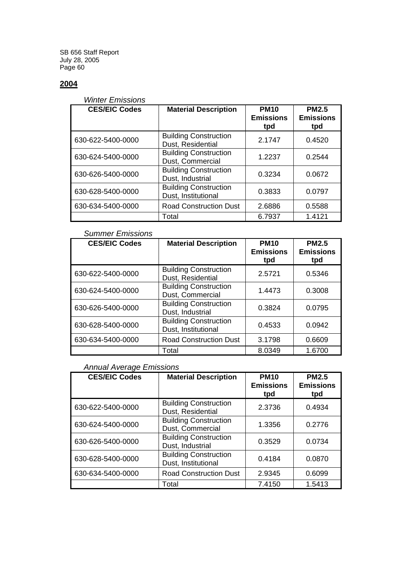# **2004**

| <b>Winter Emissions</b> |                                                     |                                        |                                         |
|-------------------------|-----------------------------------------------------|----------------------------------------|-----------------------------------------|
| <b>CES/EIC Codes</b>    | <b>Material Description</b>                         | <b>PM10</b><br><b>Emissions</b><br>tpd | <b>PM2.5</b><br><b>Emissions</b><br>tpd |
| 630-622-5400-0000       | <b>Building Construction</b><br>Dust, Residential   | 2.1747                                 | 0.4520                                  |
| 630-624-5400-0000       | <b>Building Construction</b><br>Dust, Commercial    | 1.2237                                 | 0.2544                                  |
| 630-626-5400-0000       | <b>Building Construction</b><br>Dust, Industrial    | 0.3234                                 | 0.0672                                  |
| 630-628-5400-0000       | <b>Building Construction</b><br>Dust, Institutional | 0.3833                                 | 0.0797                                  |
| 630-634-5400-0000       | <b>Road Construction Dust</b>                       | 2.6886                                 | 0.5588                                  |
|                         | Total                                               | 6.7937                                 | 1.4121                                  |

## *Summer Emissions*

| <b>CES/EIC Codes</b> | <b>Material Description</b>                         | <b>PM10</b><br><b>Emissions</b><br>tpd | <b>PM2.5</b><br><b>Emissions</b><br>tpd |
|----------------------|-----------------------------------------------------|----------------------------------------|-----------------------------------------|
| 630-622-5400-0000    | <b>Building Construction</b><br>Dust, Residential   | 2.5721                                 | 0.5346                                  |
| 630-624-5400-0000    | <b>Building Construction</b><br>Dust, Commercial    | 1.4473                                 | 0.3008                                  |
| 630-626-5400-0000    | <b>Building Construction</b><br>Dust, Industrial    | 0.3824                                 | 0.0795                                  |
| 630-628-5400-0000    | <b>Building Construction</b><br>Dust, Institutional | 0.4533                                 | 0.0942                                  |
| 630-634-5400-0000    | <b>Road Construction Dust</b>                       | 3.1798                                 | 0.6609                                  |
|                      | Total                                               | 8.0349                                 | 1.6700                                  |

# *Annual Average Emissions*

| <b>CES/EIC Codes</b> | <b>Material Description</b>                         | <b>PM10</b><br><b>Emissions</b><br>tpd | <b>PM2.5</b><br><b>Emissions</b><br>tpd |
|----------------------|-----------------------------------------------------|----------------------------------------|-----------------------------------------|
| 630-622-5400-0000    | <b>Building Construction</b><br>Dust, Residential   | 2.3736                                 | 0.4934                                  |
| 630-624-5400-0000    | <b>Building Construction</b><br>Dust, Commercial    | 1.3356                                 | 0.2776                                  |
| 630-626-5400-0000    | <b>Building Construction</b><br>Dust, Industrial    | 0.3529                                 | 0.0734                                  |
| 630-628-5400-0000    | <b>Building Construction</b><br>Dust, Institutional | 0.4184                                 | 0.0870                                  |
| 630-634-5400-0000    | <b>Road Construction Dust</b>                       | 2.9345                                 | 0.6099                                  |
|                      | Total                                               | 7.4150                                 | 1.5413                                  |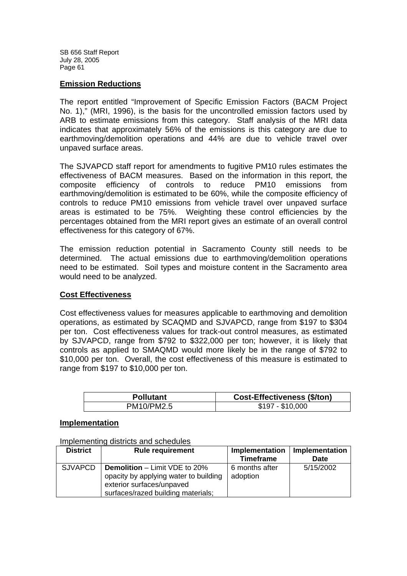## **Emission Reductions**

The report entitled "Improvement of Specific Emission Factors (BACM Project No. 1)," (MRI, 1996), is the basis for the uncontrolled emission factors used by ARB to estimate emissions from this category. Staff analysis of the MRI data indicates that approximately 56% of the emissions is this category are due to earthmoving/demolition operations and 44% are due to vehicle travel over unpaved surface areas.

The SJVAPCD staff report for amendments to fugitive PM10 rules estimates the effectiveness of BACM measures. Based on the information in this report, the composite efficiency of controls to reduce PM10 emissions from earthmoving/demolition is estimated to be 60%, while the composite efficiency of controls to reduce PM10 emissions from vehicle travel over unpaved surface areas is estimated to be 75%. Weighting these control efficiencies by the percentages obtained from the MRI report gives an estimate of an overall control effectiveness for this category of 67%.

The emission reduction potential in Sacramento County still needs to be determined. The actual emissions due to earthmoving/demolition operations need to be estimated. Soil types and moisture content in the Sacramento area would need to be analyzed.

# **Cost Effectiveness**

Cost effectiveness values for measures applicable to earthmoving and demolition operations, as estimated by SCAQMD and SJVAPCD, range from \$197 to \$304 per ton. Cost effectiveness values for track-out control measures, as estimated by SJVAPCD, range from \$792 to \$322,000 per ton; however, it is likely that controls as applied to SMAQMD would more likely be in the range of \$792 to \$10,000 per ton. Overall, the cost effectiveness of this measure is estimated to range from \$197 to \$10,000 per ton.

| <b>Pollutant</b> | <b>Cost-Effectiveness (\$/ton)</b> |
|------------------|------------------------------------|
| PM10/PM2.5       | $$197 - $10.000$                   |

### **Implementation**

| Implementing districts and schedules |  |
|--------------------------------------|--|
|                                      |  |

| <b>District</b> | <b>Rule requirement</b>                                                                                                                          | <b>Implementation</b>      | Implementation |
|-----------------|--------------------------------------------------------------------------------------------------------------------------------------------------|----------------------------|----------------|
|                 |                                                                                                                                                  | <b>Timeframe</b>           | <b>Date</b>    |
| <b>SJVAPCD</b>  | <b>Demolition</b> – Limit VDE to 20%<br>opacity by applying water to building<br>exterior surfaces/unpaved<br>surfaces/razed building materials; | 6 months after<br>adoption | 5/15/2002      |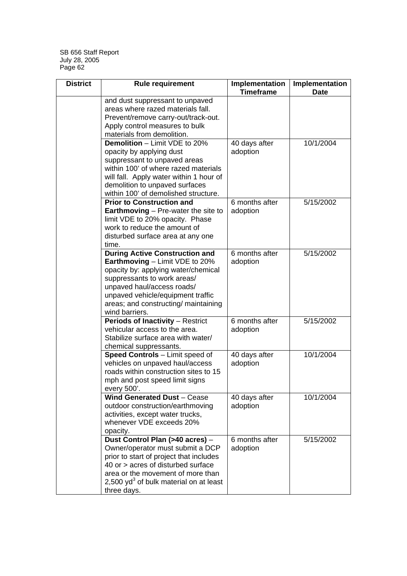| <b>District</b> | <b>Rule requirement</b>                                                                                                                                                                                                                                                             | Implementation<br><b>Timeframe</b> | Implementation<br><b>Date</b> |
|-----------------|-------------------------------------------------------------------------------------------------------------------------------------------------------------------------------------------------------------------------------------------------------------------------------------|------------------------------------|-------------------------------|
|                 | and dust suppressant to unpaved<br>areas where razed materials fall.<br>Prevent/remove carry-out/track-out.<br>Apply control measures to bulk<br>materials from demolition.                                                                                                         |                                    |                               |
|                 | <b>Demolition</b> - Limit VDE to 20%<br>opacity by applying dust<br>suppressant to unpaved areas<br>within 100' of where razed materials<br>will fall. Apply water within 1 hour of<br>demolition to unpaved surfaces<br>within 100' of demolished structure.                       | 40 days after<br>adoption          | 10/1/2004                     |
|                 | <b>Prior to Construction and</b><br><b>Earthmoving</b> $-$ Pre-water the site to<br>limit VDE to 20% opacity. Phase<br>work to reduce the amount of<br>disturbed surface area at any one<br>time.                                                                                   | 6 months after<br>adoption         | 5/15/2002                     |
|                 | <b>During Active Construction and</b><br><b>Earthmoving</b> $-$ Limit VDE to 20%<br>opacity by: applying water/chemical<br>suppressants to work areas/<br>unpaved haul/access roads/<br>unpaved vehicle/equipment traffic<br>areas; and constructing/ maintaining<br>wind barriers. | 6 months after<br>adoption         | 5/15/2002                     |
|                 | <b>Periods of Inactivity - Restrict</b><br>vehicular access to the area.<br>Stabilize surface area with water/<br>chemical suppressants.                                                                                                                                            | 6 months after<br>adoption         | 5/15/2002                     |
|                 | Speed Controls - Limit speed of<br>vehicles on unpaved haul/access<br>roads within construction sites to 15<br>mph and post speed limit signs<br>every 500'.                                                                                                                        | 40 days after<br>adoption          | 10/1/2004                     |
|                 | <b>Wind Generated Dust - Cease</b><br>outdoor construction/earthmoving<br>activities, except water trucks,<br>whenever VDE exceeds 20%<br>opacity.                                                                                                                                  | 40 days after<br>adoption          | 10/1/2004                     |
|                 | Dust Control Plan (>40 acres) -<br>Owner/operator must submit a DCP<br>prior to start of project that includes<br>40 or > acres of disturbed surface<br>area or the movement of more than<br>2,500 yd <sup>3</sup> of bulk material on at least<br>three days.                      | 6 months after<br>adoption         | 5/15/2002                     |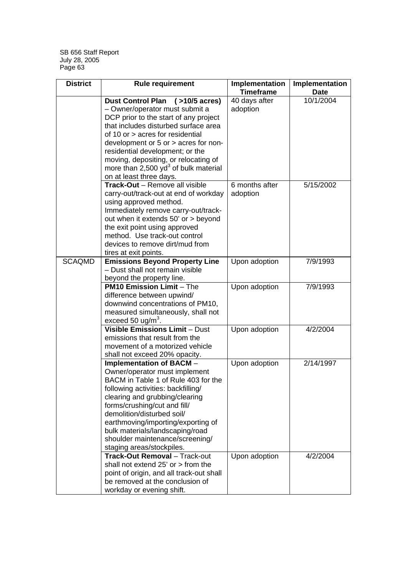| <b>District</b> | <b>Rule requirement</b>                                                 | Implementation<br><b>Timeframe</b> | Implementation<br><b>Date</b> |
|-----------------|-------------------------------------------------------------------------|------------------------------------|-------------------------------|
|                 | $($ >10/5 acres)                                                        |                                    | 10/1/2004                     |
|                 | <b>Dust Control Plan</b><br>- Owner/operator must submit a              | 40 days after                      |                               |
|                 | DCP prior to the start of any project                                   | adoption                           |                               |
|                 | that includes disturbed surface area                                    |                                    |                               |
|                 | of 10 or > acres for residential                                        |                                    |                               |
|                 | development or 5 or > acres for non-                                    |                                    |                               |
|                 | residential development; or the                                         |                                    |                               |
|                 | moving, depositing, or relocating of                                    |                                    |                               |
|                 | more than 2,500 $yd^3$ of bulk material                                 |                                    |                               |
|                 | on at least three days.                                                 |                                    |                               |
|                 | <b>Track-Out</b> - Remove all visible                                   | 6 months after                     | 5/15/2002                     |
|                 | carry-out/track-out at end of workday                                   | adoption                           |                               |
|                 | using approved method.                                                  |                                    |                               |
|                 | Immediately remove carry-out/track-                                     |                                    |                               |
|                 | out when it extends 50' or > beyond                                     |                                    |                               |
|                 | the exit point using approved                                           |                                    |                               |
|                 | method. Use track-out control                                           |                                    |                               |
|                 | devices to remove dirt/mud from                                         |                                    |                               |
|                 | tires at exit points.                                                   |                                    |                               |
| <b>SCAQMD</b>   | <b>Emissions Beyond Property Line</b>                                   | Upon adoption                      | 7/9/1993                      |
|                 | - Dust shall not remain visible                                         |                                    |                               |
|                 | beyond the property line.                                               |                                    |                               |
|                 | <b>PM10 Emission Limit - The</b>                                        | Upon adoption                      | 7/9/1993                      |
|                 | difference between upwind/                                              |                                    |                               |
|                 | downwind concentrations of PM10,                                        |                                    |                               |
|                 | measured simultaneously, shall not                                      |                                    |                               |
|                 | exceed 50 $\mu$ g/m <sup>3</sup> .                                      |                                    |                               |
|                 | <b>Visible Emissions Limit - Dust</b>                                   | Upon adoption                      | 4/2/2004                      |
|                 | emissions that result from the                                          |                                    |                               |
|                 | movement of a motorized vehicle                                         |                                    |                               |
|                 | shall not exceed 20% opacity.                                           |                                    |                               |
|                 | <b>Implementation of BACM -</b>                                         | Upon adoption                      | 2/14/1997                     |
|                 | Owner/operator must implement                                           |                                    |                               |
|                 | BACM in Table 1 of Rule 403 for the                                     |                                    |                               |
|                 | following activities: backfilling/                                      |                                    |                               |
|                 | clearing and grubbing/clearing                                          |                                    |                               |
|                 | forms/crushing/cut and fill/                                            |                                    |                               |
|                 | demolition/disturbed soil/                                              |                                    |                               |
|                 | earthmoving/importing/exporting of                                      |                                    |                               |
|                 | bulk materials/landscaping/road                                         |                                    |                               |
|                 | shoulder maintenance/screening/                                         |                                    |                               |
|                 | staging areas/stockpiles.                                               |                                    |                               |
|                 | Track-Out Removal - Track-out<br>shall not extend $25'$ or $>$ from the | Upon adoption                      | 4/2/2004                      |
|                 | point of origin, and all track-out shall                                |                                    |                               |
|                 | be removed at the conclusion of                                         |                                    |                               |
|                 | workday or evening shift.                                               |                                    |                               |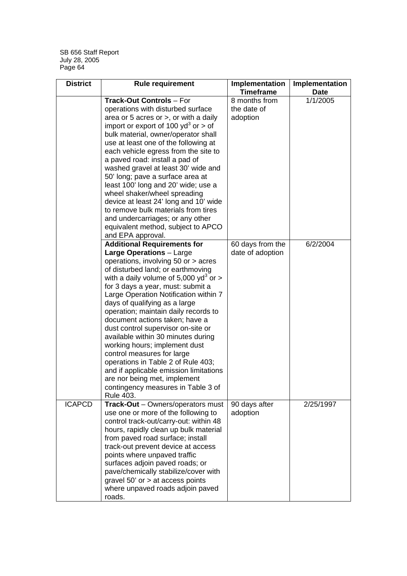| <b>District</b> | <b>Rule requirement</b>                                                                                                                                                                                                                                                                                                                                                                                                                                                                                                                                                                                                                                                                       | Implementation<br><b>Timeframe</b>       | Implementation<br><b>Date</b> |
|-----------------|-----------------------------------------------------------------------------------------------------------------------------------------------------------------------------------------------------------------------------------------------------------------------------------------------------------------------------------------------------------------------------------------------------------------------------------------------------------------------------------------------------------------------------------------------------------------------------------------------------------------------------------------------------------------------------------------------|------------------------------------------|-------------------------------|
|                 | <b>Track-Out Controls - For</b><br>operations with disturbed surface<br>area or 5 acres or $>$ , or with a daily<br>import or export of 100 $yd^3$ or $>$ of<br>bulk material, owner/operator shall<br>use at least one of the following at<br>each vehicle egress from the site to<br>a paved road: install a pad of<br>washed gravel at least 30' wide and<br>50' long; pave a surface area at<br>least 100' long and 20' wide; use a<br>wheel shaker/wheel spreading<br>device at least 24' long and 10' wide<br>to remove bulk materials from tires<br>and undercarriages; or any other<br>equivalent method, subject to APCO<br>and EPA approval.                                        | 8 months from<br>the date of<br>adoption | 1/1/2005                      |
|                 | <b>Additional Requirements for</b><br>Large Operations - Large<br>operations, involving 50 or > acres<br>of disturbed land; or earthmoving<br>with a daily volume of 5,000 $yd^3$ or ><br>for 3 days a year, must: submit a<br>Large Operation Notification within 7<br>days of qualifying as a large<br>operation; maintain daily records to<br>document actions taken; have a<br>dust control supervisor on-site or<br>available within 30 minutes during<br>working hours; implement dust<br>control measures for large<br>operations in Table 2 of Rule 403;<br>and if applicable emission limitations<br>are nor being met, implement<br>contingency measures in Table 3 of<br>Rule 403. | 60 days from the<br>date of adoption     | 6/2/2004                      |
| <b>ICAPCD</b>   | Track-Out - Owners/operators must<br>use one or more of the following to<br>control track-out/carry-out: within 48<br>hours, rapidly clean up bulk material<br>from paved road surface; install<br>track-out prevent device at access<br>points where unpaved traffic<br>surfaces adjoin paved roads; or<br>pave/chemically stabilize/cover with<br>gravel 50' or $>$ at access points<br>where unpaved roads adjoin paved<br>roads.                                                                                                                                                                                                                                                          | 90 days after<br>adoption                | 2/25/1997                     |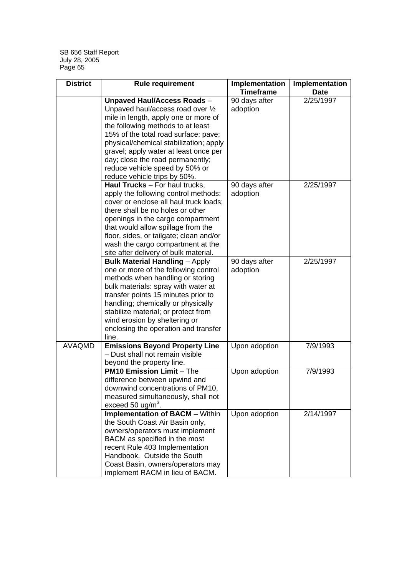| <b>District</b> | <b>Rule requirement</b>                                                                                                                                                                                                                                                                                                                                        | Implementation<br><b>Timeframe</b> | Implementation<br><b>Date</b> |
|-----------------|----------------------------------------------------------------------------------------------------------------------------------------------------------------------------------------------------------------------------------------------------------------------------------------------------------------------------------------------------------------|------------------------------------|-------------------------------|
|                 | <b>Unpaved Haul/Access Roads -</b><br>Unpaved haul/access road over 1/2<br>mile in length, apply one or more of<br>the following methods to at least<br>15% of the total road surface: pave;<br>physical/chemical stabilization; apply<br>gravel; apply water at least once per                                                                                | 90 days after<br>adoption          | 2/25/1997                     |
|                 | day; close the road permanently;<br>reduce vehicle speed by 50% or<br>reduce vehicle trips by 50%.                                                                                                                                                                                                                                                             |                                    |                               |
|                 | Haul Trucks - For haul trucks,<br>apply the following control methods:<br>cover or enclose all haul truck loads;<br>there shall be no holes or other<br>openings in the cargo compartment<br>that would allow spillage from the<br>floor, sides, or tailgate; clean and/or<br>wash the cargo compartment at the<br>site after delivery of bulk material.       | 90 days after<br>adoption          | 2/25/1997                     |
|                 | <b>Bulk Material Handling - Apply</b><br>one or more of the following control<br>methods when handling or storing<br>bulk materials: spray with water at<br>transfer points 15 minutes prior to<br>handling; chemically or physically<br>stabilize material; or protect from<br>wind erosion by sheltering or<br>enclosing the operation and transfer<br>line. | 90 days after<br>adoption          | 2/25/1997                     |
| <b>AVAQMD</b>   | <b>Emissions Beyond Property Line</b><br>- Dust shall not remain visible<br>beyond the property line.                                                                                                                                                                                                                                                          | Upon adoption                      | 7/9/1993                      |
|                 | <b>PM10 Emission Limit - The</b><br>difference between upwind and<br>downwind concentrations of PM10,<br>measured simultaneously, shall not<br>$\frac{\text{exceed }50 \text{ ug/m}^3}{\text{cm}^3}$ .                                                                                                                                                         | Upon adoption                      | 7/9/1993                      |
|                 | <b>Implementation of BACM - Within</b><br>the South Coast Air Basin only,<br>owners/operators must implement<br>BACM as specified in the most<br>recent Rule 403 Implementation<br>Handbook. Outside the South<br>Coast Basin, owners/operators may<br>implement RACM in lieu of BACM.                                                                         | Upon adoption                      | 2/14/1997                     |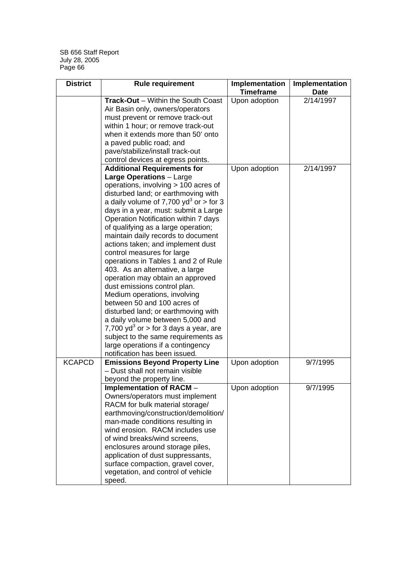| <b>District</b> | <b>Rule requirement</b>                                                                                                                                                                                                                                                                                                                                                                                                                                                                                                                                                                                                                                                                                                                                                                                                                                                        | Implementation<br><b>Timeframe</b> | Implementation<br><b>Date</b> |
|-----------------|--------------------------------------------------------------------------------------------------------------------------------------------------------------------------------------------------------------------------------------------------------------------------------------------------------------------------------------------------------------------------------------------------------------------------------------------------------------------------------------------------------------------------------------------------------------------------------------------------------------------------------------------------------------------------------------------------------------------------------------------------------------------------------------------------------------------------------------------------------------------------------|------------------------------------|-------------------------------|
|                 | <b>Track-Out</b> – Within the South Coast<br>Air Basin only, owners/operators<br>must prevent or remove track-out<br>within 1 hour; or remove track-out<br>when it extends more than 50' onto<br>a paved public road; and<br>pave/stabilize/install track-out<br>control devices at egress points.                                                                                                                                                                                                                                                                                                                                                                                                                                                                                                                                                                             | Upon adoption                      | 2/14/1997                     |
|                 | <b>Additional Requirements for</b><br>Large Operations - Large<br>operations, involving > 100 acres of<br>disturbed land; or earthmoving with<br>a daily volume of 7,700 $yd^3$ or $>$ for 3<br>days in a year, must: submit a Large<br>Operation Notification within 7 days<br>of qualifying as a large operation;<br>maintain daily records to document<br>actions taken; and implement dust<br>control measures for large<br>operations in Tables 1 and 2 of Rule<br>403. As an alternative, a large<br>operation may obtain an approved<br>dust emissions control plan.<br>Medium operations, involving<br>between 50 and 100 acres of<br>disturbed land; or earthmoving with<br>a daily volume between 5,000 and<br>7,700 $yd^3$ or > for 3 days a year, are<br>subject to the same requirements as<br>large operations if a contingency<br>notification has been issued. | Upon adoption                      | 2/14/1997                     |
| <b>KCAPCD</b>   | <b>Emissions Beyond Property Line</b><br>- Dust shall not remain visible<br>beyond the property line.                                                                                                                                                                                                                                                                                                                                                                                                                                                                                                                                                                                                                                                                                                                                                                          | Upon adoption                      | 9/7/1995                      |
|                 | <b>Implementation of RACM-</b><br>Owners/operators must implement<br>RACM for bulk material storage/<br>earthmoving/construction/demolition/<br>man-made conditions resulting in<br>wind erosion. RACM includes use<br>of wind breaks/wind screens,<br>enclosures around storage piles,<br>application of dust suppressants,<br>surface compaction, gravel cover,<br>vegetation, and control of vehicle<br>speed.                                                                                                                                                                                                                                                                                                                                                                                                                                                              | Upon adoption                      | 9/7/1995                      |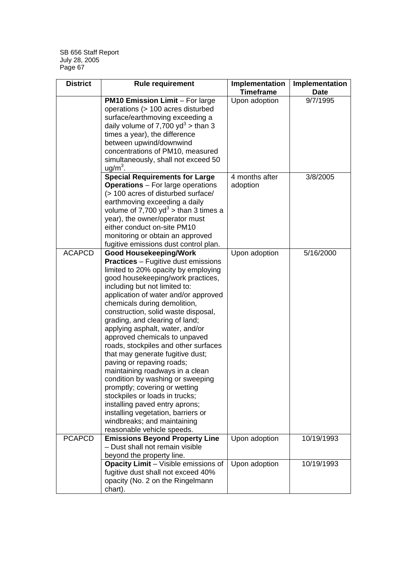| <b>District</b> | <b>Rule requirement</b>                                                                                                                                                                                                                                                                                                                                                                                                                                                                                                                                                                                                                                                                                                                                                                               | Implementation<br><b>Timeframe</b> | Implementation<br><b>Date</b> |
|-----------------|-------------------------------------------------------------------------------------------------------------------------------------------------------------------------------------------------------------------------------------------------------------------------------------------------------------------------------------------------------------------------------------------------------------------------------------------------------------------------------------------------------------------------------------------------------------------------------------------------------------------------------------------------------------------------------------------------------------------------------------------------------------------------------------------------------|------------------------------------|-------------------------------|
|                 | PM10 Emission Limit - For large<br>operations (> 100 acres disturbed<br>surface/earthmoving exceeding a<br>daily volume of 7,700 $yd^3$ > than 3<br>times a year), the difference<br>between upwind/downwind<br>concentrations of PM10, measured<br>simultaneously, shall not exceed 50<br>$ug/m3$ .                                                                                                                                                                                                                                                                                                                                                                                                                                                                                                  | Upon adoption                      | 9/7/1995                      |
|                 | <b>Special Requirements for Large</b><br><b>Operations</b> - For large operations<br>(> 100 acres of disturbed surface/<br>earthmoving exceeding a daily<br>volume of 7,700 $yd^3$ > than 3 times a<br>year), the owner/operator must<br>either conduct on-site PM10<br>monitoring or obtain an approved<br>fugitive emissions dust control plan.                                                                                                                                                                                                                                                                                                                                                                                                                                                     | 4 months after<br>adoption         | 3/8/2005                      |
| <b>ACAPCD</b>   | <b>Good Housekeeping/Work</b><br><b>Practices</b> – Fugitive dust emissions<br>limited to 20% opacity by employing<br>good housekeeping/work practices,<br>including but not limited to:<br>application of water and/or approved<br>chemicals during demolition,<br>construction, solid waste disposal,<br>grading, and clearing of land;<br>applying asphalt, water, and/or<br>approved chemicals to unpaved<br>roads, stockpiles and other surfaces<br>that may generate fugitive dust;<br>paving or repaving roads;<br>maintaining roadways in a clean<br>condition by washing or sweeping<br>promptly; covering or wetting<br>stockpiles or loads in trucks;<br>installing paved entry aprons;<br>installing vegetation, barriers or<br>windbreaks; and maintaining<br>reasonable vehicle speeds. | Upon adoption                      | 5/16/2000                     |
| <b>PCAPCD</b>   | <b>Emissions Beyond Property Line</b><br>- Dust shall not remain visible<br>beyond the property line.                                                                                                                                                                                                                                                                                                                                                                                                                                                                                                                                                                                                                                                                                                 | Upon adoption                      | 10/19/1993                    |
|                 | <b>Opacity Limit</b> - Visible emissions of<br>fugitive dust shall not exceed 40%<br>opacity (No. 2 on the Ringelmann<br>chart).                                                                                                                                                                                                                                                                                                                                                                                                                                                                                                                                                                                                                                                                      | Upon adoption                      | 10/19/1993                    |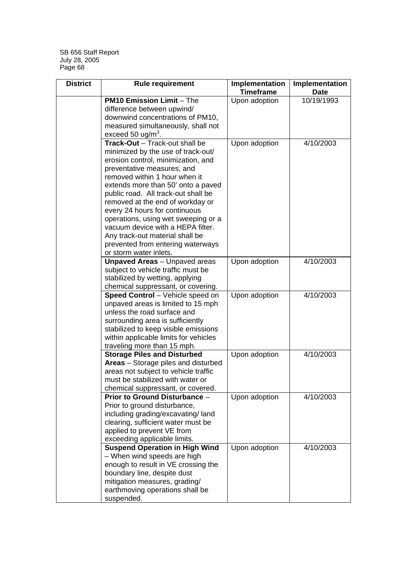| <b>District</b> | <b>Rule requirement</b>                                                                                                                                                                                                                                                                                                                                                                                                                                                                                          | Implementation<br><b>Timeframe</b> | Implementation<br><b>Date</b> |
|-----------------|------------------------------------------------------------------------------------------------------------------------------------------------------------------------------------------------------------------------------------------------------------------------------------------------------------------------------------------------------------------------------------------------------------------------------------------------------------------------------------------------------------------|------------------------------------|-------------------------------|
|                 | <b>PM10 Emission Limit - The</b><br>difference between upwind/<br>downwind concentrations of PM10,<br>measured simultaneously, shall not<br>exceed 50 $\mu$ g/m <sup>3</sup> .                                                                                                                                                                                                                                                                                                                                   | Upon adoption                      | 10/19/1993                    |
|                 | <b>Track-Out</b> - Track-out shall be<br>minimized by the use of track-out/<br>erosion control, minimization, and<br>preventative measures, and<br>removed within 1 hour when it<br>extends more than 50' onto a paved<br>public road. All track-out shall be<br>removed at the end of workday or<br>every 24 hours for continuous<br>operations, using wet sweeping or a<br>vacuum device with a HEPA filter.<br>Any track-out material shall be<br>prevented from entering waterways<br>or storm water inlets. | Upon adoption                      | 4/10/2003                     |
|                 | <b>Unpaved Areas</b> - Unpaved areas<br>subject to vehicle traffic must be<br>stabilized by wetting, applying<br>chemical suppressant, or covering.                                                                                                                                                                                                                                                                                                                                                              | Upon adoption                      | 4/10/2003                     |
|                 | <b>Speed Control</b> - Vehicle speed on<br>unpaved areas is limited to 15 mph<br>unless the road surface and<br>surrounding area is sufficiently<br>stabilized to keep visible emissions<br>within applicable limits for vehicles<br>traveling more than 15 mph.                                                                                                                                                                                                                                                 | Upon adoption                      | 4/10/2003                     |
|                 | <b>Storage Piles and Disturbed</b><br>Areas - Storage piles and disturbed<br>areas not subject to vehicle traffic<br>must be stabilized with water or<br>chemical suppressant, or covered.                                                                                                                                                                                                                                                                                                                       | Upon adoption                      | 4/10/2003                     |
|                 | Prior to Ground Disturbance -<br>Prior to ground disturbance,<br>including grading/excavating/land<br>clearing, sufficient water must be<br>applied to prevent VE from<br>exceeding applicable limits.                                                                                                                                                                                                                                                                                                           | Upon adoption                      | 4/10/2003                     |
|                 | <b>Suspend Operation in High Wind</b><br>- When wind speeds are high<br>enough to result in VE crossing the<br>boundary line, despite dust<br>mitigation measures, grading/<br>earthmoving operations shall be<br>suspended.                                                                                                                                                                                                                                                                                     | Upon adoption                      | 4/10/2003                     |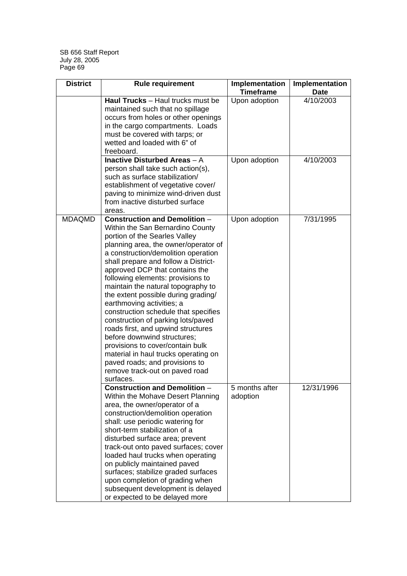| <b>District</b> | <b>Rule requirement</b>                                                                                                                                                                                                                                                                                                                                                                                                                                                                                                                                                                                                                                                                                                           | Implementation<br><b>Timeframe</b> | Implementation<br><b>Date</b> |
|-----------------|-----------------------------------------------------------------------------------------------------------------------------------------------------------------------------------------------------------------------------------------------------------------------------------------------------------------------------------------------------------------------------------------------------------------------------------------------------------------------------------------------------------------------------------------------------------------------------------------------------------------------------------------------------------------------------------------------------------------------------------|------------------------------------|-------------------------------|
|                 | <b>Haul Trucks</b> - Haul trucks must be<br>maintained such that no spillage<br>occurs from holes or other openings<br>in the cargo compartments. Loads<br>must be covered with tarps; or<br>wetted and loaded with 6" of<br>freeboard.                                                                                                                                                                                                                                                                                                                                                                                                                                                                                           | Upon adoption                      | 4/10/2003                     |
|                 | Inactive Disturbed Areas $- A$<br>person shall take such action(s),<br>such as surface stabilization/<br>establishment of vegetative cover/<br>paving to minimize wind-driven dust<br>from inactive disturbed surface<br>areas.                                                                                                                                                                                                                                                                                                                                                                                                                                                                                                   | Upon adoption                      | 4/10/2003                     |
| <b>MDAQMD</b>   | <b>Construction and Demolition -</b><br>Within the San Bernardino County<br>portion of the Searles Valley<br>planning area, the owner/operator of<br>a construction/demolition operation<br>shall prepare and follow a District-<br>approved DCP that contains the<br>following elements: provisions to<br>maintain the natural topography to<br>the extent possible during grading/<br>earthmoving activities; a<br>construction schedule that specifies<br>construction of parking lots/paved<br>roads first, and upwind structures<br>before downwind structures;<br>provisions to cover/contain bulk<br>material in haul trucks operating on<br>paved roads; and provisions to<br>remove track-out on paved road<br>surfaces. | Upon adoption                      | 7/31/1995                     |
|                 | <b>Construction and Demolition -</b><br>Within the Mohave Desert Planning<br>area, the owner/operator of a<br>construction/demolition operation<br>shall: use periodic watering for<br>short-term stabilization of a<br>disturbed surface area; prevent<br>track-out onto paved surfaces; cover<br>loaded haul trucks when operating<br>on publicly maintained paved<br>surfaces; stabilize graded surfaces<br>upon completion of grading when<br>subsequent development is delayed<br>or expected to be delayed more                                                                                                                                                                                                             | 5 months after<br>adoption         | 12/31/1996                    |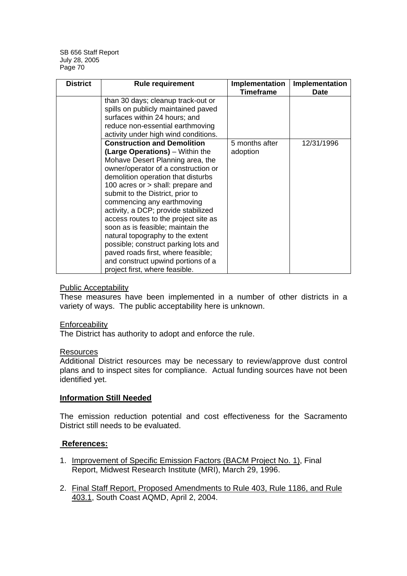| <b>District</b> | <b>Rule requirement</b>                                                                                                                                                                                                                                                                                                                                                                                                                                                                                                                                                                                     | Implementation<br><b>Timeframe</b> | Implementation<br><b>Date</b> |
|-----------------|-------------------------------------------------------------------------------------------------------------------------------------------------------------------------------------------------------------------------------------------------------------------------------------------------------------------------------------------------------------------------------------------------------------------------------------------------------------------------------------------------------------------------------------------------------------------------------------------------------------|------------------------------------|-------------------------------|
|                 | than 30 days; cleanup track-out or<br>spills on publicly maintained paved<br>surfaces within 24 hours; and<br>reduce non-essential earthmoving<br>activity under high wind conditions.                                                                                                                                                                                                                                                                                                                                                                                                                      |                                    |                               |
|                 | <b>Construction and Demolition</b><br>(Large Operations) – Within the<br>Mohave Desert Planning area, the<br>owner/operator of a construction or<br>demolition operation that disturbs<br>100 acres or > shall: prepare and<br>submit to the District, prior to<br>commencing any earthmoving<br>activity, a DCP; provide stabilized<br>access routes to the project site as<br>soon as is feasible; maintain the<br>natural topography to the extent<br>possible; construct parking lots and<br>paved roads first, where feasible;<br>and construct upwind portions of a<br>project first, where feasible. | 5 months after<br>adoption         | 12/31/1996                    |

### Public Acceptability

These measures have been implemented in a number of other districts in a variety of ways. The public acceptability here is unknown.

#### **Enforceability**

The District has authority to adopt and enforce the rule.

#### Resources

Additional District resources may be necessary to review/approve dust control plans and to inspect sites for compliance. Actual funding sources have not been identified yet.

#### **Information Still Needed**

The emission reduction potential and cost effectiveness for the Sacramento District still needs to be evaluated.

### **References:**

- 1. Improvement of Specific Emission Factors (BACM Project No. 1), Final Report, Midwest Research Institute (MRI), March 29, 1996.
- 2. Final Staff Report, Proposed Amendments to Rule 403, Rule 1186, and Rule 403.1, South Coast AQMD, April 2, 2004.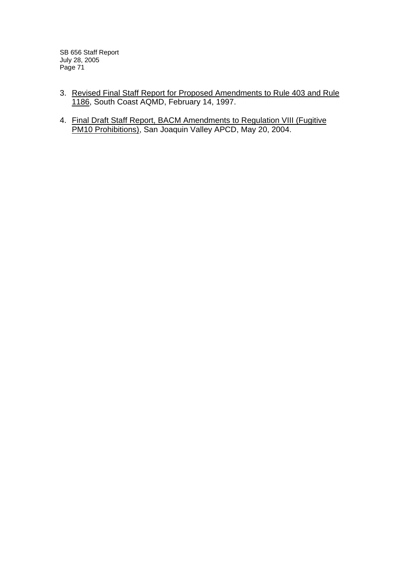- 3. Revised Final Staff Report for Proposed Amendments to Rule 403 and Rule 1186, South Coast AQMD, February 14, 1997.
- 4. Final Draft Staff Report, BACM Amendments to Regulation VIII (Fugitive PM10 Prohibitions), San Joaquin Valley APCD, May 20, 2004.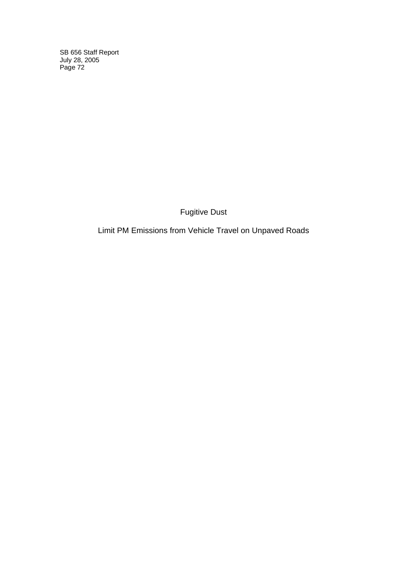Fugitive Dust

Limit PM Emissions from Vehicle Travel on Unpaved Roads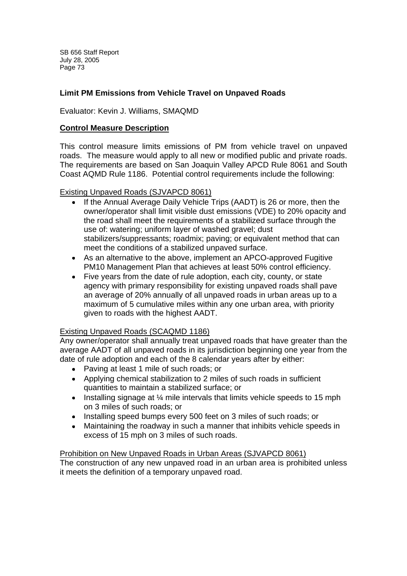# **Limit PM Emissions from Vehicle Travel on Unpaved Roads**

Evaluator: Kevin J. Williams, SMAQMD

## **Control Measure Description**

This control measure limits emissions of PM from vehicle travel on unpaved roads. The measure would apply to all new or modified public and private roads. The requirements are based on San Joaquin Valley APCD Rule 8061 and South Coast AQMD Rule 1186. Potential control requirements include the following:

# Existing Unpaved Roads (SJVAPCD 8061)

- If the Annual Average Daily Vehicle Trips (AADT) is 26 or more, then the owner/operator shall limit visible dust emissions (VDE) to 20% opacity and the road shall meet the requirements of a stabilized surface through the use of: watering; uniform layer of washed gravel; dust stabilizers/suppressants; roadmix; paving; or equivalent method that can meet the conditions of a stabilized unpaved surface.
- As an alternative to the above, implement an APCO-approved Fugitive PM10 Management Plan that achieves at least 50% control efficiency.
- Five years from the date of rule adoption, each city, county, or state agency with primary responsibility for existing unpaved roads shall pave an average of 20% annually of all unpaved roads in urban areas up to a maximum of 5 cumulative miles within any one urban area, with priority given to roads with the highest AADT.

## Existing Unpaved Roads (SCAQMD 1186)

Any owner/operator shall annually treat unpaved roads that have greater than the average AADT of all unpaved roads in its jurisdiction beginning one year from the date of rule adoption and each of the 8 calendar years after by either:

- Paving at least 1 mile of such roads; or
- Applying chemical stabilization to 2 miles of such roads in sufficient quantities to maintain a stabilized surface; or
- Installing signage at  $\frac{1}{4}$  mile intervals that limits vehicle speeds to 15 mph on 3 miles of such roads; or
- Installing speed bumps every 500 feet on 3 miles of such roads; or
- Maintaining the roadway in such a manner that inhibits vehicle speeds in excess of 15 mph on 3 miles of such roads.

# Prohibition on New Unpaved Roads in Urban Areas (SJVAPCD 8061)

The construction of any new unpaved road in an urban area is prohibited unless it meets the definition of a temporary unpaved road.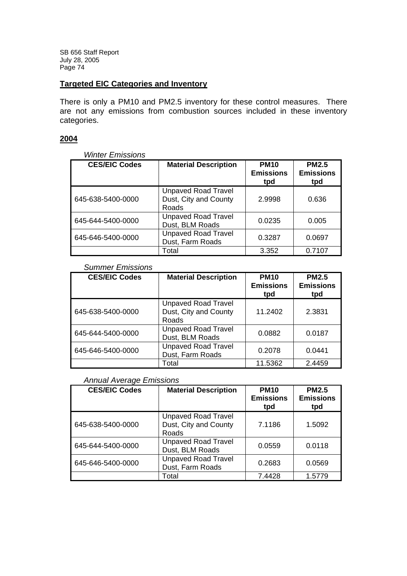# **Targeted EIC Categories and Inventory**

There is only a PM10 and PM2.5 inventory for these control measures. There are not any emissions from combustion sources included in these inventory categories.

# **2004**

*Winter Emissions*

| <b>CES/EIC Codes</b> | <b>Material Description</b>                                  | <b>PM10</b><br><b>Emissions</b><br>tpd | <b>PM2.5</b><br><b>Emissions</b><br>tpd |
|----------------------|--------------------------------------------------------------|----------------------------------------|-----------------------------------------|
| 645-638-5400-0000    | <b>Unpaved Road Travel</b><br>Dust, City and County<br>Roads | 2.9998                                 | 0.636                                   |
| 645-644-5400-0000    | <b>Unpaved Road Travel</b><br>Dust, BLM Roads                | 0.0235                                 | 0.005                                   |
| 645-646-5400-0000    | <b>Unpaved Road Travel</b><br>Dust, Farm Roads               | 0.3287                                 | 0.0697                                  |
|                      | Total                                                        | 3.352                                  | 0.7107                                  |

## *Summer Emissions*

| <b>CES/EIC Codes</b> | <b>Material Description</b>                                  | <b>PM10</b><br><b>Emissions</b><br>tpd | <b>PM2.5</b><br><b>Emissions</b><br>tpd |
|----------------------|--------------------------------------------------------------|----------------------------------------|-----------------------------------------|
| 645-638-5400-0000    | <b>Unpaved Road Travel</b><br>Dust, City and County<br>Roads | 11.2402                                | 2.3831                                  |
| 645-644-5400-0000    | <b>Unpaved Road Travel</b><br>Dust, BLM Roads                | 0.0882                                 | 0.0187                                  |
| 645-646-5400-0000    | <b>Unpaved Road Travel</b><br>Dust, Farm Roads               | 0.2078                                 | 0.0441                                  |
|                      | Total                                                        | 11.5362                                | 2.4459                                  |

## *Annual Average Emissions*

| <b>CES/EIC Codes</b> | <b>Material Description</b>                                  | <b>PM10</b><br><b>Emissions</b><br>tpd | <b>PM2.5</b><br><b>Emissions</b><br>tpd |
|----------------------|--------------------------------------------------------------|----------------------------------------|-----------------------------------------|
| 645-638-5400-0000    | <b>Unpaved Road Travel</b><br>Dust, City and County<br>Roads | 7.1186                                 | 1.5092                                  |
| 645-644-5400-0000    | <b>Unpaved Road Travel</b><br>Dust, BLM Roads                | 0.0559                                 | 0.0118                                  |
| 645-646-5400-0000    | <b>Unpaved Road Travel</b><br>Dust, Farm Roads               | 0.2683                                 | 0.0569                                  |
|                      | Total                                                        | 7.4428                                 | 1.5779                                  |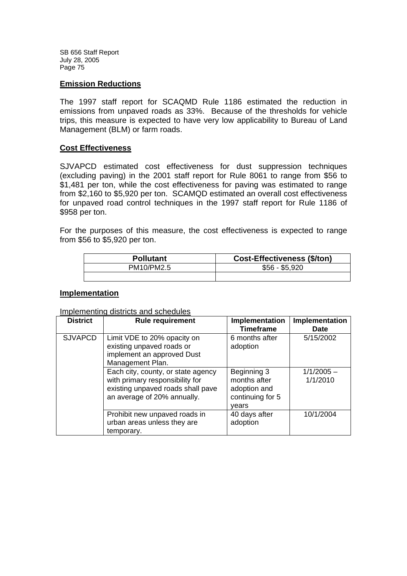## **Emission Reductions**

The 1997 staff report for SCAQMD Rule 1186 estimated the reduction in emissions from unpaved roads as 33%. Because of the thresholds for vehicle trips, this measure is expected to have very low applicability to Bureau of Land Management (BLM) or farm roads.

## **Cost Effectiveness**

SJVAPCD estimated cost effectiveness for dust suppression techniques (excluding paving) in the 2001 staff report for Rule 8061 to range from \$56 to \$1,481 per ton, while the cost effectiveness for paving was estimated to range from \$2,160 to \$5,920 per ton. SCAMQD estimated an overall cost effectiveness for unpaved road control techniques in the 1997 staff report for Rule 1186 of \$958 per ton.

For the purposes of this measure, the cost effectiveness is expected to range from \$56 to \$5,920 per ton.

| <b>Pollutant</b> | <b>Cost-Effectiveness (\$/ton)</b> |
|------------------|------------------------------------|
| PM10/PM2.5       | $$56 - $5,920$                     |
|                  |                                    |

## **Implementation**

Implementing districts and schedules

| <b>District</b> | <b>Rule requirement</b>                                                                                                                   | Implementation<br><b>Timeframe</b>                                       | Implementation<br><b>Date</b> |
|-----------------|-------------------------------------------------------------------------------------------------------------------------------------------|--------------------------------------------------------------------------|-------------------------------|
| <b>SJVAPCD</b>  | Limit VDE to 20% opacity on<br>existing unpaved roads or<br>implement an approved Dust<br>Management Plan.                                | 6 months after<br>adoption                                               | 5/15/2002                     |
|                 | Each city, county, or state agency<br>with primary responsibility for<br>existing unpaved roads shall pave<br>an average of 20% annually. | Beginning 3<br>months after<br>adoption and<br>continuing for 5<br>vears | $1/1/2005 -$<br>1/1/2010      |
|                 | Prohibit new unpaved roads in<br>urban areas unless they are<br>temporary.                                                                | 40 days after<br>adoption                                                | 10/1/2004                     |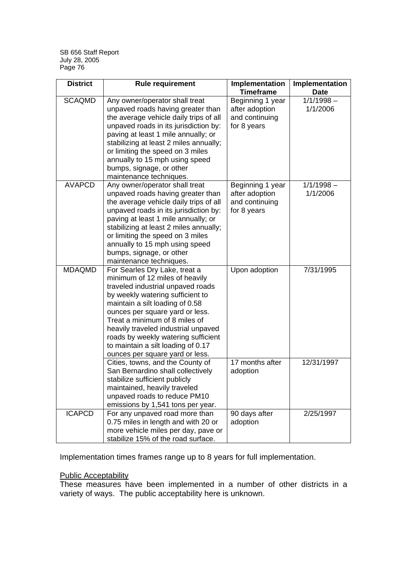| <b>District</b> | <b>Rule requirement</b>                                                                                                                                                                                                                                                                                                                                                                                | Implementation<br><b>Timeframe</b>                                  | Implementation<br><b>Date</b> |
|-----------------|--------------------------------------------------------------------------------------------------------------------------------------------------------------------------------------------------------------------------------------------------------------------------------------------------------------------------------------------------------------------------------------------------------|---------------------------------------------------------------------|-------------------------------|
| <b>SCAQMD</b>   | Any owner/operator shall treat<br>unpaved roads having greater than<br>the average vehicle daily trips of all<br>unpaved roads in its jurisdiction by:<br>paving at least 1 mile annually; or<br>stabilizing at least 2 miles annually;<br>or limiting the speed on 3 miles<br>annually to 15 mph using speed<br>bumps, signage, or other<br>maintenance techniques.                                   | Beginning 1 year<br>after adoption<br>and continuing<br>for 8 years | $1/1/1998 -$<br>1/1/2006      |
| <b>AVAPCD</b>   | Any owner/operator shall treat<br>unpaved roads having greater than<br>the average vehicle daily trips of all<br>unpaved roads in its jurisdiction by:<br>paving at least 1 mile annually; or<br>stabilizing at least 2 miles annually;<br>or limiting the speed on 3 miles<br>annually to 15 mph using speed<br>bumps, signage, or other<br>maintenance techniques.                                   | Beginning 1 year<br>after adoption<br>and continuing<br>for 8 years | $1/1/1998 -$<br>1/1/2006      |
| <b>MDAQMD</b>   | For Searles Dry Lake, treat a<br>minimum of 12 miles of heavily<br>traveled industrial unpaved roads<br>by weekly watering sufficient to<br>maintain a silt loading of 0.58<br>ounces per square yard or less.<br>Treat a minimum of 8 miles of<br>heavily traveled industrial unpaved<br>roads by weekly watering sufficient<br>to maintain a silt loading of 0.17<br>ounces per square yard or less. | Upon adoption                                                       | 7/31/1995                     |
|                 | Cities, towns, and the County of<br>San Bernardino shall collectively<br>stabilize sufficient publicly<br>maintained, heavily traveled<br>unpaved roads to reduce PM10<br>emissions by 1,541 tons per year.                                                                                                                                                                                            | 17 months after<br>adoption                                         | 12/31/1997                    |
| <b>ICAPCD</b>   | For any unpaved road more than<br>0.75 miles in length and with 20 or<br>more vehicle miles per day, pave or<br>stabilize 15% of the road surface.                                                                                                                                                                                                                                                     | 90 days after<br>adoption                                           | 2/25/1997                     |

Implementation times frames range up to 8 years for full implementation.

# **Public Acceptability**

These measures have been implemented in a number of other districts in a variety of ways. The public acceptability here is unknown.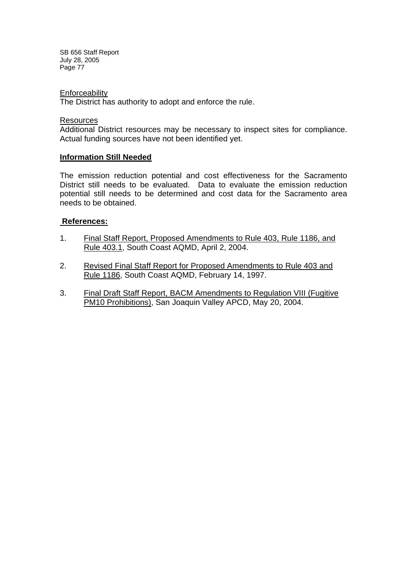#### **Enforceability**

The District has authority to adopt and enforce the rule.

#### Resources

Additional District resources may be necessary to inspect sites for compliance. Actual funding sources have not been identified yet.

#### **Information Still Needed**

The emission reduction potential and cost effectiveness for the Sacramento District still needs to be evaluated. Data to evaluate the emission reduction potential still needs to be determined and cost data for the Sacramento area needs to be obtained.

## **References:**

- 1. Final Staff Report, Proposed Amendments to Rule 403, Rule 1186, and Rule 403.1, South Coast AQMD, April 2, 2004.
- 2. Revised Final Staff Report for Proposed Amendments to Rule 403 and Rule 1186, South Coast AQMD, February 14, 1997.
- 3. Final Draft Staff Report, BACM Amendments to Regulation VIII (Fugitive PM10 Prohibitions), San Joaquin Valley APCD, May 20, 2004.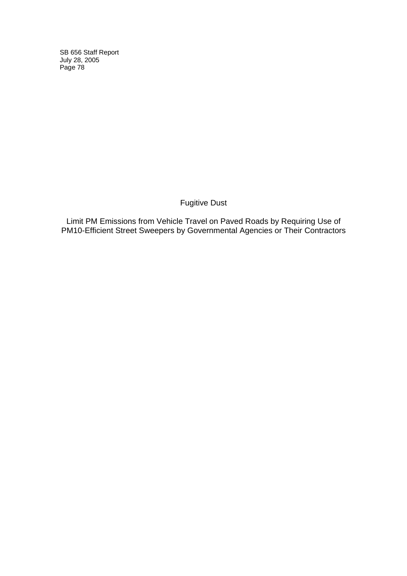Fugitive Dust

Limit PM Emissions from Vehicle Travel on Paved Roads by Requiring Use of PM10-Efficient Street Sweepers by Governmental Agencies or Their Contractors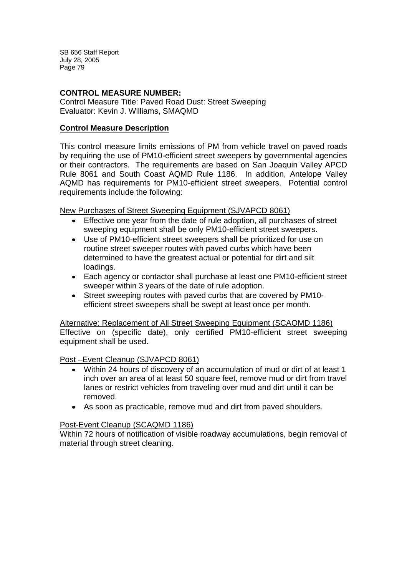# **CONTROL MEASURE NUMBER:**

Control Measure Title: Paved Road Dust: Street Sweeping Evaluator: Kevin J. Williams, SMAQMD

## **Control Measure Description**

This control measure limits emissions of PM from vehicle travel on paved roads by requiring the use of PM10-efficient street sweepers by governmental agencies or their contractors. The requirements are based on San Joaquin Valley APCD Rule 8061 and South Coast AQMD Rule 1186. In addition, Antelope Valley AQMD has requirements for PM10-efficient street sweepers. Potential control requirements include the following:

New Purchases of Street Sweeping Equipment (SJVAPCD 8061)

- Effective one year from the date of rule adoption, all purchases of street sweeping equipment shall be only PM10-efficient street sweepers.
- Use of PM10-efficient street sweepers shall be prioritized for use on routine street sweeper routes with paved curbs which have been determined to have the greatest actual or potential for dirt and silt loadings.
- Each agency or contactor shall purchase at least one PM10-efficient street sweeper within 3 years of the date of rule adoption.
- Street sweeping routes with paved curbs that are covered by PM10 efficient street sweepers shall be swept at least once per month.

Alternative: Replacement of All Street Sweeping Equipment (SCAQMD 1186) Effective on (specific date), only certified PM10-efficient street sweeping equipment shall be used.

## Post –Event Cleanup (SJVAPCD 8061)

- Within 24 hours of discovery of an accumulation of mud or dirt of at least 1 inch over an area of at least 50 square feet, remove mud or dirt from travel lanes or restrict vehicles from traveling over mud and dirt until it can be removed.
- As soon as practicable, remove mud and dirt from paved shoulders.

## Post-Event Cleanup (SCAQMD 1186)

Within 72 hours of notification of visible roadway accumulations, begin removal of material through street cleaning.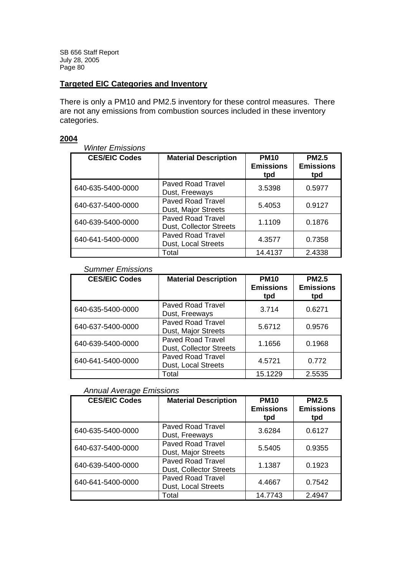# **Targeted EIC Categories and Inventory**

There is only a PM10 and PM2.5 inventory for these control measures. There are not any emissions from combustion sources included in these inventory categories.

# **2004**

*Winter Emissions*

| <b>CES/EIC Codes</b> | <b>Material Description</b>                         | <b>PM10</b><br><b>Emissions</b><br>tpd | <b>PM2.5</b><br><b>Emissions</b><br>tpd |
|----------------------|-----------------------------------------------------|----------------------------------------|-----------------------------------------|
| 640-635-5400-0000    | <b>Paved Road Travel</b><br>Dust, Freeways          | 3.5398                                 | 0.5977                                  |
| 640-637-5400-0000    | <b>Paved Road Travel</b><br>Dust, Major Streets     | 5.4053                                 | 0.9127                                  |
| 640-639-5400-0000    | <b>Paved Road Travel</b><br>Dust, Collector Streets | 1.1109                                 | 0.1876                                  |
| 640-641-5400-0000    | <b>Paved Road Travel</b><br>Dust, Local Streets     | 4.3577                                 | 0.7358                                  |
|                      | Total                                               | 14.4137                                | 2.4338                                  |

## *Summer Emissions*

| <b>CES/EIC Codes</b> | <b>Material Description</b>                         | <b>PM10</b><br><b>Emissions</b><br>tpd | <b>PM2.5</b><br><b>Emissions</b><br>tpd |
|----------------------|-----------------------------------------------------|----------------------------------------|-----------------------------------------|
| 640-635-5400-0000    | <b>Paved Road Travel</b><br>Dust, Freeways          | 3.714                                  | 0.6271                                  |
| 640-637-5400-0000    | <b>Paved Road Travel</b><br>Dust, Major Streets     | 5.6712                                 | 0.9576                                  |
| 640-639-5400-0000    | <b>Paved Road Travel</b><br>Dust, Collector Streets | 1.1656                                 | 0.1968                                  |
| 640-641-5400-0000    | <b>Paved Road Travel</b><br>Dust, Local Streets     | 4.5721                                 | 0.772                                   |
|                      | Total                                               | 15.1229                                | 2.5535                                  |

#### *Annual Average Emissions*

| <b>CES/EIC Codes</b> | <b>Material Description</b>                         | <b>PM10</b><br><b>Emissions</b><br>tpd | <b>PM2.5</b><br><b>Emissions</b><br>tpd |
|----------------------|-----------------------------------------------------|----------------------------------------|-----------------------------------------|
| 640-635-5400-0000    | <b>Paved Road Travel</b><br>Dust, Freeways          | 3.6284                                 | 0.6127                                  |
| 640-637-5400-0000    | <b>Paved Road Travel</b><br>Dust, Major Streets     | 5.5405                                 | 0.9355                                  |
| 640-639-5400-0000    | <b>Paved Road Travel</b><br>Dust, Collector Streets | 1.1387                                 | 0.1923                                  |
| 640-641-5400-0000    | <b>Paved Road Travel</b><br>Dust, Local Streets     | 4.4667                                 | 0.7542                                  |
|                      | Total                                               | 14.7743                                | 2.4947                                  |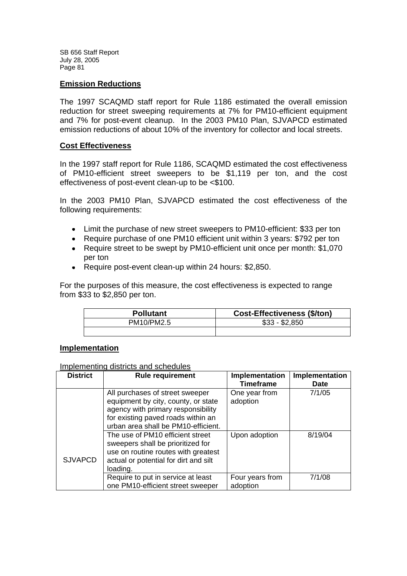# **Emission Reductions**

The 1997 SCAQMD staff report for Rule 1186 estimated the overall emission reduction for street sweeping requirements at 7% for PM10-efficient equipment and 7% for post-event cleanup. In the 2003 PM10 Plan, SJVAPCD estimated emission reductions of about 10% of the inventory for collector and local streets.

## **Cost Effectiveness**

In the 1997 staff report for Rule 1186, SCAQMD estimated the cost effectiveness of PM10-efficient street sweepers to be \$1,119 per ton, and the cost effectiveness of post-event clean-up to be <\$100.

In the 2003 PM10 Plan, SJVAPCD estimated the cost effectiveness of the following requirements:

- Limit the purchase of new street sweepers to PM10-efficient: \$33 per ton
- Require purchase of one PM10 efficient unit within 3 years: \$792 per ton
- Require street to be swept by PM10-efficient unit once per month: \$1,070 per ton
- Require post-event clean-up within 24 hours: \$2,850.

For the purposes of this measure, the cost effectiveness is expected to range from \$33 to \$2,850 per ton.

| <b>Pollutant</b> | <b>Cost-Effectiveness (\$/ton)</b> |
|------------------|------------------------------------|
| PM10/PM2.5       | $$33 - $2,850$                     |
|                  |                                    |

## **Implementation**

#### Implementing districts and schedules

| <b>District</b> | <b>Rule requirement</b>                                                                                                                                                                   | Implementation<br><b>Timeframe</b> | Implementation<br><b>Date</b> |
|-----------------|-------------------------------------------------------------------------------------------------------------------------------------------------------------------------------------------|------------------------------------|-------------------------------|
|                 | All purchases of street sweeper<br>equipment by city, county, or state<br>agency with primary responsibility<br>for existing paved roads within an<br>urban area shall be PM10-efficient. | One year from<br>adoption          | 7/1/05                        |
| <b>SJVAPCD</b>  | The use of PM10 efficient street<br>sweepers shall be prioritized for<br>use on routine routes with greatest<br>actual or potential for dirt and silt<br>loading.                         | Upon adoption                      | 8/19/04                       |
|                 | Require to put in service at least<br>one PM10-efficient street sweeper                                                                                                                   | Four years from<br>adoption        | 7/1/08                        |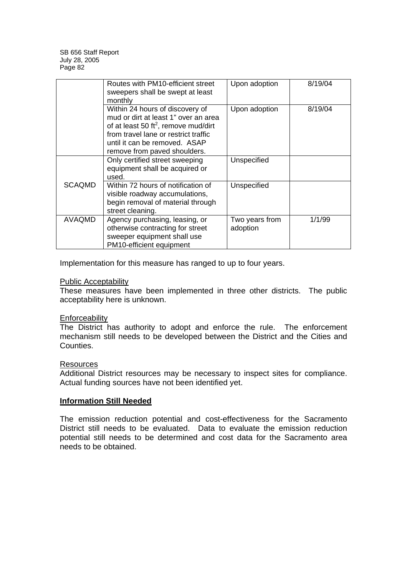|               | Routes with PM10-efficient street<br>sweepers shall be swept at least<br>monthly                                                                                                                                                     | Upon adoption              | 8/19/04 |
|---------------|--------------------------------------------------------------------------------------------------------------------------------------------------------------------------------------------------------------------------------------|----------------------------|---------|
|               | Within 24 hours of discovery of<br>mud or dirt at least 1" over an area<br>of at least 50 ft <sup>2</sup> , remove mud/dirt<br>from travel lane or restrict traffic<br>until it can be removed. ASAP<br>remove from paved shoulders. | Upon adoption              | 8/19/04 |
|               | Only certified street sweeping<br>equipment shall be acquired or<br>used.                                                                                                                                                            | Unspecified                |         |
| <b>SCAQMD</b> | Within 72 hours of notification of<br>visible roadway accumulations,<br>begin removal of material through<br>street cleaning.                                                                                                        | Unspecified                |         |
| <b>AVAQMD</b> | Agency purchasing, leasing, or<br>otherwise contracting for street<br>sweeper equipment shall use<br>PM10-efficient equipment                                                                                                        | Two years from<br>adoption | 1/1/99  |

Implementation for this measure has ranged to up to four years.

#### Public Acceptability

These measures have been implemented in three other districts. The public acceptability here is unknown.

#### **Enforceability**

The District has authority to adopt and enforce the rule. The enforcement mechanism still needs to be developed between the District and the Cities and Counties.

#### **Resources**

Additional District resources may be necessary to inspect sites for compliance. Actual funding sources have not been identified yet.

#### **Information Still Needed**

The emission reduction potential and cost-effectiveness for the Sacramento District still needs to be evaluated. Data to evaluate the emission reduction potential still needs to be determined and cost data for the Sacramento area needs to be obtained.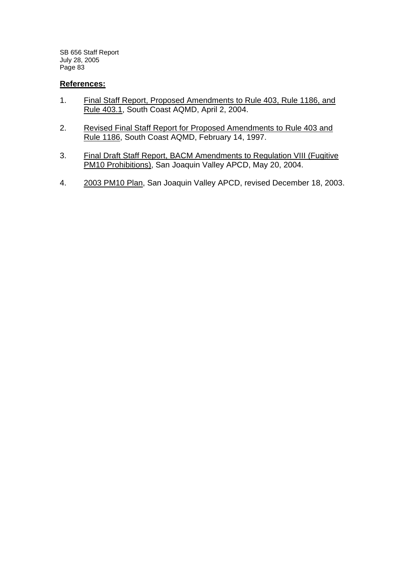## **References:**

- 1. Final Staff Report, Proposed Amendments to Rule 403, Rule 1186, and Rule 403.1, South Coast AQMD, April 2, 2004.
- 2. Revised Final Staff Report for Proposed Amendments to Rule 403 and Rule 1186, South Coast AQMD, February 14, 1997.
- 3. Final Draft Staff Report, BACM Amendments to Regulation VIII (Fugitive PM10 Prohibitions), San Joaquin Valley APCD, May 20, 2004.
- 4. 2003 PM10 Plan, San Joaquin Valley APCD, revised December 18, 2003.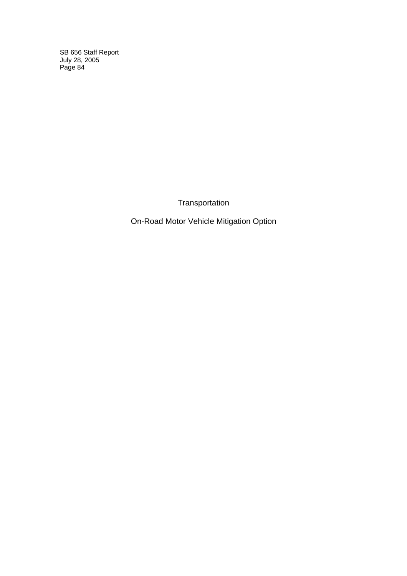**Transportation** 

On-Road Motor Vehicle Mitigation Option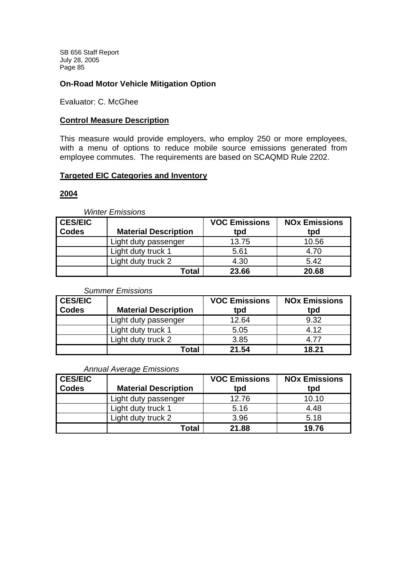## **On-Road Motor Vehicle Mitigation Option**

Evaluator: C. McGhee

#### **Control Measure Description**

This measure would provide employers, who employ 250 or more employees, with a menu of options to reduce mobile source emissions generated from employee commutes. The requirements are based on SCAQMD Rule 2202.

#### **Targeted EIC Categories and Inventory**

**2004**

| <b>CES/EIC</b><br><b>Codes</b> | <b>Material Description</b> | <b>VOC Emissions</b><br>tpd | <b>NOx Emissions</b><br>tpd |
|--------------------------------|-----------------------------|-----------------------------|-----------------------------|
|                                | Light duty passenger        | 13.75                       | 10.56                       |
|                                | Light duty truck 1          | 5.61                        | 4.70                        |
|                                | Light duty truck 2          | 4.30                        | 5.42                        |
|                                | Total                       | 23.66                       | 20.68                       |

*Winter Emissions*

#### *Summer Emissions*

| <b>CES/EIC</b><br><b>Codes</b> | <b>Material Description</b> | <b>VOC Emissions</b><br>tpd | <b>NOx Emissions</b><br>tpd |
|--------------------------------|-----------------------------|-----------------------------|-----------------------------|
|                                | Light duty passenger        | 12.64                       | 9.32                        |
|                                | Light duty truck 1          | 5.05                        | 4.12                        |
|                                | Light duty truck 2          | 3.85                        | 4.77                        |
|                                | Total                       | 21.54                       | 18.21                       |

#### *Annual Average Emissions*

| <b>CES/EIC</b><br><b>Codes</b> | <b>Material Description</b> | <b>VOC Emissions</b><br>tpd | <b>NOx Emissions</b><br>tpd |
|--------------------------------|-----------------------------|-----------------------------|-----------------------------|
|                                | Light duty passenger        | 12.76                       | 10.10                       |
|                                | Light duty truck 1          | 5.16                        | 4.48                        |
|                                | Light duty truck 2          | 3.96                        | 5.18                        |
|                                | Total                       | 21.88                       | 19.76                       |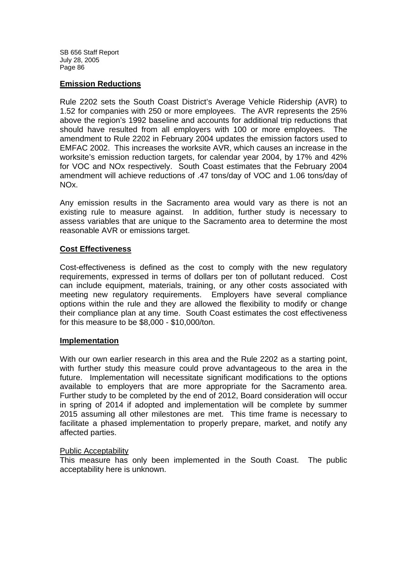# **Emission Reductions**

Rule 2202 sets the South Coast District's Average Vehicle Ridership (AVR) to 1.52 for companies with 250 or more employees. The AVR represents the 25% above the region's 1992 baseline and accounts for additional trip reductions that should have resulted from all employers with 100 or more employees. The amendment to Rule 2202 in February 2004 updates the emission factors used to EMFAC 2002. This increases the worksite AVR, which causes an increase in the worksite's emission reduction targets, for calendar year 2004, by 17% and 42% for VOC and NOx respectively. South Coast estimates that the February 2004 amendment will achieve reductions of .47 tons/day of VOC and 1.06 tons/day of NOx.

Any emission results in the Sacramento area would vary as there is not an existing rule to measure against. In addition, further study is necessary to assess variables that are unique to the Sacramento area to determine the most reasonable AVR or emissions target.

# **Cost Effectiveness**

Cost-effectiveness is defined as the cost to comply with the new regulatory requirements, expressed in terms of dollars per ton of pollutant reduced. Cost can include equipment, materials, training, or any other costs associated with meeting new regulatory requirements. Employers have several compliance options within the rule and they are allowed the flexibility to modify or change their compliance plan at any time. South Coast estimates the cost effectiveness for this measure to be \$8,000 - \$10,000/ton.

## **Implementation**

With our own earlier research in this area and the Rule 2202 as a starting point, with further study this measure could prove advantageous to the area in the future. Implementation will necessitate significant modifications to the options available to employers that are more appropriate for the Sacramento area. Further study to be completed by the end of 2012, Board consideration will occur in spring of 2014 if adopted and implementation will be complete by summer 2015 assuming all other milestones are met. This time frame is necessary to facilitate a phased implementation to properly prepare, market, and notify any affected parties.

## Public Acceptability

This measure has only been implemented in the South Coast. The public acceptability here is unknown.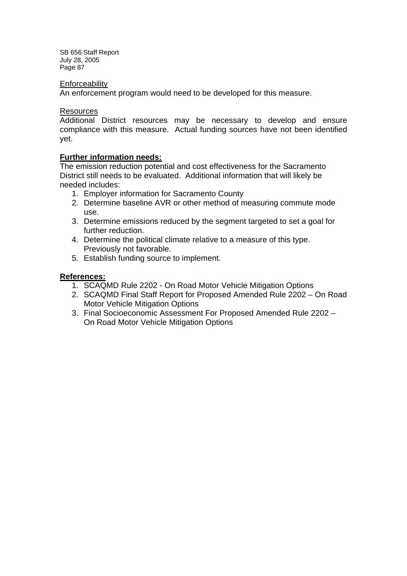#### **Enforceability**

An enforcement program would need to be developed for this measure.

#### **Resources**

Additional District resources may be necessary to develop and ensure compliance with this measure. Actual funding sources have not been identified yet.

## **Further information needs:**

The emission reduction potential and cost effectiveness for the Sacramento District still needs to be evaluated. Additional information that will likely be needed includes:

- 1. Employer information for Sacramento County
- 2. Determine baseline AVR or other method of measuring commute mode use.
- 3. Determine emissions reduced by the segment targeted to set a goal for further reduction.
- 4. Determine the political climate relative to a measure of this type. Previously not favorable.
- 5. Establish funding source to implement.

#### **References:**

- 1. SCAQMD Rule 2202 On Road Motor Vehicle Mitigation Options
- 2. SCAQMD Final Staff Report for Proposed Amended Rule 2202 On Road Motor Vehicle Mitigation Options
- 3. Final Socioeconomic Assessment For Proposed Amended Rule 2202 On Road Motor Vehicle Mitigation Options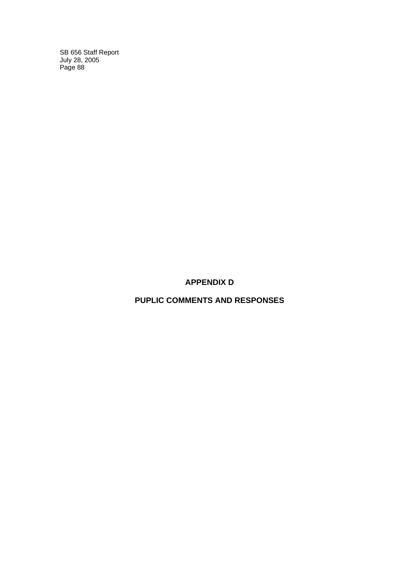# **APPENDIX D**

# **PUPLIC COMMENTS AND RESPONSES**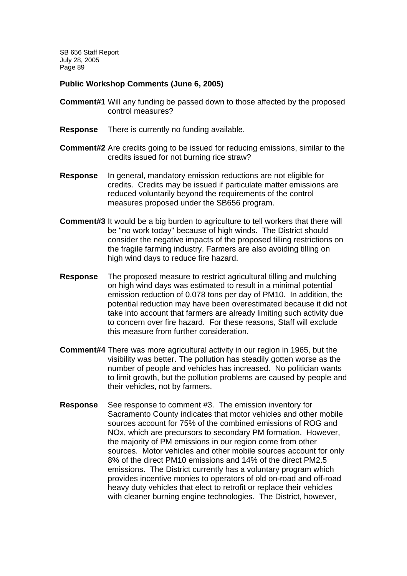## **Public Workshop Comments (June 6, 2005)**

- **Comment#1** Will any funding be passed down to those affected by the proposed control measures?
- **Response** There is currently no funding available.
- **Comment#2** Are credits going to be issued for reducing emissions, similar to the credits issued for not burning rice straw?
- **Response** In general, mandatory emission reductions are not eligible for credits. Credits may be issued if particulate matter emissions are reduced voluntarily beyond the requirements of the control measures proposed under the SB656 program.
- **Comment#3** It would be a big burden to agriculture to tell workers that there will be "no work today" because of high winds. The District should consider the negative impacts of the proposed tilling restrictions on the fragile farming industry. Farmers are also avoiding tilling on high wind days to reduce fire hazard.
- **Response** The proposed measure to restrict agricultural tilling and mulching on high wind days was estimated to result in a minimal potential emission reduction of 0.078 tons per day of PM10. In addition, the potential reduction may have been overestimated because it did not take into account that farmers are already limiting such activity due to concern over fire hazard. For these reasons, Staff will exclude this measure from further consideration.
- **Comment#4** There was more agricultural activity in our region in 1965, but the visibility was better. The pollution has steadily gotten worse as the number of people and vehicles has increased. No politician wants to limit growth, but the pollution problems are caused by people and their vehicles, not by farmers.
- **Response** See response to comment #3. The emission inventory for Sacramento County indicates that motor vehicles and other mobile sources account for 75% of the combined emissions of ROG and NOx, which are precursors to secondary PM formation. However, the majority of PM emissions in our region come from other sources. Motor vehicles and other mobile sources account for only 8% of the direct PM10 emissions and 14% of the direct PM2.5 emissions. The District currently has a voluntary program which provides incentive monies to operators of old on-road and off-road heavy duty vehicles that elect to retrofit or replace their vehicles with cleaner burning engine technologies. The District, however,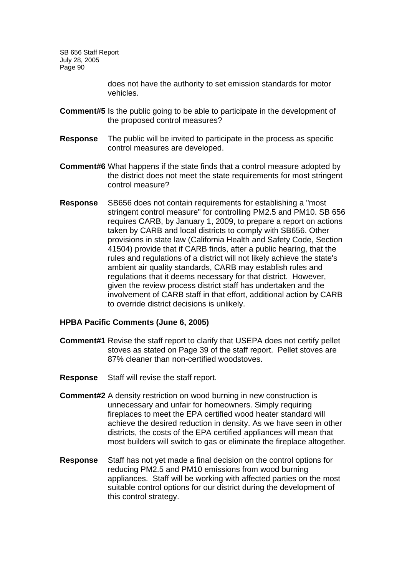> does not have the authority to set emission standards for motor vehicles.

- **Comment#5** Is the public going to be able to participate in the development of the proposed control measures?
- **Response** The public will be invited to participate in the process as specific control measures are developed.
- **Comment#6** What happens if the state finds that a control measure adopted by the district does not meet the state requirements for most stringent control measure?
- **Response** SB656 does not contain requirements for establishing a "most stringent control measure" for controlling PM2.5 and PM10. SB 656 requires CARB, by January 1, 2009, to prepare a report on actions taken by CARB and local districts to comply with SB656. Other provisions in state law (California Health and Safety Code, Section 41504) provide that if CARB finds, after a public hearing, that the rules and regulations of a district will not likely achieve the state's ambient air quality standards, CARB may establish rules and regulations that it deems necessary for that district. However, given the review process district staff has undertaken and the involvement of CARB staff in that effort, additional action by CARB to override district decisions is unlikely.

## **HPBA Pacific Comments (June 6, 2005)**

- **Comment#1** Revise the staff report to clarify that USEPA does not certify pellet stoves as stated on Page 39 of the staff report. Pellet stoves are 87% cleaner than non-certified woodstoves.
- **Response** Staff will revise the staff report.
- **Comment#2** A density restriction on wood burning in new construction is unnecessary and unfair for homeowners. Simply requiring fireplaces to meet the EPA certified wood heater standard will achieve the desired reduction in density. As we have seen in other districts, the costs of the EPA certified appliances will mean that most builders will switch to gas or eliminate the fireplace altogether.
- **Response** Staff has not yet made a final decision on the control options for reducing PM2.5 and PM10 emissions from wood burning appliances. Staff will be working with affected parties on the most suitable control options for our district during the development of this control strategy.